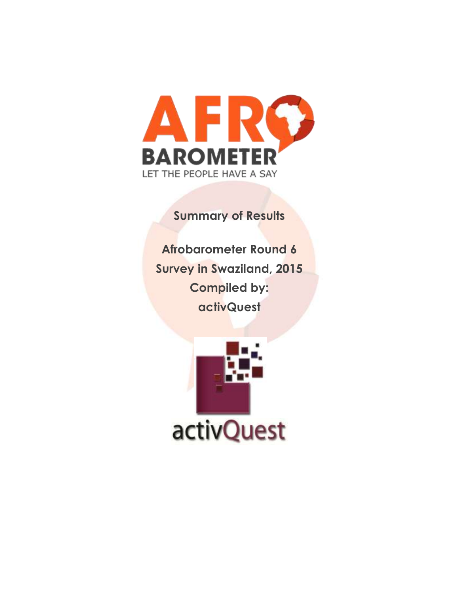

**Summary of Results**

**Afrobarometer Round 6 Survey in Swaziland, 2015 Compiled by: activQuest**

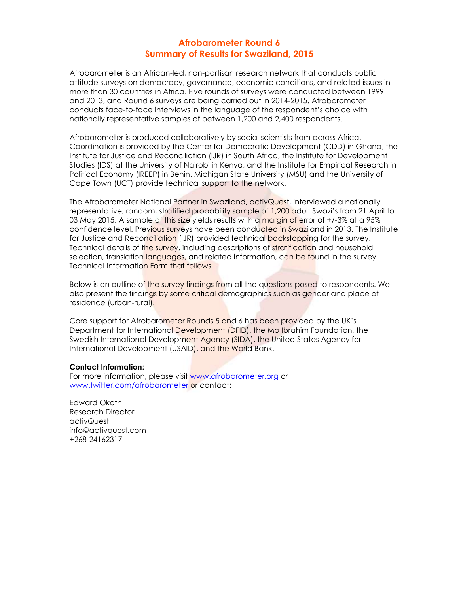# **Afrobarometer Round 6 Summary of Results for Swaziland, 2015**

Afrobarometer is an African-led, non-partisan research network that conducts public attitude surveys on democracy, governance, economic conditions, and related issues in more than 30 countries in Africa. Five rounds of surveys were conducted between 1999 and 2013, and Round 6 surveys are being carried out in 2014-2015. Afrobarometer conducts face-to-face interviews in the language of the respondent's choice with nationally representative samples of between 1,200 and 2,400 respondents.

Afrobarometer is produced collaboratively by social scientists from across Africa. Coordination is provided by the Center for Democratic Development (CDD) in Ghana, the Institute for Justice and Reconciliation (IJR) in South Africa, the Institute for Development Studies (IDS) at the University of Nairobi in Kenya, and the Institute for Empirical Research in Political Economy (IREEP) in Benin. Michigan State University (MSU) and the University of Cape Town (UCT) provide technical support to the network.

The Afrobarometer National Partner in Swaziland, activQuest, interviewed a nationally representative, random, stratified probability sample of 1,200 adult Swazi's from 21 April to 03 May 2015. A sample of this size yields results with a margin of error of +/-3% at a 95% confidence level. Previous surveys have been conducted in Swaziland in 2013. The Institute for Justice and Reconciliation (IJR) provided technical backstopping for the survey. Technical details of the survey, including descriptions of stratification and household selection, translation languages, and related information, can be found in the survey Technical Information Form that follows.

Below is an outline of the survey findings from all the questions posed to respondents. We also present the findings by some critical demographics such as gender and place of residence (urban-rural).

Core support for Afrobarometer Rounds 5 and 6 has been provided by the UK's Department for International Development (DFID), the Mo Ibrahim Foundation, the Swedish International Development Agency (SIDA), the United States Agency for International Development (USAID), and the World Bank.

## **Contact Information:**

For more information, please visit [www.afrobarometer.org](http://www.afrobarometer.org/) or [www.twitter.com/afrobarometer](http://www.twitter.com/afrobarometer) or contact:

Edward Okoth Research Director activQuest info@activquest.com +268-24162317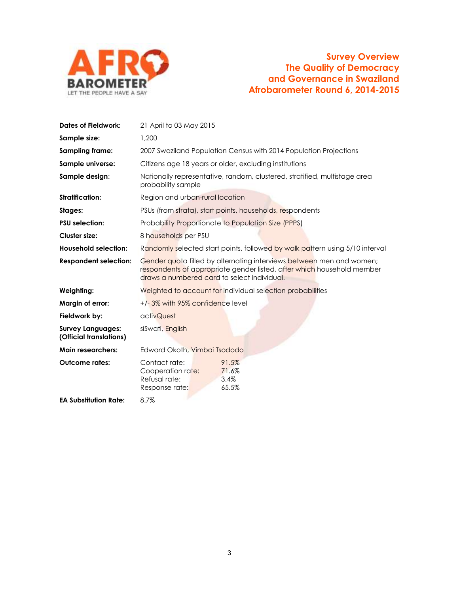

| <b>Dates of Fieldwork:</b>                          | 21 April to 03 May 2015                                                                                                                                                                       |  |  |  |  |  |  |
|-----------------------------------------------------|-----------------------------------------------------------------------------------------------------------------------------------------------------------------------------------------------|--|--|--|--|--|--|
| Sample size:                                        | 1,200                                                                                                                                                                                         |  |  |  |  |  |  |
| <b>Sampling frame:</b>                              | 2007 Swaziland Population Census with 2014 Population Projections                                                                                                                             |  |  |  |  |  |  |
| Sample universe:                                    | Citizens age 18 years or older, excluding institutions                                                                                                                                        |  |  |  |  |  |  |
| Sample design:                                      | Nationally representative, random, clustered, stratified, multistage area<br>probability sample                                                                                               |  |  |  |  |  |  |
| <b>Stratification:</b>                              | Region and urban-rural location                                                                                                                                                               |  |  |  |  |  |  |
| Stages:                                             | PSUs (from strata), start points, households, respondents                                                                                                                                     |  |  |  |  |  |  |
| <b>PSU</b> selection:                               | Probability Proportionate to Population Size (PPPS)                                                                                                                                           |  |  |  |  |  |  |
| Cluster size:                                       | 8 households per PSU                                                                                                                                                                          |  |  |  |  |  |  |
| <b>Household selection:</b>                         | Randomly selected start points, followed by walk pattern using 5/10 interval                                                                                                                  |  |  |  |  |  |  |
| <b>Respondent selection:</b>                        | Gender quota filled by alternating interviews between men and women;<br>respondents of appropriate gender listed, after which household member<br>draws a numbered card to select individual. |  |  |  |  |  |  |
| Weighting:                                          | Weighted to account for individual selection probabilities                                                                                                                                    |  |  |  |  |  |  |
| Margin of error:                                    | +/-3% with 95% confidence level                                                                                                                                                               |  |  |  |  |  |  |
| Fieldwork by:                                       | activQuest                                                                                                                                                                                    |  |  |  |  |  |  |
| <b>Survey Languages:</b><br>(Official translations) | siSwati, English                                                                                                                                                                              |  |  |  |  |  |  |
| <b>Main researchers:</b>                            | Edward Okoth, Vimbai Tsododo                                                                                                                                                                  |  |  |  |  |  |  |
| <b>Outcome rates:</b>                               | Contact rate:<br>91.5%<br>Cooperation rate:<br>71.6%<br>Refusal rate:<br>3.4%<br>65.5%<br>Response rate:                                                                                      |  |  |  |  |  |  |
| <b>EA Substitution Rate:</b>                        | 8.7%                                                                                                                                                                                          |  |  |  |  |  |  |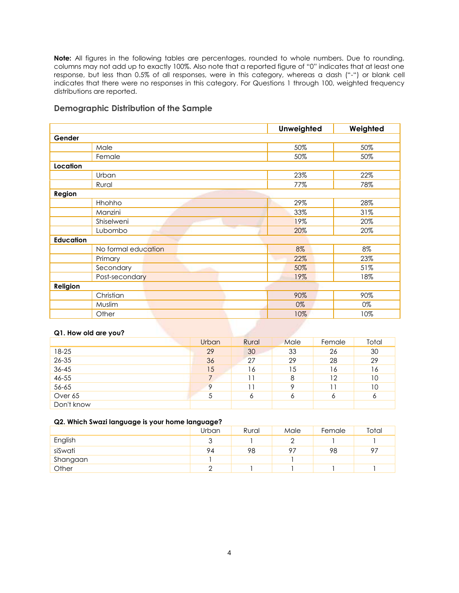**Note:** All figures in the following tables are percentages, rounded to whole numbers. Due to rounding, columns may not add up to exactly 100%. Also note that a reported figure of "0" indicates that at least one response, but less than 0.5% of all responses, were in this category, whereas a dash ("-") or blank cell indicates that there were no responses in this category. For Questions 1 through 100, weighted frequency distributions are reported.

## **Demographic Distribution of the Sample**

|                  |                     | Unweighted | Weighted |
|------------------|---------------------|------------|----------|
| Gender           |                     |            |          |
|                  | Male                | 50%        | 50%      |
|                  | Female              | 50%        | 50%      |
| Location         |                     |            |          |
|                  | Urban               | 23%        | 22%      |
|                  | Rural               | 77%        | 78%      |
| Region           |                     |            |          |
|                  | Hhohho              | 29%        | 28%      |
|                  | Manzini             | 33%        | 31%      |
|                  | Shiselweni          | 19%        | 20%      |
|                  | Lubombo             | 20%        | 20%      |
| <b>Education</b> |                     |            |          |
|                  | No formal education | 8%         | 8%       |
|                  | Primary             | 22%        | 23%      |
|                  | Secondary           | 50%        | 51%      |
|                  | Post-secondary      | 19%        | 18%      |
| Religion         |                     |            |          |
|                  | Christian           | 90%        | 90%      |
|                  | Muslim              | 0%         | 0%       |
|                  | Other               | 10%        | 10%      |

## **Q1. How old are you?**

|            | <b>Urban</b> | Rural | Male | Female | Total |
|------------|--------------|-------|------|--------|-------|
| 18-25      | 29           | 30    | 33   | 26     | 30    |
| 26-35      | 36           | 27    | 29   | 28     | 29    |
| $36 - 45$  | 15           | 16    | 15   | 16     | 16    |
| $46 - 55$  |              | 11    | 8    | 12     | 10    |
| 56-65      | $\circ$      | 11    | 9    |        | 10    |
| Over 65    | 5            | 6     | 6    | O      | 6     |
| Don't know |              |       |      |        |       |

## **Q2. Which Swazi language is your home language?**

|          | Urban      | Rural | Male | Female | Total |
|----------|------------|-------|------|--------|-------|
| English  | $\sqrt{2}$ |       |      |        |       |
| siSwati  | 94         | 98    | 97   | 98     | 97    |
| Shangaan |            |       |      |        |       |
| Other    |            |       |      |        |       |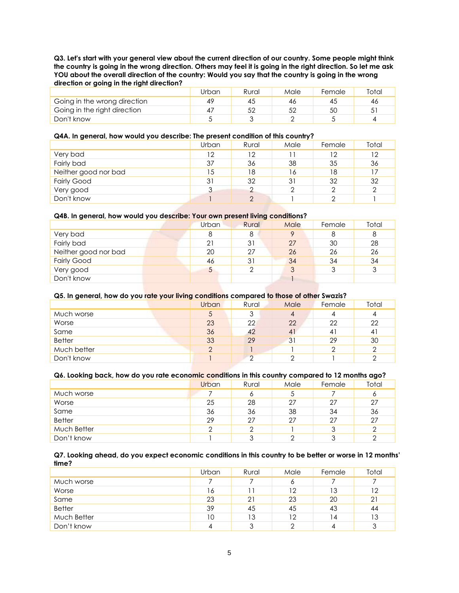**Q3. Let's start with your general view about the current direction of our country. Some people might think the country is going in the wrong direction. Others may feel it is going in the right direction. So let me ask YOU about the overall direction of the country: Would you say that the country is going in the wrong direction or going in the right direction?**

|                              | Jrban | Rural | Male | Female | Total |
|------------------------------|-------|-------|------|--------|-------|
| Going in the wrong direction | 49    | 40    | 46   |        | 46    |
| Going in the right direction | 4,    | 52    |      | 50     | 51    |
| Don't know                   |       |       |      |        |       |

## **Q4A. In general, how would you describe: The present condition of this country?**

|                      | Urban | Rural | Male | Female | Total |
|----------------------|-------|-------|------|--------|-------|
| Very bad             | 12    | 12    |      | 12     | 12    |
| Fairly bad           | 37    | 36    | 38   | 35     | 36    |
| Neither good nor bad | 15    | 18    | 16   | 18     | 17    |
| <b>Fairly Good</b>   | 31    | 32    | 31   | 32     | 32    |
| Very good            | 3     |       | ≘    |        | ≘     |
| Don't know           |       | ◠     |      |        |       |

### **Q4B. In general, how would you describe: Your own present living conditions?**

| Urban<br>Rural | Male                     | Female | Total |
|----------------|--------------------------|--------|-------|
| 8              | Q                        |        | 8     |
| 31             | 27                       | 30     | 28    |
| 27             | 26                       | 26     | 26    |
| 31             | 34                       | 34     | 34    |
|                | 3                        |        | 3     |
|                |                          |        |       |
|                | 8<br>21<br>20<br>46<br>5 |        |       |

## **Q5. In general, how do you rate your living conditions compared to those of other Swazis?**

|               | <b>Urban</b> | Rural    | Male | Female | Total |
|---------------|--------------|----------|------|--------|-------|
| Much worse    | 5            | 3        | 4    |        |       |
| Worse         | 23           | 22       | 22   | 22     | 22    |
| Same          | 36           | 42       | 41   | 4      | 41    |
| <b>Better</b> | 33           | 29       | 31   | 29     | 30    |
| Much better   | ⌒            |          |      |        | ◠     |
| Don't know    |              | $\Omega$ |      |        |       |

## **Q6. Looking back, how do you rate economic conditions in this country compared to 12 months ago?**

|               | <b>Urban</b> | Rural | Male | Female | Total |
|---------------|--------------|-------|------|--------|-------|
| Much worse    |              |       | 5    |        | 6     |
| Worse         | 25           | 28    | 27   | 27     | 27    |
| Same          | 36           | 36    | 38   | 34     | 36    |
| <b>Better</b> | 29           | 27    | 27   | 27     | 27    |
| Much Better   | ◠            |       |      |        |       |
| Don't know    |              |       |      |        |       |

#### **Q7. Looking ahead, do you expect economic conditions in this country to be better or worse in 12 months' time?**

|               | Urban | Rural | Male | Female | Total |
|---------------|-------|-------|------|--------|-------|
| Much worse    |       |       | 6    |        |       |
| Worse         | 16    |       | 12   | 13     | 12    |
| Same          | 23    | 21    | 23   | 20     | 21    |
| <b>Better</b> | 39    | 45    | 45   | 43     | 44    |
| Much Better   | 10    | 13    | 12   | 14     | 13    |
| Don't know    | 4     | っ     | ⌒    |        | 3     |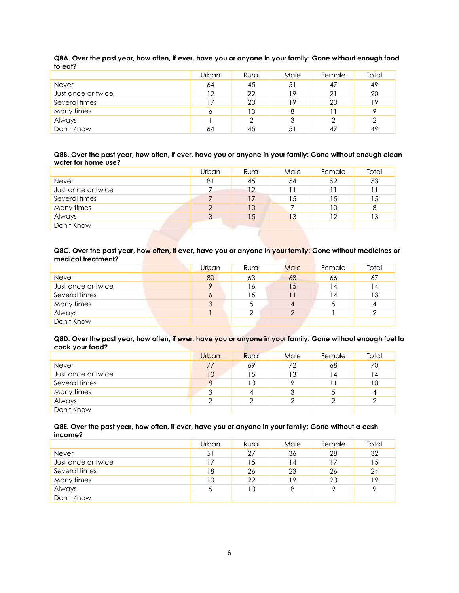|                    | Urban | Rural | Male | Female | Total |
|--------------------|-------|-------|------|--------|-------|
| Never              | 64    | 45    | 51   | 47     | 49    |
| Just once or twice | 12    | 22    | 19   | 21     | 20    |
| Several times      | 17    | 20    | 19   | 20     | 19    |
| Many times         | Ô     | 10    | 8    |        | Q     |
| Always             |       |       | 3    |        | っ     |
| Don't Know         | 64    | 45    | 51   |        | 49    |

**Q8A. Over the past year, how often, if ever, have you or anyone in your family: Gone without enough food to eat?**

### **Q8B. Over the past year, how often, if ever, have you or anyone in your family: Gone without enough clean water for home use?**

|                    | Urban    | Rural | Male | Female | Total |
|--------------------|----------|-------|------|--------|-------|
| <b>Never</b>       | 81       | 45    | 54   | 52     | 53    |
| Just once or twice |          | 12    |      |        |       |
| Several times      |          | 17    | 15   | 15     | 15    |
| Many times         | $\Omega$ | 10    |      | 10     | 8     |
| Always             | 3        | 15    | 13   | 12     | 13    |
| Don't Know         |          |       |      |        |       |

### **Q8C. Over the past year, how often, if ever, have you or anyone in your family: Gone without medicines or medical treatment?**

|                    | Urban | Rural | Male | Female | Total |
|--------------------|-------|-------|------|--------|-------|
| <b>Never</b>       | 80    | 63    | 68   | 66     | 67    |
| Just once or twice | 9     | 16    | 15   | 4      | 14    |
| Several times      | O     | 15    |      | 14     | 13    |
| Many times         | 3     |       |      |        |       |
| Always             |       |       |      |        |       |
| Don't Know         |       |       |      |        |       |

#### **Q8D. Over the past year, how often, if ever, have you or anyone in your family: Gone without enough fuel to cook your food?**

|                    | <b>Urban</b> | Rural | Male | Female | Total |
|--------------------|--------------|-------|------|--------|-------|
| <b>Never</b>       | 77           | 69    | 72   | 68     | 70    |
| Just once or twice | 10           | 15    | 13   | 14     | 14    |
| Several times      | 8            | 10    |      |        | 10    |
| Many times         | っ<br>J       |       | 3    |        | 4     |
| Always             | ⌒            |       |      |        |       |
| Don't Know         |              |       |      |        |       |

### **Q8E. Over the past year, how often, if ever, have you or anyone in your family: Gone without a cash income?**

|                    | Urban | Rural | Male | Female | Total |
|--------------------|-------|-------|------|--------|-------|
| <b>Never</b>       | 51    | 27    | 36   | 28     | 32    |
| Just once or twice |       | 15    | 14   | 17     | 15    |
| Several times      | 18    | 26    | 23   | 26     | 24    |
| Many times         | 10    | 22    | 19   | 20     | 19    |
| Always             | 5     | 10    | 8    |        |       |
| Don't Know         |       |       |      |        |       |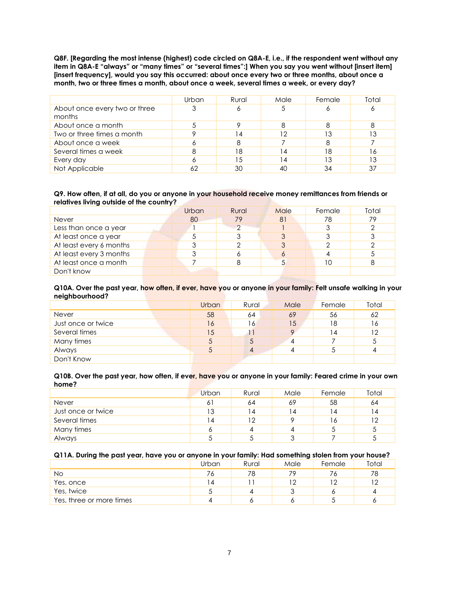**Q8F. [Regarding the most intense (highest) code circled on Q8A-E, i.e., if the respondent went without any item in Q8A-E "always" or "many times" or "several times":] When you say you went without [insert item] [insert frequency], would you say this occurred: about once every two or three months, about once a month, two or three times a month, about once a week, several times a week, or every day?**

|                                         | Urban | Rural | Male | Female | Total |
|-----------------------------------------|-------|-------|------|--------|-------|
| About once every two or three<br>months |       | O     |      |        |       |
| About once a month                      |       |       |      |        |       |
| Two or three times a month              |       |       | 12   | IЗ     |       |
| About once a week                       |       | 8     |      |        |       |
| Several times a week                    |       | 18    | 14   | 18     | 16    |
| Every day                               |       |       | 14   | 13     | 13    |
| Not Applicable                          |       | 30    | 40   | 34     |       |

#### **Q9. How often, if at all, do you or anyone in your household receive money remittances from friends or relatives living outside of the country?**

|                         | Urban | Rural | Male | Female | Total |
|-------------------------|-------|-------|------|--------|-------|
| Never                   | 80    | 79    | 81   | 78     | 79    |
| Less than once a year   |       | ◠     |      |        |       |
| At least once a year    |       |       |      |        |       |
| At least every 6 months |       |       |      |        |       |
| At least every 3 months |       |       |      |        |       |
| At least once a month   |       |       |      | 10     |       |
| Don't know              |       |       |      |        |       |

#### **Q10A. Over the past year, how often, if ever, have you or anyone in your family: Felt unsafe walking in your neighbourhood?**

|                    | <b>Urban</b> | <b>Rural</b> | Male | Female | Total |
|--------------------|--------------|--------------|------|--------|-------|
| Never              | 58           | 64           | 69   | 56     | 62    |
| Just once or twice | 16           | 16           | 15   | 18     | 16    |
| Several times      | 15           |              |      | 4      | 12    |
| Many times         | 5            |              | 4    |        | 5     |
| Always             |              |              |      |        | 4     |
| Don't Know         |              |              |      |        |       |

#### **Q10B. Over the past year, how often, if ever, have you or anyone in your family: Feared crime in your own home?**

|                    | Urban          | Rural          | Male | Female | Total |
|--------------------|----------------|----------------|------|--------|-------|
| <b>Never</b>       | 61             | 64             | 69   | 58     | 64    |
| Just once or twice | 13             | $\overline{4}$ | ا 4  | 4      | ا 4   |
| Several times      | $\overline{4}$ | 12             |      | 16     | 12    |
| Many times         | $\circ$        |                |      |        |       |
| Always             |                |                | っ    |        |       |

## **Q11A. During the past year, have you or anyone in your family: Had something stolen from your house?**

|                          | Urban | Rural | Male | Female | Total |
|--------------------------|-------|-------|------|--------|-------|
| No                       |       |       | 79   |        | 78    |
| Yes, once                |       |       | م 1  |        | ר ו   |
| Yes, twice               |       |       |      |        |       |
| Yes, three or more times |       |       |      |        |       |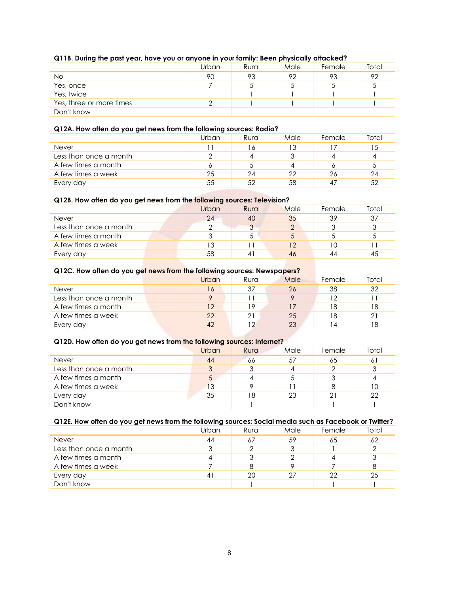| Q11B. During the past year, have you or anyone in your family: Been physically attacked? |
|------------------------------------------------------------------------------------------|
|------------------------------------------------------------------------------------------|

| _                        | Urban | Rural | Male | Female | Total |
|--------------------------|-------|-------|------|--------|-------|
| No                       | 90    | 93    | 92   | 93     | 92    |
| Yes, once                |       |       |      |        |       |
| Yes, twice               |       |       |      |        |       |
| Yes, three or more times |       |       |      |        |       |
| Don't know               |       |       |      |        |       |

## **Q12A. How often do you get news from the following sources: Radio?**

|                        | Urban | Rural | Male | Female | Total |
|------------------------|-------|-------|------|--------|-------|
| <b>Never</b>           |       |       | 13   |        |       |
| Less than once a month |       |       |      |        |       |
| A few times a month    |       |       |      |        |       |
| A few times a week     | 25    | 24    | 22   | 26     | 24    |
| Every day              | 55    | 52    | 58   |        | 52    |

## **Q12B. How often do you get news from the following sources: Television?**

|                        | Urban | Rural | Male | Female | Total |
|------------------------|-------|-------|------|--------|-------|
| Never                  | 24    | 40    | 35   | 39     | 37    |
| Less than once a month |       |       |      |        |       |
| A few times a month    |       |       | C    |        |       |
| A few times a week     | 13    |       | 12   |        |       |
| Every day              | 58    |       | 46   | 44     | 45    |

## **Q12C. How often do you get news from the following sources: Newspapers?**

|                        | Urban | Rural | Male | Female | Total |
|------------------------|-------|-------|------|--------|-------|
| Never                  | 16    | 37    | 26   | 38     | 32    |
| Less than once a month | o     |       |      | ר ו    |       |
| A few times a month    | 12    | 19    |      | 18     | 18    |
| A few times a week     | 22    | 21    | 25   | 18     | 21    |
| Every day              | 42    | 1 ဂ   | 23   |        | 18    |

## **Q12D. How often do you get news from the following sources: Internet?**

|                        | Urban | Rural | Male | Female | Total |
|------------------------|-------|-------|------|--------|-------|
| <b>Never</b>           | 44    | 66    | 57   | 65     | 61    |
| Less than once a month | 3     |       |      |        | 3     |
| A few times a month    | .5    |       |      |        |       |
| A few times a week     | 13    |       |      |        | 10    |
| Every day              | 35    | 18    | 23   |        | 22    |
| Don't know             |       |       |      |        |       |

## **Q12E. How often do you get news from the following sources: Social media such as Facebook or Twitter?**

|                        | Urban          | Rural | Male | Female | Total |
|------------------------|----------------|-------|------|--------|-------|
| Never                  | 44             | 67    | 59   | 65     | 62    |
| Less than once a month | ↷              |       |      |        |       |
| A few times a month    |                |       |      |        |       |
| A few times a week     |                |       |      |        |       |
| Every day              | $\overline{4}$ | 20    | 27   | 22     | 25    |
| Don't know             |                |       |      |        |       |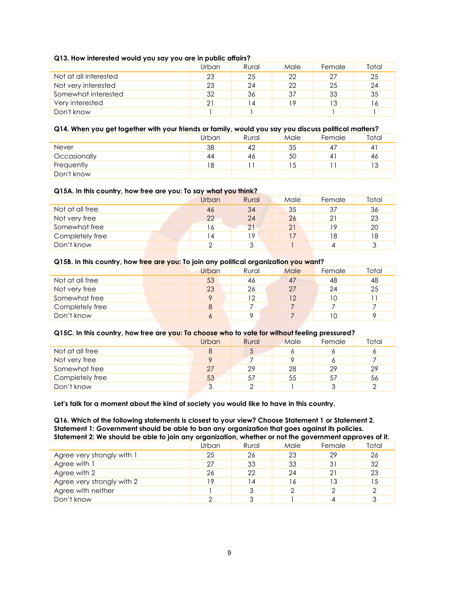## **Q13. How interested would you say you are in public affairs?**

|                       | Urban | Rural | Male | Female | Total |
|-----------------------|-------|-------|------|--------|-------|
| Not at all interested | 23    | 25    | 22   | 27     | 25    |
| Not very interested   | 23    | 24    | 22   | 25     | 24    |
| Somewhat interested   | 32    | 36    | 37   | 33     | 35    |
| Very interested       | 21    | 14    | 19   | 13     | 16    |
| Don't know            |       |       |      |        |       |

## **Q14. When you get together with your friends or family, would you say you discuss political matters?**

|              | Urban | Rural | Male | Female | Total          |
|--------------|-------|-------|------|--------|----------------|
| <b>Never</b> | 38    | 42    | 35   |        | $\overline{4}$ |
| Occasionally | 44    | 46    | 5C   |        | 46             |
| Frequently   | 18    |       | ು    |        | ں ا            |
| Don't know   |       |       |      |        |                |

#### **Q15A. In this country, how free are you: To say what you think?**

|                 | Urban | Rural | Male | Female | Total |
|-----------------|-------|-------|------|--------|-------|
| Not at all free | 46    | 34    | 35   | 37     | 36    |
| Not very free   | 22    | 24    | 26   |        | 23    |
| Somewhat free   | ۱6    | 21    | 21   | 19     | 20    |
| Completely free |       | 19    |      | 18     | 18    |
| Don't know      | ⌒     |       |      |        | 2     |

#### **Q15B. In this country, how free are you: To join any political organization you want?**

|                 | Urban | Rural | Male | Female | Total |
|-----------------|-------|-------|------|--------|-------|
| Not at all free | 53    | 46    | 47   | 48     | 48    |
| Not very free   | 23    | 26    | 27   | 24     | 25    |
| Somewhat free   | o     | 12    | 12   | 10     |       |
| Completely free | 8     |       |      |        |       |
| Don't know      | 6     |       |      | 10     |       |

## **Q15C. In this country, how free are you: To choose who to vote for without feeling pressured?**

|                 | Urban  | Rural | Male | Female | Total |
|-----------------|--------|-------|------|--------|-------|
| Not at all free | 8      | ◡     |      |        |       |
| Not very free   | o      |       |      |        |       |
| Somewhat free   | 27     | 29    | 28   | 29     | 29    |
| Completely free | 53     | 57    | 55   | 57     | 56    |
| Don't know      | ာ<br>ت |       |      |        |       |

**Let's talk for a moment about the kind of society you would like to have in this country.**

**Q16. Which of the following statements is closest to your view? Choose Statement 1 or Statement 2. Statement 1: Government should be able to ban any organization that goes against its policies. Statement 2: We should be able to join any organization, whether or not the government approves of it.**

|                            | Urban | Rural | Male | Female | Total |
|----------------------------|-------|-------|------|--------|-------|
| Agree very strongly with 1 | 25    | 26    | 23   | 29     | 26    |
| Agree with 1               | 27    | 33    | 33   |        | 32    |
| Agree with 2               | 26    | 22    | 24   |        | 23    |
| Agree very strongly with 2 | 10    | 4     | 16   | 13     | 15    |
| Agree with neither         |       |       |      |        |       |
| Don't know                 | ⌒     |       |      |        |       |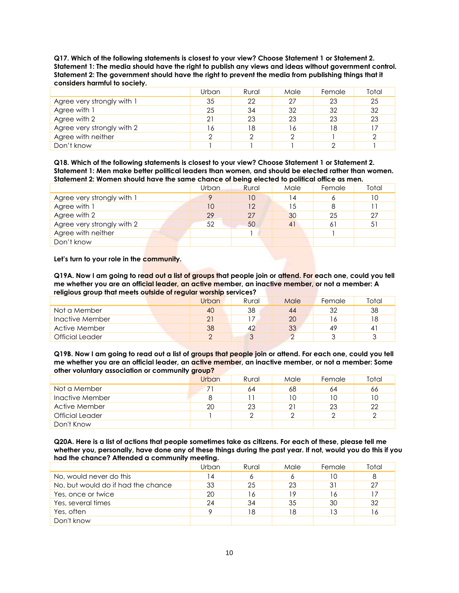**Q17. Which of the following statements is closest to your view? Choose Statement 1 or Statement 2. Statement 1: The media should have the right to publish any views and ideas without government control. Statement 2: The government should have the right to prevent the media from publishing things that it considers harmful to society.**

|                            | Urban | Rural | Male | Female | Total |
|----------------------------|-------|-------|------|--------|-------|
| Agree very strongly with 1 | 35    | 22    | 27   | 23     | 25    |
| Agree with 1               | 25    | 34    | 32   | 32     | 32    |
| Agree with 2               | 21    | 23    | 23   | 23     | 23    |
| Agree very strongly with 2 | 16    | 18    | 16   | 18     |       |
| Agree with neither         | ◠     |       | ◠    |        |       |
| Don't know                 |       |       |      |        |       |

**Q18. Which of the following statements is closest to your view? Choose Statement 1 or Statement 2. Statement 1: Men make better political leaders than women, and should be elected rather than women. Statement 2: Women should have the same chance of being elected to political office as men.**

|                            | <b>Urban</b> | Rural   | Male | Female | Total |
|----------------------------|--------------|---------|------|--------|-------|
| Agree very strongly with 1 | Q            | 10      | 14   |        | 10    |
| Agree with 1               | 10           | $12 \,$ | 15   |        |       |
| Agree with 2               | 29           | 27      | 30   | 25     | 27    |
| Agree very strongly with 2 | 52           | 50      | 41   | -6 ì   | 51    |
| Agree with neither         |              |         |      |        |       |
| Don't know                 |              |         |      |        |       |

**Let's turn to your role in the community.**

**Q19A. Now I am going to read out a list of groups that people join or attend. For each one, could you tell me whether you are an official leader, an active member, an inactive member, or not a member: A religious group that meets outside of regular worship services?**

|                 | Urban      | Rural     | Male | Female | Total |
|-----------------|------------|-----------|------|--------|-------|
| Not a Member    | 40         | 38        | 44   | つ      | 38    |
| Inactive Member | 21         |           | 20   |        | 18    |
| Active Member   | 38         | $4^\circ$ | 33   | 49     | 4     |
| Official Leader | $\sqrt{2}$ |           |      |        |       |

**Q19B. Now I am going to read out a list of groups that people join or attend. For each one, could you tell me whether you are an official leader, an active member, an inactive member, or not a member: Some other voluntary association or community group?**

|                        | Urban | Rural | Male | Female | Total |
|------------------------|-------|-------|------|--------|-------|
| Not a Member           |       | 64    | 68   | 64     | 66    |
| Inactive Member        | 8     |       | 10   | 10     | 10    |
| Active Member          | 20    | 23    | 21   | 23     | 22    |
| <b>Official Leader</b> |       |       | ∩    |        | ≘     |
| Don't Know             |       |       |      |        |       |

**Q20A. Here is a list of actions that people sometimes take as citizens. For each of these, please tell me whether you, personally, have done any of these things during the past year. If not, would you do this if you had the chance? Attended a community meeting.**

|                                    | Urban | Rural | Male | Female | Total |
|------------------------------------|-------|-------|------|--------|-------|
| No, would never do this            | 14    |       | O    |        | 8     |
| No, but would do if had the chance | 33    | 25    | 23   | 31     | 27    |
| Yes, once or twice                 | 20    | 16    | 19   | ' 6    |       |
| Yes, several times                 | 24    | 34    | 35   | 30     | 32    |
| Yes, often                         | Q     | 18    | 18   |        | 16    |
| Don't know                         |       |       |      |        |       |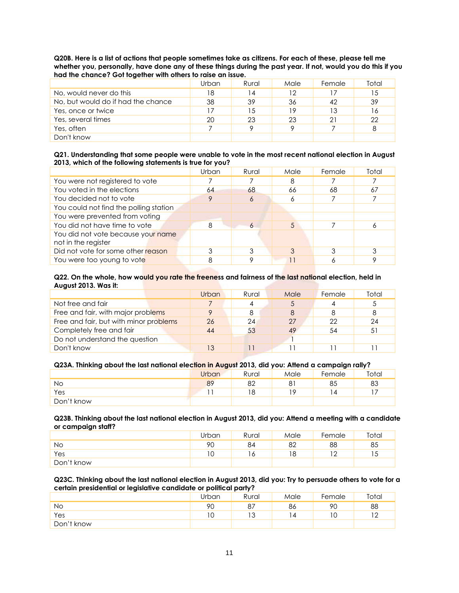**Q20B. Here is a list of actions that people sometimes take as citizens. For each of these, please tell me whether you, personally, have done any of these things during the past year. If not, would you do this if you had the chance? Got together with others to raise an issue.**

|                                    | Urban | Rural | Male | Female | Total |
|------------------------------------|-------|-------|------|--------|-------|
| No, would never do this            | 18    | 14    | 12   |        | 15    |
| No, but would do if had the chance | 38    | 39    | 36   | 42     | 39    |
| Yes, once or twice                 |       | 15    | 19   |        | 16    |
| Yes, several times                 | 20    | 23    | 23   | 21     | 22    |
| Yes, often                         |       |       | Q    |        | 8     |
| Don't know                         |       |       |      |        |       |

### **Q21. Understanding that some people were unable to vote in the most recent national election in August 2013, which of the following statements is true for you?**

| Urban | Rural      | Male | Female | Total |
|-------|------------|------|--------|-------|
|       |            | 8    |        |       |
| 64    | 68         | 66   | 68     | 67    |
| 9     | Ô          | 6    |        |       |
|       |            |      |        |       |
|       |            |      |        |       |
| 8     | $\epsilon$ | 5    |        |       |
|       |            |      |        |       |
| 3     |            | 3    |        |       |
| 8     |            |      |        |       |
|       |            |      |        |       |

#### **Q22. On the whole, how would you rate the freeness and fairness of the last national election, held in August 2013. Was it:**

|                                        | Urban | Rural | Male | Female | Total |
|----------------------------------------|-------|-------|------|--------|-------|
| Not free and fair                      |       |       |      |        |       |
| Free and fair, with major problems     | Q     |       | 8    |        | 8     |
| Free and fair, but with minor problems | 26    | 24    | 27   | 22     | 24    |
| Completely free and fair               | 44    | 53    | 49   | 54     | 51    |
| Do not understand the question         |       |       |      |        |       |
| Don't know                             | 13    |       |      |        |       |

## **Q23A. Thinking about the last national election in August 2013, did you: Attend a campaign rally?**

| . .        | Urban | ___<br>Rural       | Male | . .<br>Female | Total |
|------------|-------|--------------------|------|---------------|-------|
| Νo         | 89    | $\Omega$<br>◡∠     | 81   | 85            | 83    |
| Yes        |       | $\circ$<br>$\circ$ | 1 0  |               |       |
| Don't know |       |                    |      |               |       |

## **Q23B. Thinking about the last national election in August 2013, did you: Attend a meeting with a candidate or campaign staff?**

|            | Urban                    | Rural | Male          | Female | Total |
|------------|--------------------------|-------|---------------|--------|-------|
| No         | 90                       | 84    | 82            | 88     | 85    |
| Yes        | $\overline{\phantom{a}}$ |       | $\circ$<br>10 |        | 1 J   |
| Don't know |                          |       |               |        |       |

#### **Q23C. Thinking about the last national election in August 2013, did you: Try to persuade others to vote for a certain presidential or legislative candidate or political party?**

| . .        | Jrban  | Rural         | Male | Female | Total |
|------------|--------|---------------|------|--------|-------|
| Νo         | 90     | 07<br>$\circ$ | 86   | 90     | 88    |
| Yes        | $\sim$ | . 7<br>ت ا    | . 4  |        | ר ו   |
| Don't know |        |               |      |        |       |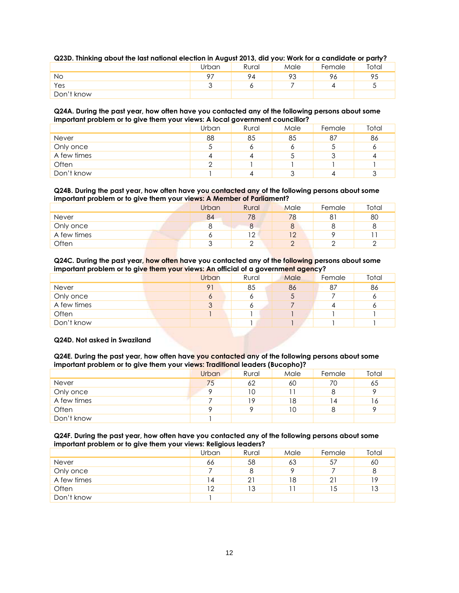| about immedia about the idsi nunundi electron in August 2010, did you, work for a candidate or party : |       |       |      |        |       |  |  |
|--------------------------------------------------------------------------------------------------------|-------|-------|------|--------|-------|--|--|
|                                                                                                        | Urban | Rural | Male | Female | Total |  |  |
| No                                                                                                     |       | 94    |      | 96     | 95    |  |  |
| Yes                                                                                                    |       |       |      |        |       |  |  |
| Don't know                                                                                             |       |       |      |        |       |  |  |

## **Q23D. Thinking about the last national election in August 2013, did you: Work for a candidate or party?**

#### **Q24A. During the past year, how often have you contacted any of the following persons about some important problem or to give them your views: A local government councillor?**

|             | Urban  | Rural | Male | Female | Total |
|-------------|--------|-------|------|--------|-------|
| Never       | 88     | 85    | 85   | 87     | 86    |
| Only once   | J      |       |      |        | O     |
| A few times | 4      |       | J    |        | 4     |
| Often       | $\cap$ |       |      |        |       |
| Don't know  |        |       | w    |        | 3     |

#### **Q24B. During the past year, how often have you contacted any of the following persons about some important problem or to give them your views: A Member of Parliament?**

| _            | Urban | Rural       | Male | Female | Total |
|--------------|-------|-------------|------|--------|-------|
| <b>Never</b> | 84    | 78          | 78   |        | 80    |
| Only once    | u     |             | 8    |        | 8     |
| A few times  | U     | $1^{\circ}$ | 12   |        |       |
| Often        | ⌒     |             |      |        |       |

#### **Q24C. During the past year, how often have you contacted any of the following persons about some important problem or to give them your views: An official of a government agency?**

| . .         |       | . .   | $\sim$ |        |       |
|-------------|-------|-------|--------|--------|-------|
|             | Urban | Rural | Male   | Female | Total |
| Never       | 91    | 85    | 86     | 87     | 86    |
| Only once   | 6     |       | C      |        | 6     |
| A few times | 3     |       |        |        | 6     |
| Often       |       |       |        |        |       |
| Don't know  |       |       |        |        |       |
|             |       |       |        |        |       |

## **Q24D. Not asked in Swaziland**

**Q24E. During the past year, how often have you contacted any of the following persons about some important problem or to give them your views: Traditional leaders (Bucopho)?**

|             | Urban | Rural | Male | Female         | Total |
|-------------|-------|-------|------|----------------|-------|
| Never       | 75    | 62    | 60   | 70             | 65    |
| Only once   |       |       |      |                | Q     |
| A few times |       | 19.   | 18   | $\overline{4}$ | 16    |
| Often       |       |       | 10   |                |       |
| Don't know  |       |       |      |                |       |

### **Q24F. During the past year, how often have you contacted any of the following persons about some important problem or to give them your views: Religious leaders?**

|             | Urban          | Rural | Male | Female | Total |
|-------------|----------------|-------|------|--------|-------|
| Never       | 66             | 58    | 63   | 57     | 60    |
| Only once   |                | 8     |      |        | 8     |
| A few times | $\overline{4}$ | 21    | 18   |        | 19    |
| Often       | 12             | 13    |      | 5      | 13    |
| Don't know  |                |       |      |        |       |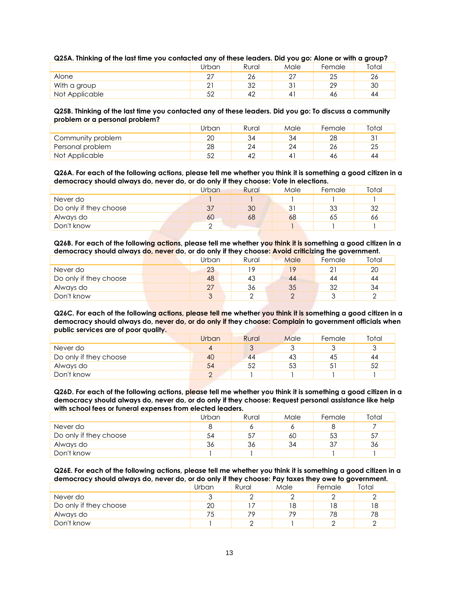|  |  |  |  |  |  | Q25A. Thinking of the last time you contacted any of these leaders. Did you go: Alone or with a group? |
|--|--|--|--|--|--|--------------------------------------------------------------------------------------------------------|
|--|--|--|--|--|--|--------------------------------------------------------------------------------------------------------|

|                | Urban       | Rural    | Male   | Female         | Total        |
|----------------|-------------|----------|--------|----------------|--------------|
| Alone          | $\cap$      | ົ        | ົ<br>∸ | ∠⊾             | $\sim$<br>ZC |
| With a group   | $\cap$<br>∸ | າາ<br>ےب | ?<br>ັ | つつ<br><u>.</u> | 30           |
| Not Applicable | 50<br>◡∠    | 42       | 4      | 46             | 44           |

**Q25B. Thinking of the last time you contacted any of these leaders. Did you go: To discuss a community problem or a personal problem?**

|                   | Urban | Rural | Male | Female | Total |
|-------------------|-------|-------|------|--------|-------|
| Community problem | 20    | 34    | 34   | 28     | ٦1    |
| Personal problem  | 28    | 24    | 24   |        | 25    |
| Not Applicable    | ςc    |       |      | 46     | 44    |

**Q26A. For each of the following actions, please tell me whether you think it is something a good citizen in a democracy should always do, never do, or do only if they choose: Vote in elections.**

|                        | Urban | Rural | Male | Female | Total |
|------------------------|-------|-------|------|--------|-------|
| Never do               |       |       |      |        |       |
| Do only if they choose | 37    | 30    | 31   | 33     | 32    |
| Always do              | 60    | 68    | 68   | 65     | 66    |
| Don't know             |       |       |      |        |       |

**Q26B. For each of the following actions, please tell me whether you think it is something a good citizen in a democracy should always do, never do, or do only if they choose: Avoid criticizing the government.**

|                        | Urban   | Rural | Male | Female | Total |
|------------------------|---------|-------|------|--------|-------|
| Never do               | 23      | 1 Q   | 19   |        | 20    |
| Do only if they choose | 48      | 43    | 44   | 44     | 44    |
| Always do              | 27      | 36    | 35   | 32     | 34    |
| Don't know             | ્ર<br>J |       |      |        |       |

**Q26C. For each of the following actions, please tell me whether you think it is something a good citizen in a democracy should always do, never do, or do only if they choose: Complain to government officials when public services are of poor quality.**

|                        | Urban | Rural | Male | Female | Total |
|------------------------|-------|-------|------|--------|-------|
| Never do               | 4     |       |      |        |       |
| Do only if they choose | 40    | 44    | 43   | 45     | 44    |
| Always do              | 54    |       | 53   | ◡      | 52    |
| Don't know             |       |       |      |        |       |

**Q26D. For each of the following actions, please tell me whether you think it is something a good citizen in a democracy should always do, never do, or do only if they choose: Request personal assistance like help with school fees or funeral expenses from elected leaders.**

|                        | Urban | Rural | Male | Female | Total |
|------------------------|-------|-------|------|--------|-------|
| Never do               |       |       |      |        |       |
| Do only if they choose | 54    | 57    | 60   | 53     | 57    |
| Always do              | 36    | 36    | 34   |        | 36    |
| Don't know             |       |       |      |        |       |

**Q26E. For each of the following actions, please tell me whether you think it is something a good citizen in a democracy should always do, never do, or do only if they choose: Pay taxes they owe to government.**

|                        | Urban | Rural | Male | Female | Total |
|------------------------|-------|-------|------|--------|-------|
| Never do               |       |       |      |        |       |
| Do only if they choose | 20    |       | 18   | 8      | 18    |
| Always do              | 75    | 70    | 79   | 78     | 78    |
| Don't know             |       |       |      |        |       |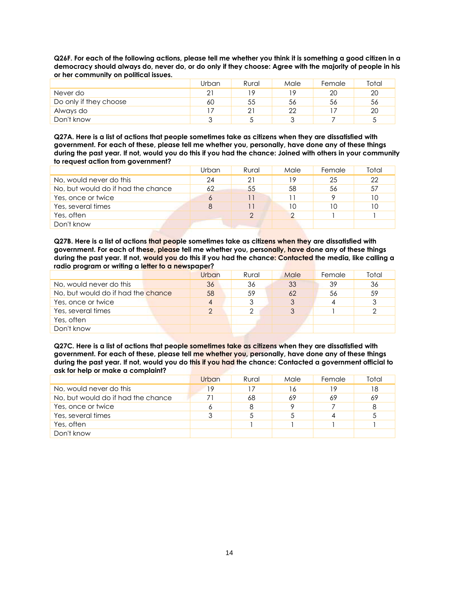**Q26F. For each of the following actions, please tell me whether you think it is something a good citizen in a democracy should always do, never do, or do only if they choose: Agree with the majority of people in his or her community on political issues.**

|                        | Urban | Rural | Male | Female | Total |
|------------------------|-------|-------|------|--------|-------|
| Never do               | つ     | 1 Q   | ۱Q   | 20     | 20    |
| Do only if they choose | 60    | 55    | 56   | 56     | 56    |
| Always do              |       |       | 22   |        | 20    |
| Don't know             |       |       | ⌒    |        |       |

**Q27A. Here is a list of actions that people sometimes take as citizens when they are dissatisfied with government. For each of these, please tell me whether you, personally, have done any of these things during the past year. If not, would you do this if you had the chance: Joined with others in your community to request action from government?**

|                                    | Urban | Rural | Male | Female | Total |
|------------------------------------|-------|-------|------|--------|-------|
| No, would never do this            | 24    | 21    | 19   | 25     | 22    |
| No, but would do if had the chance | 62    | 55    | 58   | 56     | 57    |
| Yes, once or twice                 | 6     |       |      |        | 10    |
| Yes, several times                 | 8     |       | 10   |        | 10    |
| Yes, often                         |       |       |      |        |       |
| Don't know                         |       |       |      |        |       |

**Q27B. Here is a list of actions that people sometimes take as citizens when they are dissatisfied with government. For each of these, please tell me whether you, personally, have done any of these things during the past year. If not, would you do this if you had the chance: Contacted the media, like calling a radio program or writing a letter to a newspaper?**

|                                    | Urban | Rural | Male | Female | Total |
|------------------------------------|-------|-------|------|--------|-------|
| No, would never do this            | 36    | 36    | 33   | 39     | 36    |
| No, but would do if had the chance | 58    | 59    | 62   | 56     | 59    |
| Yes, once or twice                 | 4     |       |      |        | 3     |
| Yes, several times                 | っ     |       |      |        |       |
| Yes, often                         |       |       |      |        |       |
| Don't know                         |       |       |      |        |       |

**Q27C. Here is a list of actions that people sometimes take as citizens when they are dissatisfied with government. For each of these, please tell me whether you, personally, have done any of these things during the past year. If not, would you do this if you had the chance: Contacted a government official to ask for help or make a complaint?**

|                                    | Urban | Rural | Male | Female | Total |
|------------------------------------|-------|-------|------|--------|-------|
| No, would never do this            | 19    |       | 16   | 19     | 18    |
| No, but would do if had the chance |       | 68    | 69   | 69     | -69   |
| Yes, once or twice                 | Ô     |       |      |        | 8     |
| Yes, several times                 |       |       |      |        |       |
| Yes, often                         |       |       |      |        |       |
| Don't know                         |       |       |      |        |       |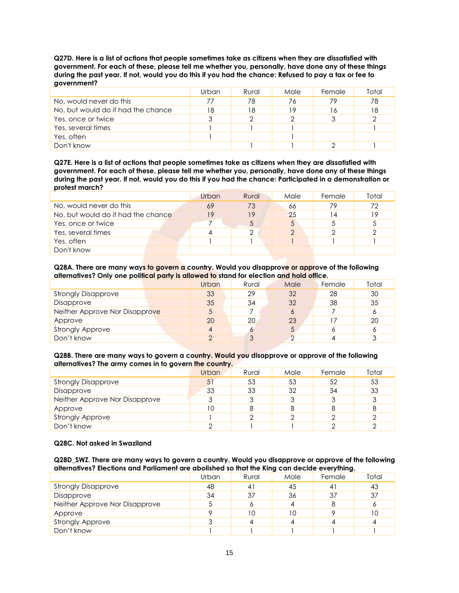**Q27D. Here is a list of actions that people sometimes take as citizens when they are dissatisfied with government. For each of these, please tell me whether you, personally, have done any of these things during the past year. If not, would you do this if you had the chance: Refused to pay a tax or fee to government?**

|                                    | Urban | Rural | Male | Female | Total |
|------------------------------------|-------|-------|------|--------|-------|
| No, would never do this            | 77    | 78    | 76   | 79     | 78    |
| No, but would do if had the chance | 18    | 18    | 19   | 16     | 18    |
| Yes, once or twice                 |       |       |      |        |       |
| Yes, several times                 |       |       |      |        |       |
| Yes, often                         |       |       |      |        |       |
| Don't know                         |       |       |      |        |       |

**Q27E. Here is a list of actions that people sometimes take as citizens when they are dissatisfied with government. For each of these, please tell me whether you, personally, have done any of these things during the past year. If not, would you do this if you had the chance: Participated in a demonstration or protest march?**

|                                    | Urban | Rural | Male | Female | Total |
|------------------------------------|-------|-------|------|--------|-------|
| No, would never do this            | 69    | 73    | 66   | 79     | 72    |
| No, but would do if had the chance | 19    | 19    | 25   |        | 19    |
| Yes, once or twice                 |       |       |      |        |       |
| Yes, several times                 | 4     |       | ⌒    |        |       |
| Yes, often                         |       |       |      |        |       |
| Don't know                         |       |       |      |        |       |

**Q28A. There are many ways to govern a country. Would you disapprove or approve of the following alternatives? Only one political party is allowed to stand for election and hold office.**

|                                | Urban          | Rural | Male | Female | Total |
|--------------------------------|----------------|-------|------|--------|-------|
| <b>Strongly Disapprove</b>     | 33             | 29    | 32   | 28     | 30    |
| Disapprove                     | 35             | 34    | 32   | 38     | 35    |
| Neither Approve Nor Disapprove | 5              |       | 6    |        | 6     |
| Approve                        | 20             | 20    | 23   |        | 20    |
| <b>Strongly Approve</b>        | $\overline{4}$ |       |      |        | Ô     |
| Don't know                     | ◠              | ◠     |      |        | っ     |

**Q28B. There are many ways to govern a country. Would you disapprove or approve of the following alternatives? The army comes in to govern the country.**

|                                | Urban  | Rural | Male | Female | Total |
|--------------------------------|--------|-------|------|--------|-------|
| <b>Strongly Disapprove</b>     | 51     | 53    | 53   | 52     | 53    |
| Disapprove                     | 33     | 33    | 32   | 34     | 33    |
| Neither Approve Nor Disapprove | 3      |       |      |        | 3     |
| Approve                        | 10     |       | 8    |        | 8     |
| <b>Strongly Approve</b>        |        |       |      |        |       |
| Don't know                     | $\cap$ |       |      |        |       |

#### **Q28C. Not asked in Swaziland**

**Q28D\_SWZ. There are many ways to govern a country. Would you disapprove or approve of the following alternatives? Elections and Parliament are abolished so that the King can decide everything.**

|                                | Urban | Rural | Male | Female         | Total |
|--------------------------------|-------|-------|------|----------------|-------|
| <b>Strongly Disapprove</b>     | 48    |       | 45   | 4 <sup>1</sup> | 43    |
| Disapprove                     | 34    | 37    | 36   | 37             | 37    |
| Neither Approve Nor Disapprove | Ċ     |       | 4    |                | O     |
| Approve                        | о     | 10    | 10   |                | 10    |
| <b>Strongly Approve</b>        | 3     |       | 4    |                | 4     |
| Don't know                     |       |       |      |                |       |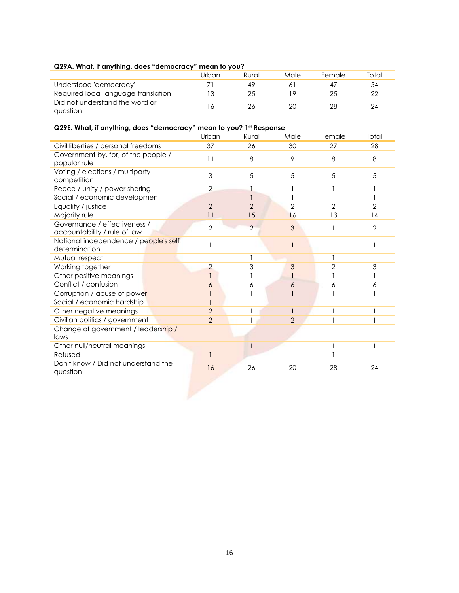## **Q29A. What, if anything, does "democracy" mean to you?**

|                                            | Urban | Rural | Male | Female | Total |
|--------------------------------------------|-------|-------|------|--------|-------|
| Understood 'democracy'                     |       | 49    |      |        | 54    |
| Required local language translation        |       | 25    | 19   | 25     | 22    |
| Did not understand the word or<br>auestion |       | 26    | 20   | 28     | 24    |

## **Q29E. What, if anything, does "democracy" mean to you? 1st Response**

|                                                              | Urban          | Rural          | Male           | Female         | Total          |
|--------------------------------------------------------------|----------------|----------------|----------------|----------------|----------------|
| Civil liberties / personal freedoms                          | 37             | 26             | 30             | 27             | 28             |
| Government by, for, of the people /<br>popular rule          | 11             | 8              | 9              | 8              | 8              |
| Voting / elections / multiparty<br>competition               | 3              | 5              | 5              | 5              | 5              |
| Peace / unity / power sharing                                | $\overline{2}$ |                |                | 1              |                |
| Social / economic development                                |                |                |                |                |                |
| Equality / justice                                           | $\overline{2}$ | $\overline{2}$ | $\overline{2}$ | $\overline{2}$ | $\overline{2}$ |
| Majority rule                                                | 11             | 15             | 16             | 13             | 14             |
| Governance / effectiveness /<br>accountability / rule of law | $\overline{2}$ | $\overline{2}$ | 3              |                | $\overline{2}$ |
| National independence / people's self<br>determination       |                |                |                |                |                |
| Mutual respect                                               |                | 1              |                |                |                |
| Working together                                             | $\overline{2}$ | 3              | 3              | 2              | 3              |
| Other positive meanings                                      |                |                |                |                |                |
| Conflict / confusion                                         | 6              | 6              | 6              | 6              | 6              |
| Corruption / abuse of power                                  |                |                |                |                |                |
| Social / economic hardship                                   |                |                |                |                |                |
| Other negative meanings                                      | $\overline{2}$ | 1              |                |                |                |
| Civilian politics / government                               | $\overline{2}$ |                | $\overline{2}$ |                |                |
| Change of government / leadership /<br>laws                  |                |                |                |                |                |
| Other null/neutral meanings                                  |                |                |                |                |                |
| Refused                                                      |                |                |                |                |                |
| Don't know / Did not understand the<br>question              | 16             | 26             | 20             | 28             | 24             |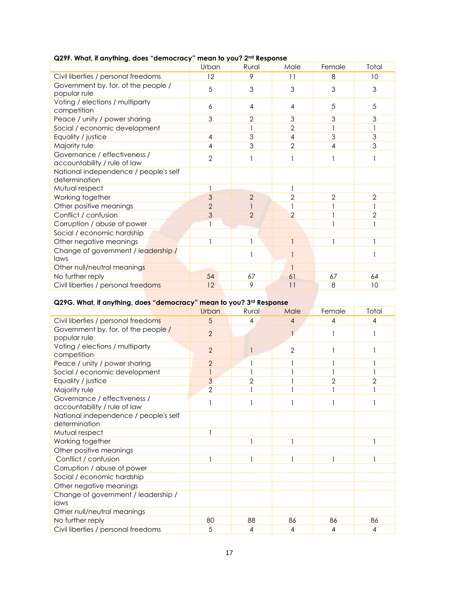|                                                              | Urban          | Rural          | Male           | Female         | Total          |
|--------------------------------------------------------------|----------------|----------------|----------------|----------------|----------------|
| Civil liberties / personal freedoms                          | 12             | 9              | 11             | 8              | 10             |
| Government by, for, of the people /<br>popular rule          | 5              | 3              | 3              | 3              | 3              |
| Voting / elections / multiparty<br>competition               | 6              | $\overline{4}$ | 4              | 5              | 5              |
| Peace / unity / power sharing                                | 3              | $\overline{2}$ | 3              | 3              | 3              |
| Social / economic development                                |                |                | $\overline{2}$ |                |                |
| Equality / justice                                           | $\overline{4}$ | 3              | 4              | 3              | 3              |
| Majority rule                                                | 4              | 3              | $\overline{2}$ | 4              | 3              |
| Governance / effectiveness /<br>accountability / rule of law | $\overline{2}$ |                |                |                |                |
| National independence / people's self<br>determination       |                |                |                |                |                |
| Mutual respect                                               |                |                |                |                |                |
| Working together                                             | 3              | $\overline{2}$ | $\overline{2}$ | $\overline{2}$ | $\overline{2}$ |
| Other positive meanings                                      | $\overline{2}$ |                |                |                |                |
| Conflict / confusion                                         | 3              | $\overline{2}$ | $\overline{2}$ |                | $\sqrt{2}$     |
| Corruption / abuse of power                                  |                |                |                |                |                |
| Social / economic hardship                                   |                |                |                |                |                |
| Other negative meanings                                      | $\mathbf{1}$   |                |                |                |                |
| Change of government / leadership /<br>laws                  |                |                |                |                |                |
| Other null/neutral meanings                                  |                |                |                |                |                |
| No further reply                                             | 54             | 67             | 61             | 67             | 64             |
| Civil liberties / personal freedoms                          | 12             | 9              | 11             | 8              | 10             |

## **Q29F. What, if anything, does "democracy" mean to you? 2nd Response**

# **Q29G. What, if anything, does "democracy" mean to you? 3rd Response**

|                                                              | Urban          | Rural          | Male           | Female         | Total          |
|--------------------------------------------------------------|----------------|----------------|----------------|----------------|----------------|
| Civil liberties / personal freedoms                          | 5              | 4              | 4              | 4              | 4              |
| Government by, for, of the people /<br>popular rule          | $\overline{2}$ |                |                |                |                |
| Voting / elections / multiparty<br>competition               | $\overline{2}$ |                | $\overline{2}$ |                |                |
| Peace / unity / power sharing                                | $\overline{2}$ |                |                |                |                |
| Social / economic development                                |                |                |                |                |                |
| Equality / justice                                           | 3              | $\overline{2}$ |                | $\overline{2}$ | $\overline{2}$ |
| Majority rule                                                | $\overline{2}$ |                |                |                |                |
| Governance / effectiveness /<br>accountability / rule of law |                |                |                |                |                |
| National independence / people's self<br>determination       |                |                |                |                |                |
| Mutual respect                                               |                |                |                |                |                |
| Working together                                             |                |                |                |                |                |
| Other positive meanings                                      |                |                |                |                |                |
| Conflict / confusion                                         |                |                |                |                |                |
| Corruption / abuse of power                                  |                |                |                |                |                |
| Social / economic hardship                                   |                |                |                |                |                |
| Other negative meanings                                      |                |                |                |                |                |
| Change of government / leadership /<br>laws                  |                |                |                |                |                |
| Other null/neutral meanings                                  |                |                |                |                |                |
| No further reply                                             | 80             | 88             | 86             | 86             | 86             |
| Civil liberties / personal freedoms                          | 5              | 4              | 4              | 4              | 4              |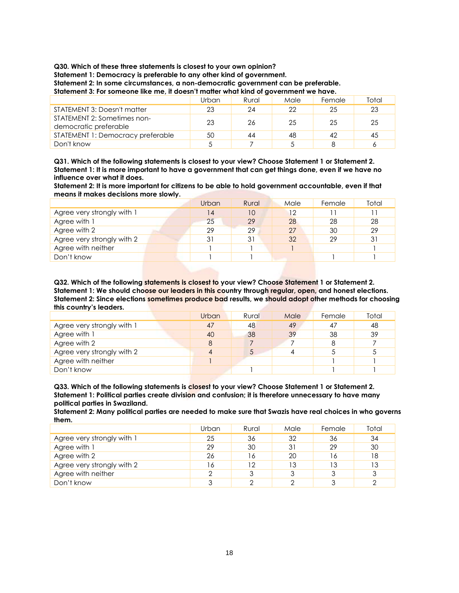**Q30. Which of these three statements is closest to your own opinion?**

**Statement 1: Democracy is preferable to any other kind of government.**

**Statement 2: In some circumstances, a non-democratic government can be preferable.**

**Statement 3: For someone like me, it doesn't matter what kind of government we have.**

|                                                      | Urban | Rural | Male | Female | Total |
|------------------------------------------------------|-------|-------|------|--------|-------|
| STATEMENT 3: Doesn't matter                          | 23    | 24    | 22   | 25     | 23    |
| STATEMENT 2: Sometimes non-<br>democratic preferable | 23    | 26    | 25   | 25     | 25    |
| STATEMENT 1: Democracy preferable                    | 50    | 44    | 48   | 42     | 45    |
| Don't know                                           |       |       |      |        |       |

**Q31. Which of the following statements is closest to your view? Choose Statement 1 or Statement 2. Statement 1: It is more important to have a government that can get things done, even if we have no influence over what it does.**

**Statement 2: It is more important for citizens to be able to hold government accountable, even if that means it makes decisions more slowly.**

|                            | Urban | Rural | Male | Female | Total |
|----------------------------|-------|-------|------|--------|-------|
| Agree very strongly with 1 | 14    | 10    | 12   |        |       |
| Agree with 1               | 25    | 29    | 28   | 28     | 28    |
| Agree with 2               | 29    | 29    | 27   | 30     | 29    |
| Agree very strongly with 2 | 31    | 31    | 32   | 29     | 31    |
| Agree with neither         |       |       |      |        |       |
| Don't know                 |       |       |      |        |       |

**Q32. Which of the following statements is closest to your view? Choose Statement 1 or Statement 2. Statement 1: We should choose our leaders in this country through regular, open, and honest elections. Statement 2: Since elections sometimes produce bad results, we should adopt other methods for choosing this country's leaders.**

|                            | Urban | Rural | Male | Female | Total |
|----------------------------|-------|-------|------|--------|-------|
| Agree very strongly with 1 | 47    | 48    | 49   | 47     | 48    |
| Agree with 1               | 40    | 38    | 39   | 38     | 39    |
| Agree with 2               | 8     |       |      |        |       |
| Agree very strongly with 2 | 4     |       |      |        |       |
| Agree with neither         |       |       |      |        |       |
| Don't know                 |       |       |      |        |       |

**Q33. Which of the following statements is closest to your view? Choose Statement 1 or Statement 2. Statement 1: Political parties create division and confusion; it is therefore unnecessary to have many political parties in Swaziland.**

**Statement 2: Many political parties are needed to make sure that Swazis have real choices in who governs them.**

|                            | Urban | Rural | Male | Female | Total |
|----------------------------|-------|-------|------|--------|-------|
| Agree very strongly with 1 | 25    | 36    | 32   | 36     | 34    |
| Agree with 1               | 29    | 30    | 31   | 29     | 30    |
| Agree with 2               | 26    | 16    | 20   | ۱6     | 18    |
| Agree very strongly with 2 | 16    | 12    | 13   | 13     | 13    |
| Agree with neither         | ⌒     |       |      |        | 3     |
| Don't know                 | 3     |       |      |        |       |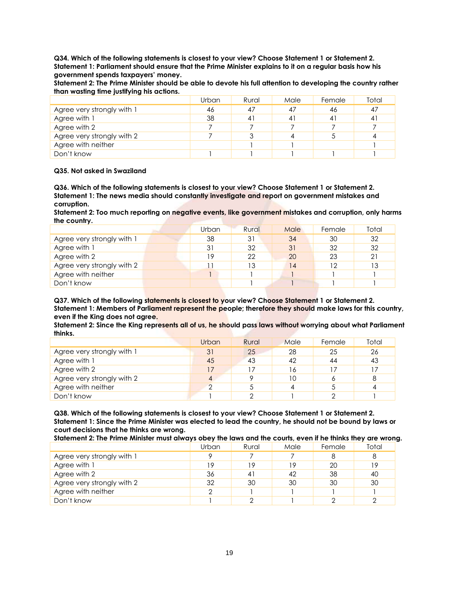**Q34. Which of the following statements is closest to your view? Choose Statement 1 or Statement 2. Statement 1: Parliament should ensure that the Prime Minister explains to it on a regular basis how his government spends taxpayers' money.**

**Statement 2: The Prime Minister should be able to devote his full attention to developing the country rather than wasting time justifying his actions.**

|                            | Urban | Rural | Male | Female | Total |
|----------------------------|-------|-------|------|--------|-------|
| Agree very strongly with 1 | 46    | 47    | 47   | 46     | 47    |
| Agree with 1               | 38    | 41    | 41   | 4      | 41    |
| Agree with 2               |       |       |      |        |       |
| Agree very strongly with 2 |       |       |      |        |       |
| Agree with neither         |       |       |      |        |       |
| Don't know                 |       |       |      |        |       |

#### **Q35. Not asked in Swaziland**

**Q36. Which of the following statements is closest to your view? Choose Statement 1 or Statement 2. Statement 1: The news media should constantly investigate and report on government mistakes and corruption.**

**Statement 2: Too much reporting on negative events, like government mistakes and corruption, only harms the country.**

|                            | Urban | Rural | Male | Female | Total |
|----------------------------|-------|-------|------|--------|-------|
| Agree very strongly with 1 | 38    | 31    | 34   | 30     | 32    |
| Agree with 1               | 31    | 32    | 31   | 32     | 32    |
| Agree with 2               | 19    | 22    | 20   | 23     | 21    |
| Agree very strongly with 2 |       | 13    | 14   | 12     | 13    |
| Agree with neither         |       |       |      |        |       |
| Don't know                 |       |       |      |        |       |

**Q37. Which of the following statements is closest to your view? Choose Statement 1 or Statement 2. Statement 1: Members of Parliament represent the people; therefore they should make laws for this country, even if the King does not agree.**

**Statement 2: Since the King represents all of us, he should pass laws without worrying about what Parliament thinks.**

|                            | Urban  | Rural | Male | Female | Total |
|----------------------------|--------|-------|------|--------|-------|
| Agree very strongly with 1 | 31     | 25    | 28   | 25     | 26    |
| Agree with 1               | 45     | 43    | 42   | 44     | 43    |
| Agree with 2               | 17     |       | 16   |        | 17    |
| Agree very strongly with 2 | 4      |       | 10   |        | 8     |
| Agree with neither         | $\cap$ |       | 4    |        | 4     |
| Don't know                 |        |       |      |        |       |

**Q38. Which of the following statements is closest to your view? Choose Statement 1 or Statement 2. Statement 1: Since the Prime Minister was elected to lead the country, he should not be bound by laws or court decisions that he thinks are wrong.**

**Statement 2: The Prime Minister must always obey the laws and the courts, even if he thinks they are wrong.**

|                            | Urban | Rural | Male | Female | Total |
|----------------------------|-------|-------|------|--------|-------|
| Agree very strongly with 1 |       |       |      |        | 8     |
| Agree with 1               | 19    | 19    | 19   | 20     | 19    |
| Agree with 2               | 36    | $4^1$ | 42   | -38    | 40    |
| Agree very strongly with 2 | 32    | 30    | 30   | 30     | 30    |
| Agree with neither         |       |       |      |        |       |
| Don't know                 |       |       |      |        |       |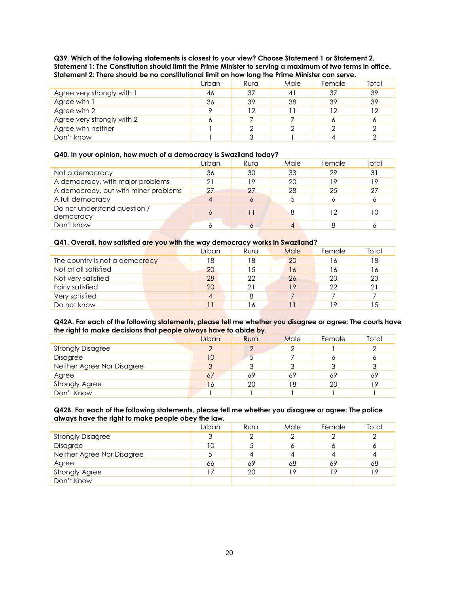**Q39. Which of the following statements is closest to your view? Choose Statement 1 or Statement 2. Statement 1: The Constitution should limit the Prime Minister to serving a maximum of two terms in office. Statement 2: There should be no constitutional limit on how long the Prime Minister can serve.**

|                            | Urban | Rural | Male | Female | Total |  |  |  |
|----------------------------|-------|-------|------|--------|-------|--|--|--|
| Agree very strongly with 1 | 46    | 37    | 41   | 37     | 39    |  |  |  |
| Agree with 1               | 36    | 39    | 38   | 39     | 39    |  |  |  |
| Agree with 2               |       | 12    |      | ר ו    | 12    |  |  |  |
| Agree very strongly with 2 | O     |       |      |        | 6     |  |  |  |
| Agree with neither         |       |       |      |        |       |  |  |  |
| Don't know                 |       |       |      |        |       |  |  |  |

### **Q40. In your opinion, how much of a democracy is Swaziland today?**

|                                           | Urban | Rural | Male | Female | Total |
|-------------------------------------------|-------|-------|------|--------|-------|
| Not a democracy                           | 36    | 30    | 33   | 29     | 31    |
| A democracy, with major problems          | 21    | 19    | 20   | 1 Q    | 19    |
| A democracy, but with minor problems      | 27    | 27    | 28   | 25     | 27    |
| A full democracy                          | 4     |       |      |        | 6     |
| Do not understand question /<br>democracy | 6     |       | 8    | 12     | 10    |
| Don't know                                |       |       |      |        |       |

### **Q41. Overall, how satisfied are you with the way democracy works in Swaziland?**

| Urban          | Rural | Male | Female | Total |  |  |  |  |  |  |  |  |
|----------------|-------|------|--------|-------|--|--|--|--|--|--|--|--|
| 18             | 18    | 20   | 16     | 18    |  |  |  |  |  |  |  |  |
| 20             | 15    | 16   | 16     | 16    |  |  |  |  |  |  |  |  |
| 28             | 22    | 26   | 20     | 23    |  |  |  |  |  |  |  |  |
| 20             | 21    | 19   | 22     | 21    |  |  |  |  |  |  |  |  |
| $\overline{4}$ |       |      |        |       |  |  |  |  |  |  |  |  |
|                | 16    |      | 19     | 15    |  |  |  |  |  |  |  |  |
|                |       |      |        |       |  |  |  |  |  |  |  |  |

### **Q42A. For each of the following statements, please tell me whether you disagree or agree: The courts have the right to make decisions that people always have to abide by.**

|                            | Urban | Rural | Male | Female | Total |
|----------------------------|-------|-------|------|--------|-------|
| <b>Strongly Disagree</b>   | C     |       |      |        | ◠     |
| Disagree                   | 10    |       |      |        | o     |
| Neither Agree Nor Disagree | 3     |       | 3    |        | 3     |
| Agree                      | 67    | 69    | 69   | 69     | 69    |
| <b>Strongly Agree</b>      | 16    | 20    | 18   | 20     | 19    |
| Don't Know                 |       |       |      |        |       |

#### **Q42B. For each of the following statements, please tell me whether you disagree or agree: The police always have the right to make people obey the law.**

|                            | Urban | Rural | Male | Female | Total |
|----------------------------|-------|-------|------|--------|-------|
| <b>Strongly Disagree</b>   | 3     |       | ◠    |        |       |
| Disagree                   | 10    |       | Ô    |        | O     |
| Neither Agree Nor Disagree | 5     |       | 4    |        |       |
| Agree                      | 66    | 69    | 68   | 69     | 68    |
| <b>Strongly Agree</b>      |       | 20    | 19   | 19     | 19    |
| Don't Know                 |       |       |      |        |       |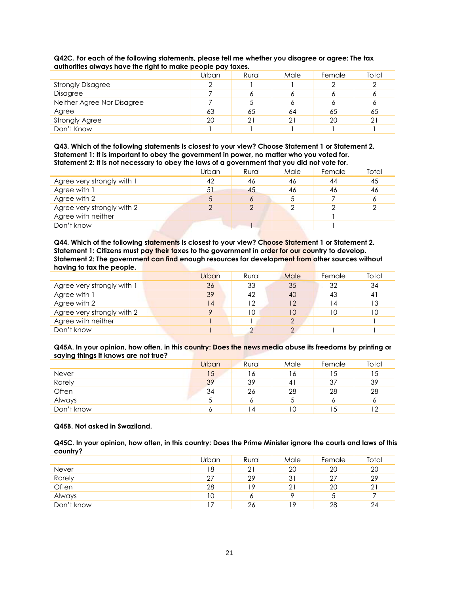|                            | r - r - <i>r</i> |       |      |        |       |
|----------------------------|------------------|-------|------|--------|-------|
|                            | Urban            | Rural | Male | Female | Total |
| <b>Strongly Disagree</b>   | っ                |       |      |        |       |
| Disagree                   |                  |       | O    |        | o     |
| Neither Agree Nor Disagree |                  |       |      |        | Ô     |
| Agree                      | 63               | 65    | 64   | 65     | 65    |
| <b>Strongly Agree</b>      | 20               | 21    | 21   | 20     | 21    |
| Don't Know                 |                  |       |      |        |       |

## **Q42C. For each of the following statements, please tell me whether you disagree or agree: The tax authorities always have the right to make people pay taxes.**

**Q43. Which of the following statements is closest to your view? Choose Statement 1 or Statement 2. Statement 1: It is important to obey the government in power, no matter who you voted for. Statement 2: It is not necessary to obey the laws of a government that you did not vote for.**

|                            | Urban | Rural | Male       | Female | Total |
|----------------------------|-------|-------|------------|--------|-------|
| Agree very strongly with 1 | 42    | 46    | 46         | 44     | 45    |
| Agree with 1               | 51    | 45    | 46         | 46     | 46    |
| Agree with 2               | Ċ     |       |            |        | 6     |
| Agree very strongly with 2 |       |       | $\sqrt{2}$ |        |       |
| Agree with neither         |       |       |            |        |       |
| Don't know                 |       |       |            |        |       |

**Q44. Which of the following statements is closest to your view? Choose Statement 1 or Statement 2. Statement 1: Citizens must pay their taxes to the government in order for our country to develop. Statement 2: The government can find enough resources for development from other sources without having to tax the people.**

|                            | Urban   | Rural | Male | Female | Total |
|----------------------------|---------|-------|------|--------|-------|
| Agree very strongly with 1 | 36      | 33    | 35   | 32     | 34    |
| Agree with 1               | 39      | 42    | 40   | 43     | 41    |
| Agree with 2               | 14      | 12    | 12   | 4 ا    | 13    |
| Agree very strongly with 2 | $\circ$ | 10    | 10   | 10     | 10    |
| Agree with neither         |         |       | っ    |        |       |
| Don't know                 |         |       |      |        |       |

**Q45A. In your opinion, how often, in this country: Does the news media abuse its freedoms by printing or saying things it knows are not true?**

|            | Urban | Rural | Male           | Female | Total |
|------------|-------|-------|----------------|--------|-------|
| Never      | 15    | 16    | 16             | 15     | 15    |
| Rarely     | 39    | 39    | 4 <sup>1</sup> | 37     | 39    |
| Often      | 34    | 26    | 28             | 28     | 28    |
| Always     | J     |       | J              |        | O     |
| Don't know | o     | 14    | 10             | 15     | 12    |

#### **Q45B. Not asked in Swaziland.**

**Q45C. In your opinion, how often, in this country: Does the Prime Minister ignore the courts and laws of this country?**

|              | Urban | Rural | Male | Female | Total |
|--------------|-------|-------|------|--------|-------|
| <b>Never</b> | 18    | 21    | 20   | 20     | 20    |
| Rarely       | 27    | 29    | 31   | 27     | 29    |
| Often        | 28    | 19.   | 21   | 20     | 21    |
| Always       | 10    | o     |      |        |       |
| Don't know   |       | 26    | 19   | 28     | 24    |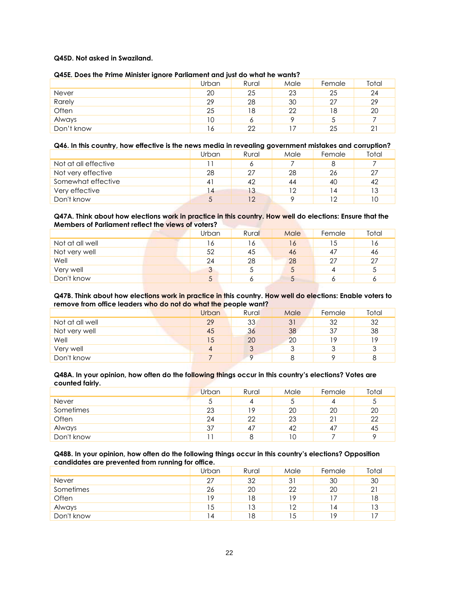## **Q45D. Not asked in Swaziland.**

### **Q45E. Does the Prime Minister ignore Parliament and just do what he wants?**

| $\sim$     | Urban | Rural | Male | Female | Total |
|------------|-------|-------|------|--------|-------|
| Never      | 20    | 25    | 23   | 25     | 24    |
| Rarely     | 29    | 28    | 30   | 27     | 29    |
| Often      | 25    | 18    | 22   | 18     | 20    |
| Always     | 10    | o     | o    |        |       |
| Don't know | 16    | 22    |      | 25     | 21    |

### **Q46. In this country, how effective is the news media in revealing government mistakes and corruption?**

|                      | Urban | Rural | Male | Female | Total |
|----------------------|-------|-------|------|--------|-------|
| Not at all effective |       |       |      |        |       |
| Not very effective   | 28    | 27    | 28   | 26     | 27    |
| Somewhat effective   | 4     | 42    | 44   | 40     | 42    |
| Very effective       |       | 13    | 12   | 14     | 13    |
| Don't know           |       | 12    |      | ר ו    | 10    |

## **Q47A. Think about how elections work in practice in this country. How well do elections: Ensure that the Members of Parliament reflect the views of voters?**

|                 | Urban | Rural | Male | Female | Total |
|-----------------|-------|-------|------|--------|-------|
| Not at all well | 16    | 16    | 16   | 15     | 16    |
| Not very well   | 52    | 45    | 46   | -47    | 46    |
| Well            | 24    | 28    | 28   | 27     | 27    |
| Very well       | 3     |       | C    |        | ა     |
| Don't know      | 5     |       | C    |        |       |

#### **Q47B. Think about how elections work in practice in this country. How well do elections: Enable voters to remove from office leaders who do not do what the people want?**

|                 | Urban | Rural | Male | Female | Total |
|-----------------|-------|-------|------|--------|-------|
|                 |       |       |      |        |       |
| Not at all well | 29    | 33    | 31   | 32     | 32    |
| Not very well   | 45    | 36    | 38   | 37     | 38    |
| Well            | 15    | 20    | 20   | ۱٥     | 19    |
| Very well       | 4     | ر     | 3    |        | 3     |
| Don't know      |       |       |      |        | 8     |

#### **Q48A. In your opinion, how often do the following things occur in this country's elections? Votes are counted fairly.**

|              | Urban | Rural | Male | Female | Total |
|--------------|-------|-------|------|--------|-------|
| <b>Never</b> | J     |       |      |        | ა     |
| Sometimes    | 23    | 19    | 20   | 20     | 20    |
| Often        | 24    | 22    | 23   |        | 22    |
| Always       | 37    | 47    | 42   | 47     | 45    |
| Don't know   |       |       | 10   |        | o     |

#### **Q48B. In your opinion, how often do the following things occur in this country's elections? Opposition candidates are prevented from running for office.**

| . .<br>_   | Urban | Rural | Male | Female | Total |
|------------|-------|-------|------|--------|-------|
| Never      | 27    | 32    | 31   | 30     | 30    |
| Sometimes  | 26    | 20    | 22   | 20     | 21    |
| Often      | 19    | 18    | 19   |        | 18    |
| Always     | 15    | 13    | 12   | 14     | 13    |
| Don't know | 4     | 18    | 15   | 19     |       |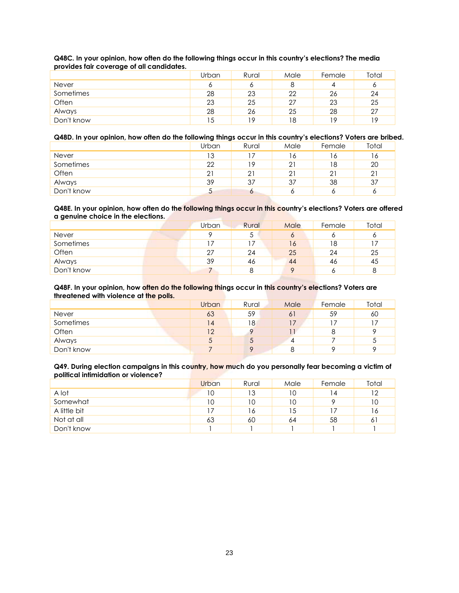|            | Urban | Rural | Male | Female | Total |
|------------|-------|-------|------|--------|-------|
| Never      | o     |       |      |        |       |
| Sometimes  | 28    | 23    | 22   | 26     | 24    |
| Often      | 23    | 25    | -27  | 23     | 25    |
| Always     | 28    | 26    | 25   | 28     | 27    |
| Don't know | 15    | 1 Q   | 18   | 19     | 19    |

## **Q48C. In your opinion, how often do the following things occur in this country's elections? The media provides fair coverage of all candidates.**

## **Q48D. In your opinion, how often do the following things occur in this country's elections? Voters are bribed.**

|              | Urban | Rural | Male           | Female | Total |
|--------------|-------|-------|----------------|--------|-------|
| <b>Never</b> | 13    |       | 16             | 16     | 16.   |
| Sometimes    | 22    | 19    | 2 <sup>1</sup> | 18     | 20    |
| Often        | 21    | 21    | 21             |        | 21    |
| Always       | 39    | 37    | 37             | 38     | 37    |
| Don't know   |       | o     |                |        |       |

### **Q48E. In your opinion, how often do the following things occur in this country's elections? Voters are offered a genuine choice in the elections.**

|            | <b>Urban</b> | Rural | Male    | Female | Total |
|------------|--------------|-------|---------|--------|-------|
| Never      | O            |       | $\circ$ |        | O     |
| Sometimes  |              |       | 16      | 18     |       |
| Often      | 27           | 24    | 25      | 24     | 25    |
| Always     | 39           | 46    | 44      | 46     | 45    |
| Don't know |              |       | $\circ$ |        | 8     |

### **Q48F. In your opinion, how often do the following things occur in this country's elections? Voters are threatened with violence at the polls.**

| -          | <b>Urban</b> | Rural | Male | Female | Total |
|------------|--------------|-------|------|--------|-------|
| Never      | 63           | 59    | 61   | 59     | 60    |
| Sometimes  | 14           | 18    |      |        |       |
| Often      | 12           |       |      |        |       |
| Always     | C            |       |      |        | C     |
| Don't know |              |       | 8    |        | Ω     |

## **Q49. During election campaigns in this country, how much do you personally fear becoming a victim of political intimidation or violence?**

|              | Urban | Rural | Male | Female | Total |
|--------------|-------|-------|------|--------|-------|
| A lot        | 10    | 13    | 10   | 4      | 12    |
| Somewhat     | 10    | 10    | 10   |        | 10    |
| A little bit |       | 16    | 15   |        | 16    |
| Not at all   | 63    | 60    | 64   | 58     | 61    |
| Don't know   |       |       |      |        |       |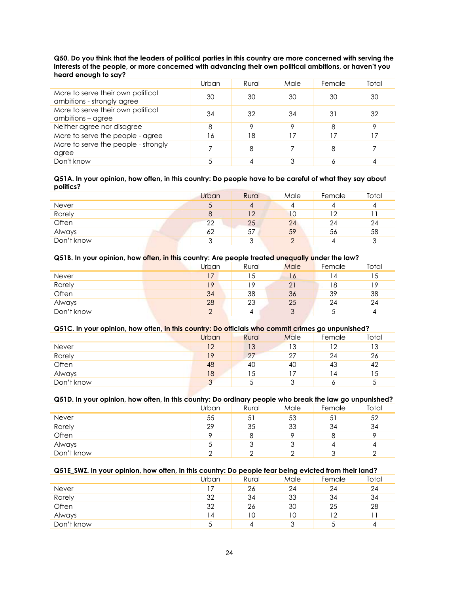### **Q50. Do you think that the leaders of political parties in this country are more concerned with serving the interests of the people, or more concerned with advancing their own political ambitions, or haven't you heard enough to say?**

|                                                                 | Urban | Rural | Male | Female | Total |
|-----------------------------------------------------------------|-------|-------|------|--------|-------|
| More to serve their own political<br>ambitions - strongly agree | 30    | 30    | 30   | 30     | 30    |
| More to serve their own political<br>ambitions – agree          | 34    | 32    | 34   | 31     | 32    |
| Neither agree nor disagree                                      | 8     |       | Q    | 8      | Q     |
| More to serve the people - agree                                | 16    | 18    | 17   |        |       |
| More to serve the people - strongly<br>agree                    |       |       |      |        |       |
| Don't know                                                      |       |       |      |        |       |

#### **Q51A. In your opinion, how often, in this country: Do people have to be careful of what they say about politics?**

|              | Urban  | Rural | Male | Female | Total |
|--------------|--------|-------|------|--------|-------|
| <b>Never</b> | C      |       |      |        | 4     |
| Rarely       | 8      | 12    | 10   | ר ו    |       |
| Often        | 22     | 25    | 24   | 24     | 24    |
| Always       | 62     | 57    | 59   | 56     | 58    |
| Don't know   | ર<br>◡ |       | ◠    |        | 3     |

## **Q51B. In your opinion, how often, in this country: Are people treated unequally under the law?**

|            | Urban | Rural | Male   | Female | Total |
|------------|-------|-------|--------|--------|-------|
| Never      | 17    | 15    | 16     |        | 15    |
| Rarely     | 19    | 19    | 21     | 18     | 19    |
| Often      | 34    | 38    | 36     | 39     | 38    |
| Always     | 28    | 23    | 25     | 24     | 24    |
| Don't know | ↷     |       | ◠<br>J |        |       |

## **Q51C. In your opinion, how often, in this country: Do officials who commit crimes go unpunished?**

| . .        | Urban             | Rural | Male | Female | Total |
|------------|-------------------|-------|------|--------|-------|
| Never      | 12                | 13    | 13   | 12     | 13    |
| Rarely     | 19                | 27    | 27   | 24     | 26    |
| Often      | 48                | 40    | 40   | 43     | 42    |
| Always     | 18                | 15    |      | 14     | 15    |
| Don't know | $\mathbf{\Omega}$ |       |      |        |       |

## **Q51D. In your opinion, how often, in this country: Do ordinary people who break the law go unpunished?**

|            | Urban | Rural | Male | Female | Total |
|------------|-------|-------|------|--------|-------|
| Never      | 55    | 51    | 53   | -51    | 52    |
| Rarely     | 29    | 35    | 33   | 34     | 34    |
| Often      | Q     |       |      |        | O     |
| Always     | J     | J     | J    |        | 4     |
| Don't know |       |       |      |        |       |

## **Q51E\_SWZ. In your opinion, how often, in this country: Do people fear being evicted from their land?**

|              | Urban                    | Rural | Male | Female | Total |
|--------------|--------------------------|-------|------|--------|-------|
| <b>Never</b> |                          | 26    | 24   | 24     | 24    |
| Rarely       | 32                       | 34    | 33   | 34     | 34    |
| Often        | 32                       | 26    | 30   | 25     | 28    |
| Always       | 14                       | 10    | 10   | 12     |       |
| Don't know   | $\overline{\phantom{0}}$ |       | ્ર   |        | 4     |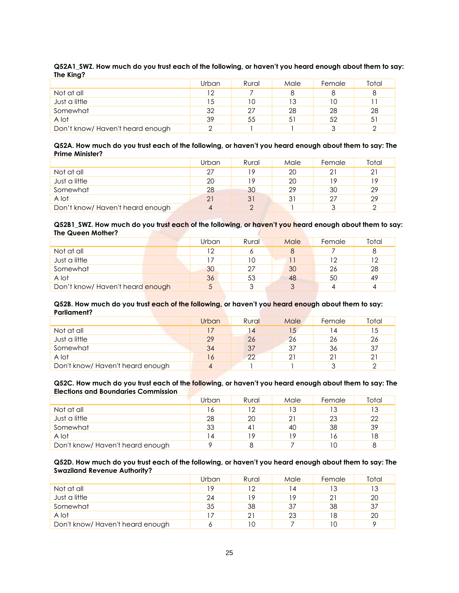| $\sim$                          | Urban | Rural | Male | Female | Total |
|---------------------------------|-------|-------|------|--------|-------|
| Not at all                      | 12    |       |      |        | 8     |
| Just a little                   | 15    |       | 13   |        |       |
| Somewhat                        | 32    | 27    | 28   | 28     | 28    |
| A lot                           | 39    | 55    | 51   | 52     | 51    |
| Don't know/Haven't heard enough |       |       |      |        | ⌒     |

#### **Q52A1\_SWZ. How much do you trust each of the following, or haven't you heard enough about them to say: The King?**

#### **Q52A. How much do you trust each of the following, or haven't you heard enough about them to say: The Prime Minister?**

|                                  | Urban | Rural | Male | Female | Total |
|----------------------------------|-------|-------|------|--------|-------|
| Not at all                       | 27    | 19    | 20   |        | 21    |
| Just a little                    | 20    | 19    | 20   | 1 Q    | 19    |
| Somewhat                         | 28    | 30    | 29   | 30     | 29    |
| A lot                            | 21    | 31    | 31   | クフ     | 29    |
| Don't know/ Haven't heard enough | 4     |       |      |        |       |

### **Q52B1\_SWZ. How much do you trust each of the following, or haven't you heard enough about them to say: The Queen Mother?**

|                                 | Urban | Rural | Male | Female | Total   |
|---------------------------------|-------|-------|------|--------|---------|
| Not at all                      | 12    |       | 8    |        |         |
| Just a little                   |       | 10    |      |        | $12 \,$ |
| Somewhat                        | 30    | 27    | 30   | 26     | 28      |
| A lot                           | 36    | 53    | 48   | 50     | 49      |
| Don't know/Haven't heard enough | 5     |       | っ    |        | 4       |

#### **Q52B. How much do you trust each of the following, or haven't you heard enough about them to say: Parliament?**

|                                 | Urban | Rural | Male | Female         | Total |
|---------------------------------|-------|-------|------|----------------|-------|
| Not at all                      | 17    | 14    | 15   | $\overline{4}$ | 15    |
| Just a little                   | 29    | 26    | 26   | 26             | 26    |
| Somewhat                        | 34    | 37    | 37   | 36             | 37    |
| A lot                           | 16    | 22    | 21   |                | 21    |
| Don't know/Haven't heard enough | 4     |       |      |                |       |

## **Q52C. How much do you trust each of the following, or haven't you heard enough about them to say: The Elections and Boundaries Commission**

|                                 | Urban          | Rural                | Male | Female | Total |
|---------------------------------|----------------|----------------------|------|--------|-------|
| Not at all                      | 16             | 12                   | 13   |        | 13    |
| Just a little                   | 28             | 20                   | 21   | 23     | 22    |
| Somewhat                        | 33             | $\mathbf{4}^{\cdot}$ | 40   | 38     | 39    |
| A lot                           | $\overline{4}$ | 19                   | 19   | Ô      | 18    |
| Don't know/Haven't heard enough |                |                      |      |        | 8     |

### **Q52D. How much do you trust each of the following, or haven't you heard enough about them to say: The Swaziland Revenue Authority?**

|                                 | Urban | Rural | Male           | Female | Total |
|---------------------------------|-------|-------|----------------|--------|-------|
| Not at all                      | 10    | 12.   | $\overline{4}$ | 13     | 13    |
| Just a little                   | 24    | 19    | 19             |        | 20    |
| Somewhat                        | 35    | 38    | 37             | 38     | 37    |
| A lot                           |       | 21    | 23             | 18     | 20    |
| Don't know/Haven't heard enough |       | 10    |                | 10     | o     |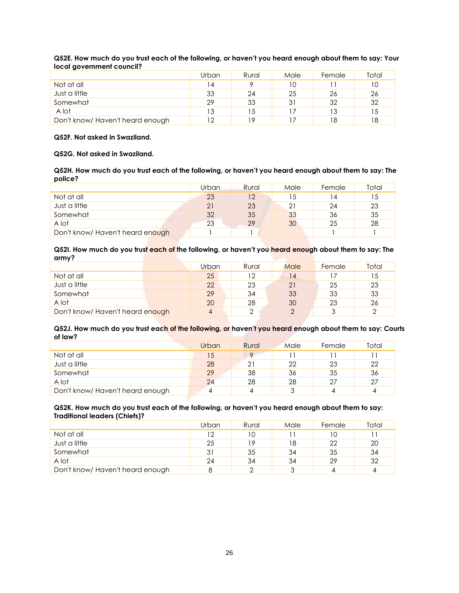| .                               |       |       |      |        |       |
|---------------------------------|-------|-------|------|--------|-------|
|                                 | Urban | Rural | Male | Female | Total |
| Not at all                      | 14    |       | 10   |        | 10    |
| Just a little                   | 33    | 24    | 25   | 26     | 26    |
| Somewhat                        | 29    | 33    | 31   | 32     | 32    |
| A lot                           | 13    | 15    |      | 13     | 15    |
| Don't know/Haven't heard enough | ר ו   | 1 Q   |      | ۱8     | 18    |

## **Q52E. How much do you trust each of the following, or haven't you heard enough about them to say: Your local government council?**

## **Q52F. Not asked in Swaziland.**

### **Q52G. Not asked in Swaziland.**

**Q52H. How much do you trust each of the following, or haven't you heard enough about them to say: The police?**

|                                  | Urban | Rural | Male | Female | Total |
|----------------------------------|-------|-------|------|--------|-------|
| Not at all                       | 23    | 12    | 15   | 14     | 15    |
| Just a little                    | 21    | 23    | 21   | 24     | 23    |
| Somewhat                         | 32    | 35    | 33   | 36     | 35    |
| A lot                            | 23    | 29    | 30   | 25     | 28    |
| Don't know/ Haven't heard enough |       |       |      |        |       |

#### **Q52I. How much do you trust each of the following, or haven't you heard enough about them to say: The army?**

|                                  | Urban | Rural | Male     | Female | Total |
|----------------------------------|-------|-------|----------|--------|-------|
| Not at all                       | 25    | 12    | 14       |        | 15    |
| Just a little                    | 22    | 23    | 21       | 25     | 23    |
| Somewhat                         | 29    | 34    | 33       | 33     | 33    |
| A lot                            | 20    | 28    | 30       | 23     | 26    |
| Don't know/ Haven't heard enough | 4     |       | $\Omega$ |        |       |

### **Q52J. How much do you trust each of the following, or haven't you heard enough about them to say: Courts of law?**

|                                  | Urban | Rural    | Male | Female | Total |
|----------------------------------|-------|----------|------|--------|-------|
| Not at all                       | 15    | $\Omega$ |      |        |       |
| Just a little                    | 28    | 21       | 22   | 23     | 22    |
| Somewhat                         | 29    | 38       | 36   | 35     | 36    |
| A lot                            | 24    | 28       | 28   | 27     | 27    |
| Don't know/ Haven't heard enough | 4     |          |      |        | 4     |

### **Q52K. How much do you trust each of the following, or haven't you heard enough about them to say: Traditional leaders (Chiefs)?**

|                                 | Urban | Rural | Male | Female | Total |
|---------------------------------|-------|-------|------|--------|-------|
| Not at all                      | າາ    | 10    |      |        |       |
| Just a little                   | 25    | 19    | 18   | 22     | 20    |
| Somewhat                        | 31    | 35    | 34   | 35     | 34    |
| A lot                           | 24    | 34    | 34   | 29     | 32    |
| Don't know/Haven't heard enough |       |       |      |        |       |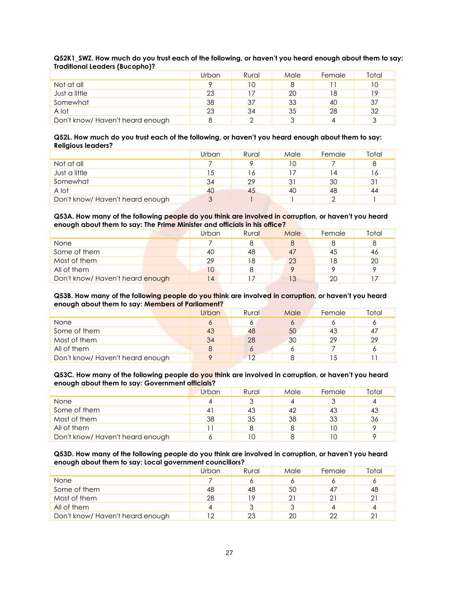| <b>Hadillondi Ecaders (Bocopho):</b> |       |       |      |        |       |
|--------------------------------------|-------|-------|------|--------|-------|
|                                      | Urban | Rural | Male | Female | Total |
| Not at all                           | о     | 10    |      |        | 10    |
| Just a little                        | 23    |       | 20   | 18     | 19    |
| Somewhat                             | 38    | 37    | 33   | 40     | 37    |
| A lot                                | 23    | 34    | 35   | 28     | 32    |
| Don't know/Haven't heard enough      |       |       | ◠    |        |       |

### **Q52K1\_SWZ. How much do you trust each of the following, or haven't you heard enough about them to say: Traditional Leaders (Bucopho)?**

#### **Q52L. How much do you trust each of the following, or haven't you heard enough about them to say: Religious leaders?**

|                                 | Urban | Rural | Male | Female | Total |
|---------------------------------|-------|-------|------|--------|-------|
| Not at all                      |       |       | 1 C  |        | 8     |
| Just a little                   | 15    | 16    |      | 14     | 16    |
| Somewhat                        | 34    | 29    | 31   | 30     | 31    |
| A lot                           | 40    | 45    | 40   | 48     | 44    |
| Don't know/Haven't heard enough | 3     |       |      |        |       |

## **Q53A. How many of the following people do you think are involved in corruption, or haven't you heard enough about them to say: The Prime Minister and officials in his office?**

|                                  | Urban          | Rural | Male | Female | Total |
|----------------------------------|----------------|-------|------|--------|-------|
| None                             |                |       |      |        |       |
| Some of them                     | 40             | 48    | 47   | 45     | 46    |
| Most of them                     | 29             | 18    | 23   | 18     | 20    |
| All of them                      | 10             |       |      |        |       |
| Don't know/ Haven't heard enough | $\overline{4}$ |       | 13   | 20     |       |

#### **Q53B. How many of the following people do you think are involved in corruption, or haven't you heard enough about them to say: Members of Parliament?**

|                                  | Urban | Rural | Male    | Female | Total |
|----------------------------------|-------|-------|---------|--------|-------|
| None                             | O     |       | $\circ$ |        |       |
| Some of them                     | 43    | 48    | 50      | 43     | 47    |
| Most of them                     | 34    | 28    | 30      | 29     | 29    |
| All of them                      |       |       |         |        |       |
| Don't know/ Haven't heard enough |       | 12    |         |        |       |

#### **Q53C. How many of the following people do you think are involved in corruption, or haven't you heard enough about them to say: Government officials?**

|                                  | Urban | Rural | Male | Female | Total |
|----------------------------------|-------|-------|------|--------|-------|
| None                             |       |       |      |        |       |
| Some of them                     | 41    | 43    | 42   |        | 43    |
| Most of them                     | 38    | 35    | 38   | 33     | 36    |
| All of them                      |       |       | 8    |        | о     |
| Don't know/ Haven't heard enough |       |       |      |        |       |

#### **Q53D. How many of the following people do you think are involved in corruption, or haven't you heard enough about them to say: Local government councillors?**

|                                  | Urban | Rural | Male | Female | Total |
|----------------------------------|-------|-------|------|--------|-------|
| None                             |       |       |      |        |       |
| Some of them                     | 48    | 48    | 50   |        | 48    |
| Most of them                     | 28    | 19    | 21   |        | 21    |
| All of them                      |       |       |      |        |       |
| Don't know/ Haven't heard enough |       | 23    | 20   | າາ     | 21    |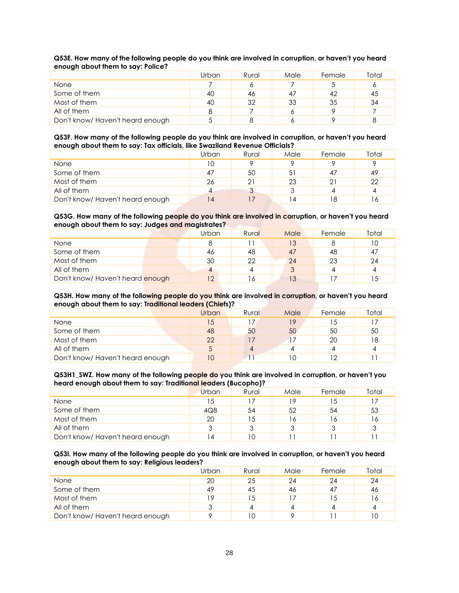|                                  | <b>Urban</b> | Rural | Male | Female | Total |
|----------------------------------|--------------|-------|------|--------|-------|
| None                             |              |       |      |        |       |
| Some of them                     | 40           | 46    | 47   | 42     | 45    |
| Most of them                     | 40           | 32    | 33   | 35     | 34    |
| All of them                      | 8            |       |      |        |       |
| Don't know/ Haven't heard enough |              |       |      |        |       |

## **Q53E. How many of the following people do you think are involved in corruption, or haven't you heard enough about them to say: Police?**

#### **Q53F. How many of the following people do you think are involved in corruption, or haven't you heard enough about them to say: Tax officials, like Swaziland Revenue Officials?**

|                                  | Urban | Rural | Male | Female | Total |
|----------------------------------|-------|-------|------|--------|-------|
| None                             | 10    |       |      |        |       |
| Some of them                     | 47    | 50    | 51   |        | 49    |
| Most of them                     | 26    |       | 23   |        | 22    |
| All of them                      |       |       |      |        |       |
| Don't know/ Haven't heard enough | 14    |       | ا 4  | ۱8     | 16    |

## **Q53G. How many of the following people do you think are involved in corruption, or haven't you heard enough about them to say: Judges and magistrates?**

|                                  | Urban | Rural | Male | Female | Total |
|----------------------------------|-------|-------|------|--------|-------|
| None                             |       |       | 13   |        | 10    |
| Some of them                     | 46    | 48    | 47   | 48     | 47    |
| Most of them                     | 30    | つつ    | 24   | 23     | 24    |
| All of them                      | 4     |       |      |        |       |
| Don't know/ Haven't heard enough |       |       | 13   |        | 15    |

#### **Q53H. How many of the following people do you think are involved in corruption, or haven't you heard enough about them to say: Traditional leaders (Chiefs)?**

| -                                |       |       |      |        |       |
|----------------------------------|-------|-------|------|--------|-------|
|                                  | Urban | Rural | Male | Female | Total |
| None                             | 15    |       | 19   | .5     |       |
| Some of them                     | 48    | 50    | 50   | 50     | 50    |
| Most of them                     | 22    |       |      | 20     | 18    |
| All of them                      |       | 4     |      |        |       |
| Don't know/ Haven't heard enough | 10    |       | 10   | ר ו    |       |

#### **Q53H1\_SWZ. How many of the following people do you think are involved in corruption, or haven't you heard enough about them to say: Traditional leaders (Bucopho)?**

|                                  | Urban | Rural | Male | Female | Total |
|----------------------------------|-------|-------|------|--------|-------|
| None                             |       |       | 19   | 5      |       |
| Some of them                     | 4Q8   | 54    | 52   | 54     | 53    |
| Most of them                     | 20    |       | 16   | Ô      | 16    |
| All of them                      |       |       |      |        |       |
| Don't know/ Haven't heard enough | ı 4   | 10    |      |        |       |

#### **Q53I. How many of the following people do you think are involved in corruption, or haven't you heard enough about them to say: Religious leaders?**

|                                  | Urban | Rural | Male | Female | Total |
|----------------------------------|-------|-------|------|--------|-------|
| None                             | 20    | 25    | 24   | 24     | 24    |
| Some of them                     | 49    | 45    | 46   | -47    | 46    |
| Most of them                     | 19    | 15    |      | 15     | 16    |
| All of them                      |       |       |      |        |       |
| Don't know/ Haven't heard enough | C     |       |      |        |       |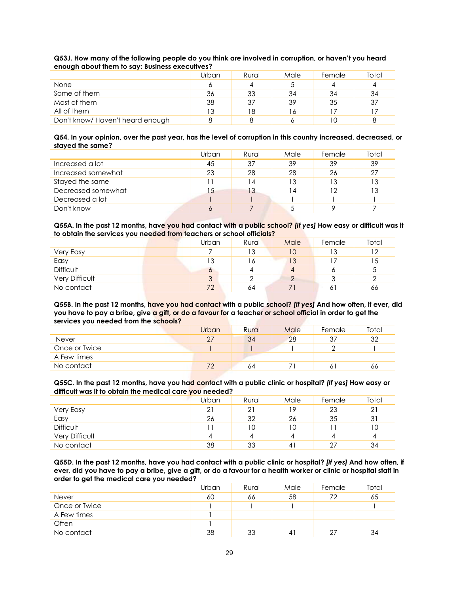## **Q53J. How many of the following people do you think are involved in corruption, or haven't you heard enough about them to say: Business executives?**

| -                               |       |       |      |        |       |
|---------------------------------|-------|-------|------|--------|-------|
|                                 | Urban | Rural | Male | Female | Total |
| <b>None</b>                     | O     |       |      |        |       |
| Some of them                    | 36    | 33    | 34   | 34     | 34    |
| Most of them                    | 38    | 37    | 39   | 35     | 37    |
| All of them                     | 13    | 18    | 6    |        |       |
| Don't know/Haven't heard enough |       |       |      | 10     |       |

#### **Q54. In your opinion, over the past year, has the level of corruption in this country increased, decreased, or stayed the same?**

|                    | Urban | Rural | Male | Female | Total |
|--------------------|-------|-------|------|--------|-------|
| Increased a lot    | 45    | 37    | 39   | 39     | 39    |
| Increased somewhat | 23    | 28    | 28   | 26     | 27    |
| Stayed the same    |       | 4     | 13   | ıз     | 13    |
| Decreased somewhat | 15    | 13    | ا 4  | 12     | 13    |
| Decreased a lot    |       |       |      |        |       |
| Don't know         | O     |       |      |        |       |

**Q55A. In the past 12 months, have you had contact with a public school?** *[If yes]* **How easy or difficult was it to obtain the services you needed from teachers or school officials?**

|                       | Urban | Rural | Male | Female | Total                |
|-----------------------|-------|-------|------|--------|----------------------|
| Very Easy             |       | 13    | 10   | 13     | 12                   |
| Easy                  | 13    | 16    | 13   |        | 15                   |
| <b>Difficult</b>      | Ô     |       | 4    |        | $\ddot{\phantom{1}}$ |
| <b>Very Difficult</b> | 3     |       |      |        |                      |
| No contact            | 72    | 64    |      | Ō      | 66                   |

**Q55B. In the past 12 months, have you had contact with a public school?** *[If yes]* **And how often, if ever, did you have to pay a bribe, give a gift, or do a favour for a teacher or school official in order to get the services you needed from the schools?**

|               | Urban | Rural | Male | Female | Total |
|---------------|-------|-------|------|--------|-------|
| <b>Never</b>  | 27    | 34    | 28   |        | 32    |
| Once or Twice |       |       |      |        |       |
| A Few times   |       |       |      |        |       |
| No contact    | 70    | 64    |      |        | 66    |

### **Q55C. In the past 12 months, have you had contact with a public clinic or hospital?** *[If yes]* **How easy or difficult was it to obtain the medical care you needed?**

|                  | Urban | Rural | Male | Female | Total |
|------------------|-------|-------|------|--------|-------|
| Very Easy        | 21    | 21    | 19   | 23     | 21    |
| Easy             | 26    | 32    | 26   | 35     | 31    |
| <b>Difficult</b> |       | 10    | 10   |        | 10    |
| Very Difficult   | 4     |       |      |        |       |
| No contact       | 38    | 33    | 41   | 27     | 34    |

**Q55D. In the past 12 months, have you had contact with a public clinic or hospital?** *[If yes]* **And how often, if ever, did you have to pay a bribe, give a gift, or do a favour for a health worker or clinic or hospital staff in order to get the medical care you needed?**

|               | Urban | Rural | Male           | Female | Total |
|---------------|-------|-------|----------------|--------|-------|
| <b>Never</b>  | 60    | 66    | 58             | 72     | 65    |
| Once or Twice |       |       |                |        |       |
| A Few times   |       |       |                |        |       |
| Often         |       |       |                |        |       |
| No contact    | 38    | 33    | $\overline{4}$ | 27     | 34    |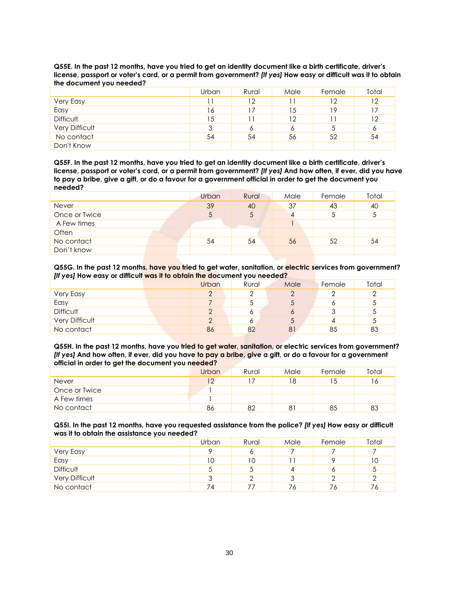|                  | Urban | Rural | Male | Female | Total |
|------------------|-------|-------|------|--------|-------|
| Very Easy        | 11    | 12    |      | 12     | 12    |
| Easy             | 16    |       | 15   | 19     | 17    |
| <b>Difficult</b> | 15    |       | 12   |        | 12    |
| Very Difficult   | 3     | O     | 6    |        | 6     |
| No contact       | 54    | 54    | 56   | 52     | 54    |
| Don't Know       |       |       |      |        |       |

**Q55E. In the past 12 months, have you tried to get an identity document like a birth certificate, driver's license, passport or voter's card, or a permit from government?** *[If yes]* **How easy or difficult was it to obtain the document you needed?**

**Q55F. In the past 12 months, have you tried to get an identity document like a birth certificate, driver's license, passport or voter's card, or a permit from government?** *[If yes]* **And how often, if ever, did you have to pay a bribe, give a gift, or do a favour for a government official in order to get the document you needed?**

|               | Urban | Rural | Male | Female | Total |
|---------------|-------|-------|------|--------|-------|
| <b>Never</b>  | 39    | 40    | 37   | 43     | 40    |
| Once or Twice | 5     |       |      |        | 5     |
| A Few times   |       |       |      |        |       |
| Often         |       |       |      |        |       |
| No contact    | 54    | 54    | 56   | 52     | 54    |
| Don't know    |       |       |      |        |       |

**Q55G. In the past 12 months, have you tried to get water, sanitation, or electric services from government?** *[If yes]* **How easy or difficult was it to obtain the document you needed?**

|                  | Urban    | Rural | Male       | Female | Total  |
|------------------|----------|-------|------------|--------|--------|
| Very Easy        | $\Omega$ |       | $\sqrt{2}$ |        | ◠      |
| Easy             |          |       |            |        | ∽<br>◡ |
| <b>Difficult</b> | $\Omega$ |       |            |        | ◡      |
| Very Difficult   | $\Omega$ |       | C          |        | ∽      |
| No contact       | 86       | 82    | 81         | 85     | 83     |

**Q55H. In the past 12 months, have you tried to get water, sanitation, or electric services from government?**  *[If yes]* **And how often, if ever, did you have to pay a bribe, give a gift, or do a favour for a government official in order to get the document you needed?**

|               | Urban | Rural | Male | Female | Total |
|---------------|-------|-------|------|--------|-------|
| Never         | ר ו   |       | 18   | כ ו    | 6     |
| Once or Twice |       |       |      |        |       |
| A Few times   |       |       |      |        |       |
| No contact    | 86    | 82    | 81   | 85     | 83    |

**Q55I. In the past 12 months, have you requested assistance from the police?** *[If yes]* **How easy or difficult was it to obtain the assistance you needed?**

|                  | Urban | Rural | Male | Female | Total |
|------------------|-------|-------|------|--------|-------|
| Very Easy        | O     | o     |      |        |       |
| Easy             | 10    | 10    |      |        | 10    |
| <b>Difficult</b> | 5     | ◡     | 4    |        | ა     |
| Very Difficult   | ാ     |       | ર    |        | ∩     |
| No contact       | 74    |       | 76   | 76     | 76    |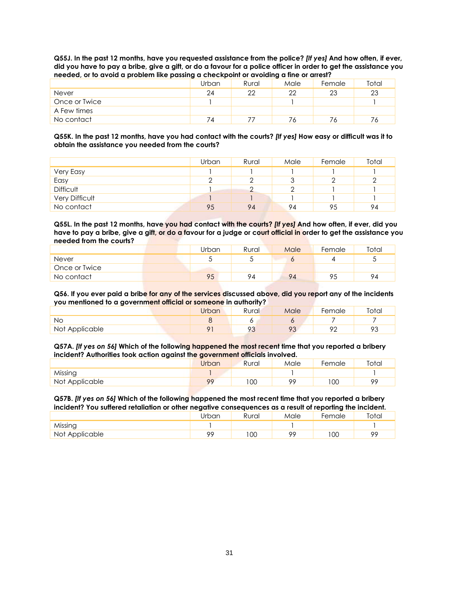**Q55J. In the past 12 months, have you requested assistance from the police?** *[If yes]* **And how often, if ever, did you have to pay a bribe, give a gift, or do a favour for a police officer in order to get the assistance you needed, or to avoid a problem like passing a checkpoint or avoiding a fine or arrest?**

|               | Urban      | Rural | Male | Female | Total |
|---------------|------------|-------|------|--------|-------|
| <b>Never</b>  | 24         | 22    | 22   | 23     | 23    |
| Once or Twice |            |       |      |        |       |
| A Few times   |            |       |      |        |       |
| No contact    | $\sqrt{4}$ |       |      | ٬6     |       |

**Q55K. In the past 12 months, have you had contact with the courts?** *[If yes]* **How easy or difficult was it to obtain the assistance you needed from the courts?**

|                  | Urban | Rural | Male   | Female | Total |
|------------------|-------|-------|--------|--------|-------|
| Very Easy        |       |       |        |        |       |
| Easy             | r     |       | հ<br>J |        |       |
| <b>Difficult</b> |       |       | $\sim$ |        |       |
| Very Difficult   |       |       |        |        |       |
| No contact       | 95    | 94    | 94     | 95     | 94    |

**Q55L. In the past 12 months, have you had contact with the courts?** *[If yes]* **And how often, if ever, did you have to pay a bribe, give a gift, or do a favour for a judge or court official in order to get the assistance you needed from the courts?**

|               | Urban | Rural | Male | Female | Total |
|---------------|-------|-------|------|--------|-------|
| <b>Never</b>  |       |       |      |        |       |
| Once or Twice |       |       |      |        |       |
| No contact    | 95    | 94    | 94   |        | 94    |

**Q56. If you ever paid a bribe for any of the services discussed above, did you report any of the incidents you mentioned to a government official or someone in authority?**

|                | Jrban | Rural | Male            | Female | Total        |
|----------------|-------|-------|-----------------|--------|--------------|
| Νo             |       |       |                 |        |              |
| Not Applicable | O     | റാ    | o٢<br>$\cdot$ . | ∩∩     | ΩC<br>$\sim$ |

**Q57A.** *[If yes on 56]* **Which of the following happened the most recent time that you reported a bribery incident? Authorities took action against the government officials involved.**

|                | Jrban   | Rural        | Male    | Female      | Total   |
|----------------|---------|--------------|---------|-------------|---------|
| Missing        |         |              |         |             |         |
| Not Applicable | $\circ$ | <sub>0</sub> | $\circ$ | $_{\rm OC}$ | $\circ$ |

**Q57B.** *[If yes on 56]* **Which of the following happened the most recent time that you reported a bribery incident? You suffered retaliation or other negative consequences as a result of reporting the incident.**

|                | Jrban   | Rural | Male | Female | Total   |
|----------------|---------|-------|------|--------|---------|
| Missing        |         |       |      |        |         |
| Not Applicable | $\circ$ | 00    | oc   | 00     | $\circ$ |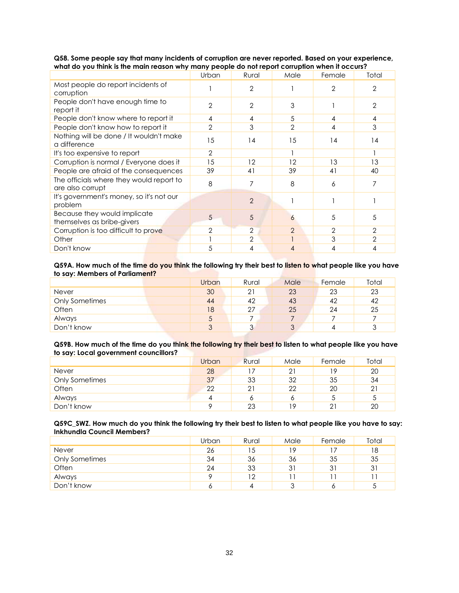|                                                              | Urban          | Rural             | Male           | Female | Total          |
|--------------------------------------------------------------|----------------|-------------------|----------------|--------|----------------|
| Most people do report incidents of<br>corruption             |                | 2                 |                | 2      | 2              |
| People don't have enough time to<br>report it                | $\overline{2}$ | 2                 | 3              |        | 2              |
| People don't know where to report it                         | 4              | 4                 | 5              | 4      | 4              |
| People don't know how to report it                           | $\mathbf{2}$   | 3                 | $\overline{2}$ | 4      | 3              |
| Nothing will be done / It wouldn't make<br>a difference      | 15             | 14                | 15             | 14     | 14             |
| It's too expensive to report                                 | $\overline{2}$ |                   |                |        |                |
| Corruption is normal / Everyone does it                      | 15             | $12 \overline{ }$ | 12             | 13     | 13             |
| People are afraid of the consequences                        | 39             | 41                | 39             | 41     | 40             |
| The officials where they would report to<br>are also corrupt | 8              | 7                 | 8              | 6      |                |
| It's government's money, so it's not our<br>problem          |                | $\mathfrak{D}$    |                |        |                |
| Because they would implicate<br>themselves as bribe-givers   | 5              | 5                 | 6              | 5      | 5              |
| Corruption is too difficult to prove                         | $\overline{2}$ | $\overline{2}$    | $\overline{2}$ | 2      | 2              |
| Other                                                        |                | $\overline{2}$    |                |        | $\overline{2}$ |
| Don't know                                                   | 5              | 4                 | 4              | 4      | 4              |

**Q58. Some people say that many incidents of corruption are never reported. Based on your experience, what do you think is the main reason why many people do not report corruption when it occurs?**

## **Q59A. How much of the time do you think the following try their best to listen to what people like you have to say: Members of Parliament?**

|                       | Urban         | Rural | Male | Female | Total |
|-----------------------|---------------|-------|------|--------|-------|
| Never                 | 30            |       | 23   | 23     | 23    |
| <b>Only Sometimes</b> | 44            | 42    | 43   | 42     | 42    |
| Often                 | 18            | 27    | 25   | 24     | 25    |
| Always                | $\mathcal{L}$ |       |      |        |       |
| Don't know            | 3             |       | 3    |        | 3     |

#### **Q59B. How much of the time do you think the following try their best to listen to what people like you have to say: Local government councillors?**

| . .                   | Urban | Rural | Male | Female | Total          |
|-----------------------|-------|-------|------|--------|----------------|
| Never                 | 28    |       | 21   |        | 20             |
| <b>Only Sometimes</b> | 37    | 33    | 32   | 35     | 34             |
| Often                 | 22    | 21    | 22   | 20     | 2 <sup>1</sup> |
| Always                |       |       |      |        | ა              |
| Don't know            |       | 23    | 19   |        | 20             |

#### **Q59C\_SWZ. How much do you think the following try their best to listen to what people like you have to say: Inkhundla Council Members?**

|                       | Urban | Rural | Male | Female | Total |
|-----------------------|-------|-------|------|--------|-------|
| <b>Never</b>          | 26    | 15    | 19   |        | 18    |
| <b>Only Sometimes</b> | 34    | 36    | 36   | 35     | 35    |
| Often                 | 24    | 33    | 31   | 31     | 31    |
| Always                | о     | 12    |      |        |       |
| Don't know            | O     |       | ാ    |        | C     |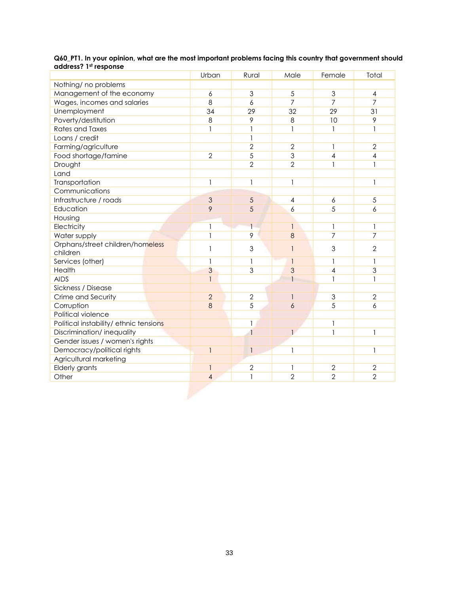|                                        | Urban                    | Rural          | Male           | Female         | Total          |
|----------------------------------------|--------------------------|----------------|----------------|----------------|----------------|
| Nothing/ no problems                   |                          |                |                |                |                |
| Management of the economy              | 6                        | 3              | 5              | 3              | 4              |
| Wages, incomes and salaries            | 8                        | 6              | 7              | 7              | 7              |
| Unemployment                           | 34                       | 29             | 32             | 29             | 31             |
| Poverty/destitution                    | 8                        | 9              | 8              | 10             | 9              |
| <b>Rates and Taxes</b>                 | $\mathbf{1}$             | 1              | $\mathbf{I}$   | $\mathbf{1}$   | $\mathbf{1}$   |
| Loans / credit                         |                          | 1              |                |                |                |
| Farming/agriculture                    |                          | $\overline{2}$ | $\overline{2}$ | $\mathbf{1}$   | $\overline{2}$ |
| Food shortage/famine                   | $\overline{2}$           | 5              | $\overline{3}$ | 4              | 4              |
| Drought                                |                          | $\overline{2}$ | $\overline{2}$ | $\mathbf{1}$   | 1              |
| Land                                   |                          |                |                |                |                |
| Transportation                         | $\mathbf{1}$             | $\mathbf{1}$   | 1              |                | $\mathbf{1}$   |
| Communications                         |                          |                |                |                |                |
| Infrastructure / roads                 | 3                        | 5              | 4              | 6              | $\sqrt{5}$     |
| Education                              | 9                        | 5              | 6              | 5              | 6              |
| Housing                                |                          |                |                |                |                |
| Electricity                            | 1                        |                | $\mathbf{1}$   | 1              | 1              |
| Water supply                           | 1                        | 9              | 8              | 7              | $\overline{7}$ |
| Orphans/street children/homeless       | 1                        | 3              | $\mathbf{1}$   | 3              | $\overline{2}$ |
| children                               |                          |                |                |                |                |
| Services (other)                       | 1                        | 1              | $\mathbf{1}$   | 1              | 1              |
| Health                                 | 3                        | 3              | 3              | 4              | 3              |
| <b>AIDS</b>                            | 1                        |                | 1              | $\mathbf{1}$   | 1              |
| Sickness / Disease                     |                          |                |                |                |                |
| Crime and Security                     | $\overline{2}$           | $\overline{2}$ | 1              | 3              | $\overline{2}$ |
| Corruption                             | 8                        | 5              | 6              | 5              | 6              |
| Political violence                     |                          |                |                |                |                |
| Political instability/ ethnic tensions |                          | 1              |                | 1              |                |
| Discrimination/inequality              |                          |                | 1              | $\mathbf{1}$   | 1              |
| Gender issues / women's rights         |                          |                |                |                |                |
| Democracy/political rights             | $\overline{\phantom{a}}$ | $\mathbf{1}$   | 1              |                | 1              |
| Agricultural marketing                 |                          |                |                |                |                |
| Elderly grants                         | $\mathbf{1}$             | $\overline{2}$ | 1              | $\overline{2}$ | $\overline{2}$ |
| Other                                  | $\overline{4}$           | 1              | $\overline{2}$ | $\overline{2}$ | $\overline{2}$ |

## **Q60\_PT1. In your opinion, what are the most important problems facing this country that government should address? 1 st response**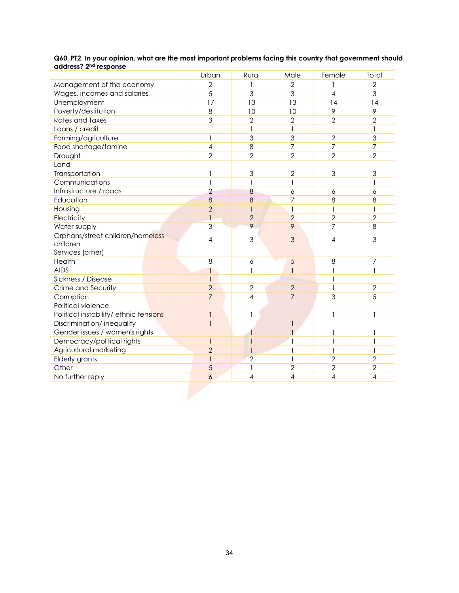|                                              | Urban                    | Rural          | Male           | Female         | Total          |
|----------------------------------------------|--------------------------|----------------|----------------|----------------|----------------|
| Management of the economy                    | $\overline{2}$           |                | $\overline{2}$ |                | $\overline{2}$ |
| Wages, incomes and salaries                  | 5                        | 3              | 3              | 4              | 3              |
| Unemployment                                 | 17                       | 13             | 13             | 14             | 14             |
| Poverty/destitution                          | 8                        | 10             | 10             | 9              | 9              |
| <b>Rates and Taxes</b>                       | 3                        | $\overline{2}$ | $\overline{2}$ | $\overline{2}$ | $\overline{2}$ |
| Loans / credit                               |                          | 1              | $\mathbf{I}$   |                |                |
| Farming/agriculture                          | $\mathbf{1}$             | 3              | $\overline{3}$ | $\overline{2}$ | 3              |
| Food shortage/famine                         | $\overline{\mathcal{A}}$ | 8              | $\overline{7}$ | $\overline{7}$ | $\overline{7}$ |
| Drought                                      | $\overline{2}$           | $\overline{2}$ | $\overline{2}$ | $\overline{2}$ | $\overline{2}$ |
| Land                                         |                          |                |                |                |                |
| Transportation                               | 1                        | 3              | $\overline{2}$ | 3              | 3              |
| Communications                               | $\mathbf{1}$             | 1              | $\mathbf{1}$   |                |                |
| Infrastructure / roads                       | $\overline{2}$           | 8              | 6              | 6              | 6              |
| Education                                    | 8                        | 8              | 7              | 8              | 8              |
| Housing                                      | $\overline{2}$           |                | $\mathbf{1}$   | 1              | 1              |
| Electricity                                  | $\overline{\phantom{a}}$ | $\overline{2}$ | $\overline{2}$ | $\overline{2}$ | $\overline{2}$ |
| Water supply                                 | 3                        | 9              | 9              | $\overline{7}$ | 8              |
| Orphans/street children/homeless<br>children | 4                        | 3              | 3              | 4              | 3              |
| Services (other)                             |                          |                |                |                |                |
| Health                                       | 8                        | 6              | 5              | 8              | 7              |
| <b>AIDS</b>                                  | $\mathbf{1}$             | 1              | 1              | $\mathbf{1}$   | 1              |
| Sickness / Disease                           | $\overline{1}$           |                |                | $\mathbf{1}$   |                |
| Crime and Security                           | $\overline{2}$           | $\overline{2}$ | $\overline{2}$ | $\mathbf{1}$   | $\overline{2}$ |
| Corruption                                   | $\overline{7}$           | 4              | $\overline{7}$ | 3              | 5              |
| Political violence                           |                          |                |                |                |                |
| Political instability/ ethnic tensions       |                          | 1              |                | 1              | $\mathbf{1}$   |
| Discrimination/inequality                    | $\mathbf{1}$             |                | 1              |                |                |
| Gender issues / women's rights               |                          |                |                | 1              | 1              |
| Democracy/political rights                   | $\mathbf{1}$             |                | 1              | 1              | 1              |
| Agricultural marketing                       | $\overline{2}$           |                | 1              | $\mathbf{1}$   | $\mathbf{1}$   |
| Elderly grants                               | $\mathbf{1}$             | $\overline{2}$ | $\mathbf{1}$   | $\overline{2}$ | $\overline{2}$ |
| Other                                        | 5                        |                | $\overline{2}$ | $\overline{2}$ | $\overline{2}$ |
| No further reply                             | 6                        | 4              | 4              | 4              | 4              |

### **Q60\_PT2. In your opinion, what are the most important problems facing this country that government should address? 2 nd response**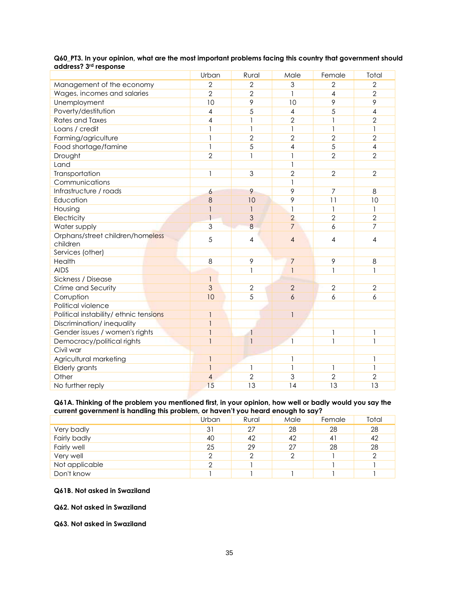|                                        | Urban          | Rural          | Male           | Female         | Total          |
|----------------------------------------|----------------|----------------|----------------|----------------|----------------|
| Management of the economy              | $\overline{2}$ | $\overline{2}$ | 3              | $\overline{2}$ | $\overline{2}$ |
| Wages, incomes and salaries            | $\overline{2}$ | $\overline{2}$ | 1              | 4              | $\overline{2}$ |
| Unemployment                           | 10             | 9              | 10             | 9              | 9              |
| Poverty/destitution                    | 4              | 5              | 4              | 5              | 4              |
| <b>Rates and Taxes</b>                 | 4              | 1              | $\overline{2}$ | $\mathbf{1}$   | $\overline{2}$ |
| Loans / credit                         | 1              | $\mathbf{1}$   | $\mathbf{1}$   | $\mathbf{1}$   | $\mathbf{1}$   |
| Farming/agriculture                    | 1              | $\overline{2}$ | $\overline{2}$ | $\overline{2}$ | $\overline{2}$ |
| Food shortage/famine                   | 1              | 5              | 4              | 5              | 4              |
| Drought                                | $\overline{2}$ | 1              | 1              | $\overline{2}$ | $\overline{2}$ |
| Land                                   |                |                | 1              |                |                |
| Transportation                         | 1              | 3              | $\overline{2}$ | $\overline{2}$ | $\overline{2}$ |
| Communications                         |                |                | 1              |                |                |
| Infrastructure / roads                 | 6              | 9              | 9              | 7              | 8              |
| Education                              | 8              | 10             | 9              | 11             | 10             |
| Housing                                | 1              | 1              | 1              | $\mathbf{1}$   | 1              |
| Electricity                            | $\mathbf{1}$   | 3              | $\overline{2}$ | $\overline{2}$ | $\overline{2}$ |
| Water supply                           | 3              | 8              | $\overline{7}$ | 6              | 7              |
| Orphans/street children/homeless       | 5              | $\overline{4}$ | $\overline{4}$ | $\overline{4}$ | 4              |
| children                               |                |                |                |                |                |
| Services (other)                       |                |                |                |                |                |
| Health                                 | 8              | 9              | $\overline{7}$ | 9              | 8              |
| <b>AIDS</b>                            |                | 1              | $\mathbf{1}$   | 1              | 1              |
| Sickness / Disease                     | $\mathbf{I}$   |                |                |                |                |
| Crime and Security                     | 3              | $\overline{2}$ | $\overline{2}$ | $\overline{2}$ | $\overline{2}$ |
| Corruption                             | 10             | 5              | 6              | 6              | 6              |
| Political violence                     |                |                |                |                |                |
| Political instability/ ethnic tensions | $\mathbf{1}$   |                | $\mathbf{1}$   |                |                |
| Discrimination/inequality              | $\mathbf{1}$   |                |                |                |                |
| Gender issues / women's rights         | $\mathbf{1}$   | $\mathbf{1}$   |                | 1              | 1              |
| Democracy/political rights             | $\mathbf{1}$   |                | $\mathbf{1}$   | $\mathbf{1}$   | 1              |
| Civil war                              |                |                |                |                |                |
| Agricultural marketing                 | $\mathbf{1}$   |                | 1              |                | 1              |
| Elderly grants                         | $\mathbf{1}$   | 1              | 1              | $\mathbf{1}$   | 1              |
| Other                                  | $\overline{4}$ | $\overline{2}$ | 3              | $\overline{2}$ | $\overline{2}$ |
| No further reply                       | 15             | 13             | 14             | 13             | 13             |

## **Q60\_PT3. In your opinion, what are the most important problems facing this country that government should address? 3 rd response**

#### **Q61A. Thinking of the problem you mentioned first, in your opinion, how well or badly would you say the current government is handling this problem, or haven't you heard enough to say?**

|                | Urban | Rural | Male | Female | Total |  |  |  |
|----------------|-------|-------|------|--------|-------|--|--|--|
| Very badly     | 31    | 27    | 28   | 28     | 28    |  |  |  |
| Fairly badly   | 40    | 42    | 42   | 41     | 42    |  |  |  |
| Fairly well    | 25    | 29    | 27   | 28     | 28    |  |  |  |
| Very well      | 2     |       | っ    |        | 2     |  |  |  |
| Not applicable | っ     |       |      |        |       |  |  |  |
| Don't know     |       |       |      |        |       |  |  |  |
|                |       |       |      |        |       |  |  |  |

## **Q61B. Not asked in Swaziland**

**Q62. Not asked in Swaziland**

**Q63. Not asked in Swaziland**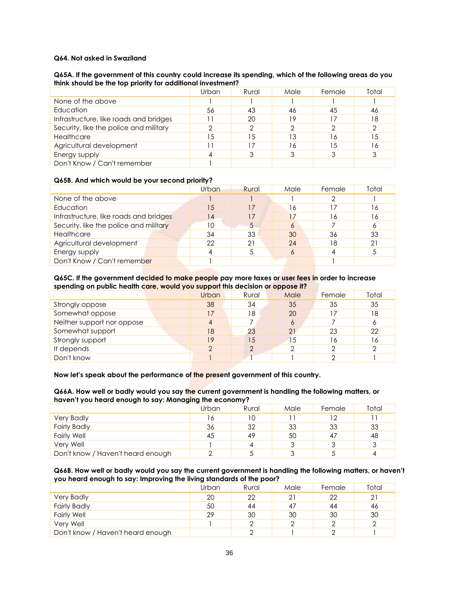## **Q64. Not asked in Swaziland**

### **Q65A. If the government of this country could increase its spending, which of the following areas do you think should be the top priority for additional investment?**

|                                        | Urban | Rural | Male | Female | Total |
|----------------------------------------|-------|-------|------|--------|-------|
| None of the above                      |       |       |      |        |       |
| Education                              | 56    | 43    | 46   | 45     | 46    |
| Infrastructure, like roads and bridges |       | 20    | 19   |        | 18    |
| Security, like the police and military |       |       |      |        |       |
| Healthcare                             | 15    | 15    | 13   | 6      | 15    |
| Agricultural development               |       |       | 16   | .5     | 16    |
| Energy supply                          | 4     |       |      |        | 3     |
| Don't Know / Can't remember            |       |       |      |        |       |

### **Q65B. And which would be your second priority?**

|                                        | Urban | Rural | Male | Female | Total |
|----------------------------------------|-------|-------|------|--------|-------|
| None of the above                      |       |       |      |        |       |
| Education                              | 15    | 17    | 16   |        | 16    |
| Infrastructure, like roads and bridges | 14    | 17    | 17   | 6      | 16    |
| Security, like the police and military | 10    | 5     | 6    |        | Ô     |
| Healthcare                             | 34    | 33    | 30   | 36     | 33    |
| Agricultural development               | 22    | 21    | 24   | 18     | 21    |
| Energy supply                          |       |       | Ô    |        |       |
| Don't Know / Can't remember            |       |       |      |        |       |

#### **Q65C. If the government decided to make people pay more taxes or user fees in order to increase spending on public health care, would you support this decision or oppose it?**

|                            | Urban | Rural | Male | Female | Total |
|----------------------------|-------|-------|------|--------|-------|
| Strongly oppose            | 38    | 34    | 35   | 35     | 35    |
| Somewhat oppose            | 17    | 18    | 20   |        | 18    |
| Neither support nor oppose | 4     |       | 6    |        | 6     |
| Somewhat support           | 18    | 23    | 21   | 23     | 22    |
| Strongly support           | 19    | 15    | 15   | 16     | 16    |
| It depends                 | っ     | ⌒     | ⌒    | ◠      | ⌒     |
| Don't know                 |       |       |      |        |       |

#### **Now let's speak about the performance of the present government of this country.**

**Q66A. How well or badly would you say the current government is handling the following matters, or haven't you heard enough to say: Managing the economy?**

|                                   | Urban | Rural | Male | Female | Total |
|-----------------------------------|-------|-------|------|--------|-------|
| <b>Very Badly</b>                 | 16    |       |      |        |       |
| <b>Fairly Badly</b>               | 36    | 32    | 33   | 33     | 33    |
| <b>Fairly Well</b>                | 45    | 49    | 50   |        | 48    |
| Very Well                         |       |       |      |        | 3     |
| Don't know / Haven't heard enough |       |       | ົ    |        |       |

### **Q66B. How well or badly would you say the current government is handling the following matters, or haven't you heard enough to say: Improving the living standards of the poor?**

|                                   | Urban | Rural | Male | Female | Total |
|-----------------------------------|-------|-------|------|--------|-------|
| <b>Very Badly</b>                 | 20    | 22    | 21   | 22     | 21    |
| <b>Fairly Badly</b>               | 50    | 44    | 47   | 44     | 46    |
| <b>Fairly Well</b>                | 29    | 30    | 30   | 30     | 30    |
| Very Well                         |       |       |      |        |       |
| Don't know / Haven't heard enough |       |       |      |        |       |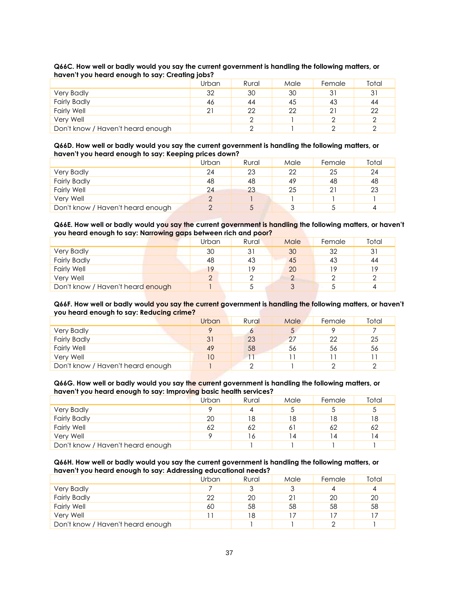|                                   | Urban | Rural | Male | Female | Total |
|-----------------------------------|-------|-------|------|--------|-------|
| <b>Very Badly</b>                 | 32    | 30    | 30   |        | 31    |
| <b>Fairly Badly</b>               | 46    | 44    | 45   | 43     | 44    |
| <b>Fairly Well</b>                | 21    | 22    | 22   |        | 22    |
| Very Well                         |       |       |      |        |       |
| Don't know / Haven't heard enough |       |       |      |        |       |

#### **Q66C. How well or badly would you say the current government is handling the following matters, or haven't you heard enough to say: Creating jobs?**

#### **Q66D. How well or badly would you say the current government is handling the following matters, or haven't you heard enough to say: Keeping prices down?**

|                                   | Urban  | Rural | Male   | Female | Total |
|-----------------------------------|--------|-------|--------|--------|-------|
| <b>Very Badly</b>                 | 24     | 23    | 22     | 25     | 24    |
| <b>Fairly Badly</b>               | 48     | 48    | 49     | 48     | 48    |
| <b>Fairly Well</b>                | 24     | 23    | 25     |        | 23    |
| Very Well                         | $\cap$ |       |        |        |       |
| Don't know / Haven't heard enough |        |       | $\sim$ |        |       |

## **Q66E. How well or badly would you say the current government is handling the following matters, or haven't you heard enough to say: Narrowing gaps between rich and poor?**

|                                   | Urban          | Rural | Male | Female | Total |
|-----------------------------------|----------------|-------|------|--------|-------|
| <b>Very Badly</b>                 | 30             |       | 30   | 32     | 31    |
| <b>Fairly Badly</b>               | 48             | 43    | 45   | 43     | 44    |
| <b>Fairly Well</b>                | 19             | 19    | 20   | 19.    | 19    |
| Very Well                         | $\overline{2}$ |       |      |        |       |
| Don't know / Haven't heard enough |                |       |      |        | 4     |

#### **Q66F. How well or badly would you say the current government is handling the following matters, or haven't you heard enough to say: Reducing crime?**

|                                   | Urban | Rural | Male | Female | Total |
|-----------------------------------|-------|-------|------|--------|-------|
| <b>Very Badly</b>                 |       |       |      |        |       |
| <b>Fairly Badly</b>               | 31    | 23    | 27   | 22     | 25    |
| <b>Fairly Well</b>                | 49    | 58    | 56   | 56     | 56    |
| Very Well                         | 10    |       |      |        |       |
| Don't know / Haven't heard enough |       |       |      |        | ⌒     |

### **Q66G. How well or badly would you say the current government is handling the following matters, or haven't you heard enough to say: Improving basic health services?**

|                                   | Urban | Rural | Male | Female | Total |
|-----------------------------------|-------|-------|------|--------|-------|
| <b>Very Badly</b>                 | Ω     |       |      |        |       |
| <b>Fairly Badly</b>               | 20    | 8     | 18   |        | 18    |
| <b>Fairly Well</b>                | 62    | 62    | 61   | 62     | 62    |
| Very Well                         |       | 6     | 14   | 14     | 14    |
| Don't know / Haven't heard enough |       |       |      |        |       |

### **Q66H. How well or badly would you say the current government is handling the following matters, or haven't you heard enough to say: Addressing educational needs?**

|                                   | Urban | Rural | Male | Female | Total |
|-----------------------------------|-------|-------|------|--------|-------|
| <b>Very Badly</b>                 |       |       |      |        | 4     |
| <b>Fairly Badly</b>               | 22    | 20    | 21   | 20     | 20    |
| <b>Fairly Well</b>                | 60    | 58    | 58   | 58     | 58    |
| Verv Well                         |       | 18    |      |        |       |
| Don't know / Haven't heard enough |       |       |      |        |       |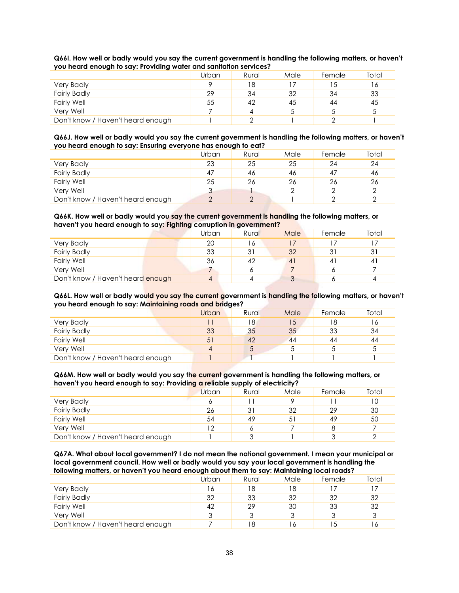| Q661. How well or badly would you say the current government is handling the following matters, or haven't |  |
|------------------------------------------------------------------------------------------------------------|--|
| you heard enough to say: Providing water and sanitation services?                                          |  |

| . .                               |       |       |      |        |       |
|-----------------------------------|-------|-------|------|--------|-------|
|                                   | Urban | Rural | Male | Female | Total |
| <b>Very Badly</b>                 | Q     | 18    |      | .5     | 16    |
| <b>Fairly Badly</b>               | 29    | 34    | 32   | 34     | 33    |
| <b>Fairly Well</b>                | 55    | 42    | 45   | 44     | 45    |
| Very Well                         |       |       |      |        |       |
| Don't know / Haven't heard enough |       |       |      |        |       |

#### **Q66J. How well or badly would you say the current government is handling the following matters, or haven't you heard enough to say: Ensuring everyone has enough to eat?**

|                                   | Urban | Rural | Male | Female | Total |
|-----------------------------------|-------|-------|------|--------|-------|
| <b>Very Badly</b>                 | 23    | 25    | 25   | 24     | 24    |
| <b>Fairly Badly</b>               | 47    | 46    | 46   |        | 46    |
| <b>Fairly Well</b>                | 25    | 26    | 26   | 26     | 26    |
| Very Well                         |       |       |      |        | っ     |
| Don't know / Haven't heard enough |       |       |      |        |       |

## **Q66K. How well or badly would you say the current government is handling the following matters, or haven't you heard enough to say: Fighting corruption in government?**

|                                   | Urban | Rural | Male           | Female  | Total |
|-----------------------------------|-------|-------|----------------|---------|-------|
| <b>Very Badly</b>                 | 20    | 16    |                |         |       |
| <b>Fairly Badly</b>               | 33    | 31    | 32             |         | 31    |
| <b>Fairly Well</b>                | 36    | 42    | 4 <sup>1</sup> | $\vert$ | $-4$  |
| Very Well                         |       |       |                |         |       |
| Don't know / Haven't heard enough | 4     |       |                |         |       |

#### **Q66L. How well or badly would you say the current government is handling the following matters, or haven't you heard enough to say: Maintaining roads and bridges?**

|                                   | Urban          | Rural          | Male | Female | Total |
|-----------------------------------|----------------|----------------|------|--------|-------|
| <b>Very Badly</b>                 |                | 8 <sup>1</sup> | 15   | 18     | 16    |
| <b>Fairly Badly</b>               | 33             | 35             | 35   | 33     | 34    |
| <b>Fairly Well</b>                | 5 <sup>1</sup> | 42             | 44   | 44     | 44    |
| Very Well                         | 4              |                |      |        | ა     |
| Don't know / Haven't heard enough |                |                |      |        |       |

#### **Q66M. How well or badly would you say the current government is handling the following matters, or haven't you heard enough to say: Providing a reliable supply of electricity?**

|                                   | Urban | Rural | Male | Female | Total |
|-----------------------------------|-------|-------|------|--------|-------|
| <b>Very Badly</b>                 |       |       |      |        | 10    |
| <b>Fairly Badly</b>               | 26    |       | 32   | 29     | 30    |
| <b>Fairly Well</b>                | 54    | 49    | 51   | 49     | 50    |
| Very Well                         | 12    |       |      |        |       |
| Don't know / Haven't heard enough |       |       |      |        |       |

**Q67A. What about local government? I do not mean the national government. I mean your municipal or local government council. How well or badly would you say your local government is handling the following matters, or haven't you heard enough about them to say: Maintaining local roads?**

|                                   | Urban | Rural | Male | Female | Total |
|-----------------------------------|-------|-------|------|--------|-------|
| <b>Very Badly</b>                 |       | 18    | 18   |        |       |
| <b>Fairly Badly</b>               | 32    | 33    | 32   | 32     | 32    |
| <b>Fairly Well</b>                | 42    | 29    | 30   | 33     | 32    |
| Verv Well                         | 3     |       |      |        | 3     |
| Don't know / Haven't heard enough |       | 18    | 16   |        | 16    |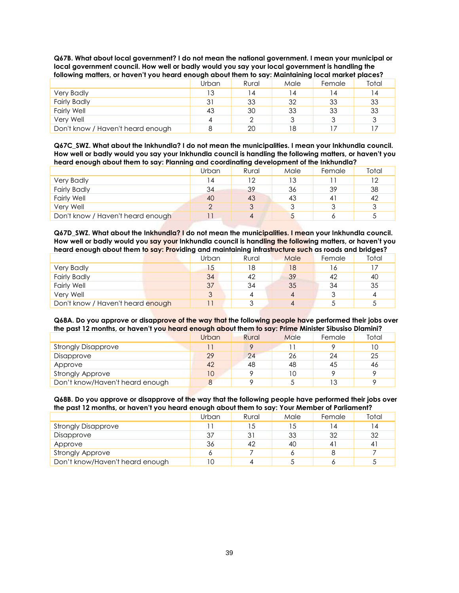| following matters, or haven't you heard enough about them to say: Maintaining local market places? |       |       |      |        |       |  |  |
|----------------------------------------------------------------------------------------------------|-------|-------|------|--------|-------|--|--|
|                                                                                                    | Urban | Rural | Male | Female | Total |  |  |
| Very Badly                                                                                         | IЗ    | 14    | 14   | l 4    | 14    |  |  |
| <b>Fairly Badly</b>                                                                                | 31    | 33    | 32   | 33     | 33    |  |  |
| <b>Fairly Well</b>                                                                                 | 43    | 30    | 33   | 33     | 33    |  |  |
| Verv Well                                                                                          | 4     |       | 3    |        | 3     |  |  |
| Don't know / Haven't heard enough                                                                  |       | 20    | 18   |        |       |  |  |

**Q67B. What about local government? I do not mean the national government. I mean your municipal or local government council. How well or badly would you say your local government is handling the** 

**Q67C\_SWZ. What about the Inkhundla? I do not mean the municipalities. I mean your Inkhundla council. How well or badly would you say your Inkhundla council is handling the following matters, or haven't you heard enough about them to say: Planning and coordinating development of the Inkhundla?** 

|                                   | Urban | Rural | Male | Female | Total |
|-----------------------------------|-------|-------|------|--------|-------|
| <b>Very Badly</b>                 | 4     | 12    | 13   |        | 12    |
| <b>Fairly Badly</b>               | 34    | 39    | 36   | 39     | 38    |
| <b>Fairly Well</b>                | 40    | 43    | 43   | 4'     | 42    |
| Very Well                         |       |       |      |        |       |
| Don't know / Haven't heard enough |       |       |      |        |       |

**Q67D\_SWZ. What about the Inkhundla? I do not mean the municipalities. I mean your Inkhundla council. How well or badly would you say your Inkhundla council is handling the following matters, or haven't you heard enough about them to say: Providing and maintaining infrastructure such as roads and bridges?**

|                                   | Urban | Rural | Male | Female | Total |
|-----------------------------------|-------|-------|------|--------|-------|
| <b>Very Badly</b>                 | 15    | 18    | 18   | O      |       |
| <b>Fairly Badly</b>               | 34    | 42    | 39   | 42     | 40    |
| <b>Fairly Well</b>                | 37    | 34    | 35   | 34     | 35    |
| Very Well                         | 3     |       |      |        | 4     |
| Don't know / Haven't heard enough |       |       |      |        |       |

**Q68A. Do you approve or disapprove of the way that the following people have performed their jobs over the past 12 months, or haven't you heard enough about them to say: Prime Minister Sibusiso Dlamini?**

|                                 | Urban | Rural | Male | Female | Total |
|---------------------------------|-------|-------|------|--------|-------|
| <b>Strongly Disapprove</b>      |       |       |      |        | 10    |
| Disapprove                      | 29    | 24    | 26   | 24     | 25    |
| Approve                         | 42    | 48    | 48   | 45     | 46    |
| <b>Strongly Approve</b>         | 10    |       | 10   |        |       |
| Don't know/Haven't heard enough |       |       |      | ר ו    |       |

#### **Q68B. Do you approve or disapprove of the way that the following people have performed their jobs over the past 12 months, or haven't you heard enough about them to say: Your Member of Parliament?**

|                                 | Urban | Rural | Male | Female         | Total |
|---------------------------------|-------|-------|------|----------------|-------|
| <b>Strongly Disapprove</b>      |       | 15    | 5    | $\overline{4}$ | 4     |
| Disapprove                      | 37    |       | 33   | 32             | 32    |
| Approve                         | 36    | 42    | 40   | 4              | 41    |
| <b>Strongly Approve</b>         | o     |       |      |                |       |
| Don't know/Haven't heard enough |       |       |      |                |       |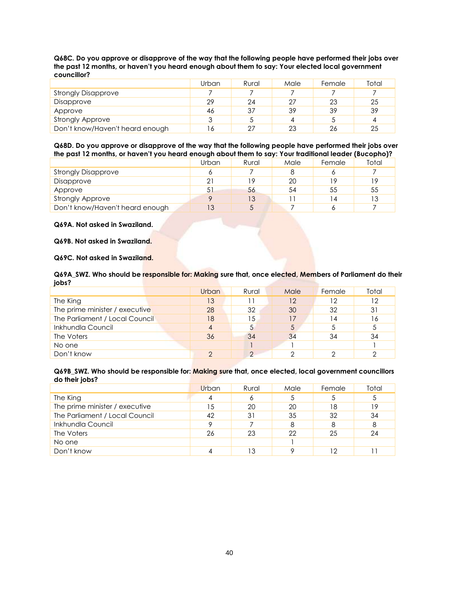| Q68C. Do you approve or disapprove of the way that the following people have performed their jobs over |
|--------------------------------------------------------------------------------------------------------|
| the past 12 months, or haven't you heard enough about them to say: Your elected local government       |
| councillor?                                                                                            |

|                                 | Urban | Rural | Male | Female | Total |
|---------------------------------|-------|-------|------|--------|-------|
| <b>Strongly Disapprove</b>      |       |       |      |        |       |
| Disapprove                      | 29    | 24    | 27   | 23     | 25    |
| Approve                         | 46    | 37    | 39   | 39     | 39    |
| <b>Strongly Approve</b>         | ્ર    |       | 4    |        | 4     |
| Don't know/Haven't heard enough | 6     |       | 23   | 26     | 25    |

#### **Q68D. Do you approve or disapprove of the way that the following people have performed their jobs over the past 12 months, or haven't you heard enough about them to say: Your traditional leader (Bucopho)?**

|                                 | Urban | Rural | Male | Female | Total |
|---------------------------------|-------|-------|------|--------|-------|
| <b>Strongly Disapprove</b>      | o     |       |      |        |       |
| Disapprove                      | 21    | ۱۹    | 20   | 1 Q    | 19    |
| Approve                         | 51    | 56    | 54   | 55     | 55    |
| <b>Strongly Approve</b>         |       | 13    |      | 4      | 13    |
| Don't know/Haven't heard enough | 13    |       |      |        |       |

#### **Q69A. Not asked in Swaziland.**

### **Q69B. Not asked in Swaziland.**

## **Q69C. Not asked in Swaziland.**

#### **Q69A\_SWZ. Who should be responsible for: Making sure that, once elected, Members of Parliament do their jobs?**

|                                | Urban | Rural    | Male | Female         | Total |
|--------------------------------|-------|----------|------|----------------|-------|
| The King                       | 13    |          | 12   | 12             | 12    |
| The prime minister / executive | 28    | 32       | 30   | 32             | 31    |
| The Parliament / Local Council | 18    | 15       | 17   | $\overline{4}$ | 16    |
| Inkhundla Council              | 4     |          | 5    |                |       |
| The Voters                     | 36    | 34       | 34   | 34             | 34    |
| No one                         |       |          |      |                |       |
| Don't know                     | ↷     | $\Omega$ |      |                |       |

#### **Q69B\_SWZ. Who should be responsible for: Making sure that, once elected, local government councillors do their jobs?**

|                                | Urban | Rural | Male | Female | Total |
|--------------------------------|-------|-------|------|--------|-------|
| The King                       |       | Ô     | 5    |        |       |
| The prime minister / executive | 15    | 20    | 20   | 18     | 19    |
| The Parliament / Local Council | 42    | 31    | 35   | 32     | 34    |
| Inkhundla Council              | Q     |       | 8    |        | 8     |
| The Voters                     | 26    | 23    | 22   | 25     | 24    |
| No one                         |       |       |      |        |       |
| Don't know                     |       |       |      | ר ו    |       |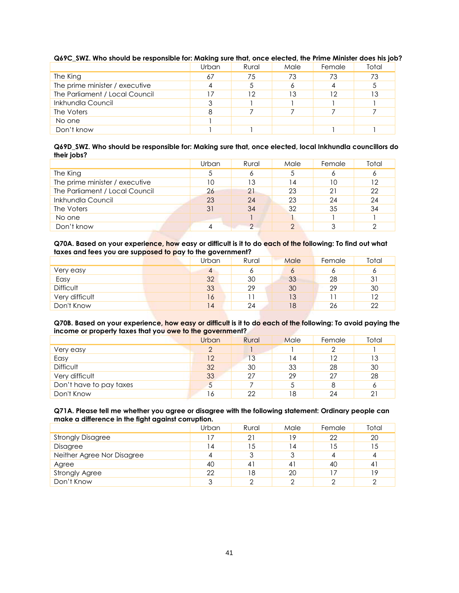|                                | Urban | Rural | Male | Female   | Total |
|--------------------------------|-------|-------|------|----------|-------|
| The King                       | 67    | 75    | 73   | 73       | 73    |
| The prime minister / executive | 4     |       | 6    |          |       |
| The Parliament / Local Council | 17    | 12    | 13   | $12^{-}$ | 13    |
| Inkhundla Council              | 3     |       |      |          |       |
| The Voters                     | 8     |       |      |          |       |
| No one                         |       |       |      |          |       |
| Don't know                     |       |       |      |          |       |

## **Q69C\_SWZ. Who should be responsible for: Making sure that, once elected, the Prime Minister does his job?**

#### **Q69D\_SWZ. Who should be responsible for: Making sure that, once elected, local Inkhundla councillors do their jobs?**

|                                | Urban | Rural | Male | Female | Total |
|--------------------------------|-------|-------|------|--------|-------|
| The King                       | 5     | o     | 5    |        | O     |
| The prime minister / executive | 10    | 13    | 14   | 10     | 12    |
| The Parliament / Local Council | 26    | 21    | 23   | 21     | 22    |
| Inkhundla Council              | 23    | 24    | 23   | 24     | 24    |
| The Voters                     | 31    | 34    | 32   | 35     | 34    |
| No one                         |       |       |      |        |       |
| Don't know                     | 4     |       |      |        |       |

### **Q70A. Based on your experience, how easy or difficult is it to do each of the following: To find out what taxes and fees you are supposed to pay to the government?**

| - -              | Urban | Rural | Male | Female | Total |
|------------------|-------|-------|------|--------|-------|
| Very easy        | 4     | o     | O    |        | o     |
| Easy             | 32    | 30    | 33   | 28     | 31    |
| <b>Difficult</b> | 33    | 29    | 30   | 29     | 30    |
| Very difficult   | 16    |       | 13   |        | 12    |
| Don't Know       | 14    | 24    | 18   | 26     | 22    |

### **Q70B. Based on your experience, how easy or difficult is it to do each of the following: To avoid paying the income or property taxes that you owe to the government?**

|                         | Urban | Rural | Male | Female | Total |
|-------------------------|-------|-------|------|--------|-------|
| Very easy               | っ     |       |      |        |       |
| Easy                    | 12    | 13    | 14   | 12     | 13    |
| <b>Difficult</b>        | 32    | 30    | 33   | 28     | 30    |
| Very difficult          | 33    | 27    | 29   | 27     | 28    |
| Don't have to pay taxes | 5     |       |      |        | 6     |
| Don't Know              | 16    | 22    | 18   | 24     | 21    |

### **Q71A. Please tell me whether you agree or disagree with the following statement: Ordinary people can make a difference in the fight against corruption.**

|                            | Urban | Rural | Male           | Female | Total |
|----------------------------|-------|-------|----------------|--------|-------|
| <b>Strongly Disagree</b>   |       | 21    | 19             | 22     | 20    |
| Disagree                   | 14    | 15    | $\overline{4}$ | 15     | 15    |
| Neither Agree Nor Disagree | 4     |       | 3              |        | 4     |
| Agree                      | 40    | 41    | 41             | 40     | 41    |
| <b>Strongly Agree</b>      | 22    | 18    | 20             |        | 19    |
| Don't Know                 | 3     |       | ⌒              |        |       |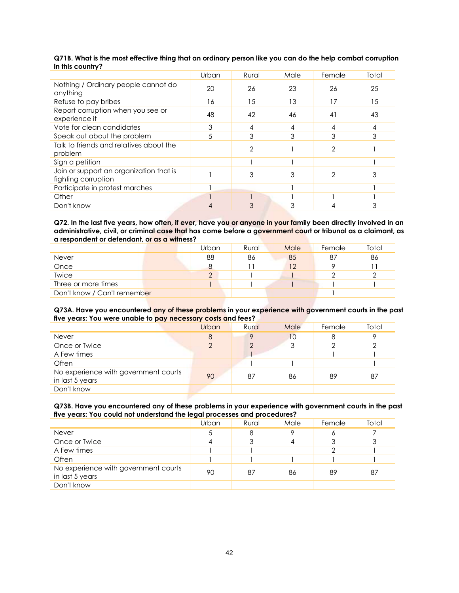|                                                                | Urban | Rural          | Male | Female | Total |
|----------------------------------------------------------------|-------|----------------|------|--------|-------|
| Nothing / Ordinary people cannot do<br>anything                | 20    | 26             | 23   | 26     | 25    |
| Refuse to pay bribes                                           | 16    | 15             | 13   | 17     | 15    |
| Report corruption when you see or<br>experience it             | 48    | 42             | 46   | 41     | 43    |
| Vote for clean candidates                                      | 3     | 4              | 4    | 4      | 4     |
| Speak out about the problem                                    | 5     | 3              | 3    | 3      | 3     |
| Talk to friends and relatives about the<br>problem             |       | $\overline{2}$ |      | 2      |       |
| Sign a petition                                                |       |                |      |        |       |
| Join or support an organization that is<br>fighting corruption |       | 3              | 3    | 2      | 3     |
| Participate in protest marches                                 |       |                |      |        |       |
| Other                                                          |       |                |      |        |       |
| Don't know                                                     | 4     | 3              | 3    |        | 3     |

## **Q71B. What is the most effective thing that an ordinary person like you can do the help combat corruption in this country?**

**Q72. In the last five years, how often, if ever, have you or anyone in your family been directly involved in an administrative, civil, or criminal case that has come before a government court or tribunal as a claimant, as a respondent or defendant, or as a witness?**

|                             | Urban | Rural | Male | Female | Total |
|-----------------------------|-------|-------|------|--------|-------|
| Never                       | 88    | 86    | 85   | 87     | 86    |
| Once                        | 8     |       | 12   |        |       |
| <b>Twice</b>                | ⌒     |       |      |        |       |
| Three or more times         |       |       |      |        |       |
| Don't know / Can't remember |       |       |      |        |       |

#### **Q73A. Have you encountered any of these problems in your experience with government courts in the past five years: You were unable to pay necessary costs and fees?**

|                                                         | Urban | Rural | Male | Female | Total |
|---------------------------------------------------------|-------|-------|------|--------|-------|
| Never                                                   | 8     |       | 10   | 8      | 9     |
| Once or Twice                                           | っ     | ◠     | 3    |        |       |
| A Few times                                             |       |       |      |        |       |
| Often                                                   |       |       |      |        |       |
| No experience with government courts<br>in last 5 years | 90    | 87    | 86   | 89     | 87    |
| Don't know                                              |       |       |      |        |       |

#### **Q73B. Have you encountered any of these problems in your experience with government courts in the past five years: You could not understand the legal processes and procedures?**

|                                                         | Urban | Rural | Male | Female | Total |
|---------------------------------------------------------|-------|-------|------|--------|-------|
| <b>Never</b>                                            | 5     | 8     | 9    |        |       |
| Once or Twice                                           |       |       |      |        | 3     |
| A Few times                                             |       |       |      |        |       |
| Often                                                   |       |       |      |        |       |
| No experience with government courts<br>in last 5 years | 90    | 87    | 86   | 89     | 87    |
| Don't know                                              |       |       |      |        |       |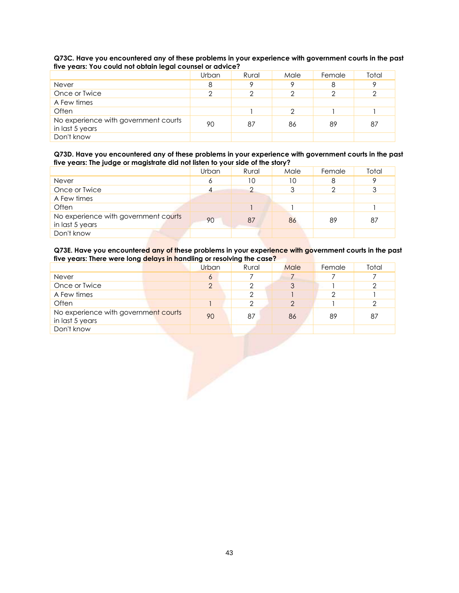## **Q73C. Have you encountered any of these problems in your experience with government courts in the past five years: You could not obtain legal counsel or advice?**

|                                                         | Urban | Rural | Male | Female | Total |
|---------------------------------------------------------|-------|-------|------|--------|-------|
| Never                                                   | 8     |       | Q    |        | Q     |
| Once or Twice                                           | っ     |       |      |        | っ     |
| A Few times                                             |       |       |      |        |       |
| Often                                                   |       |       | 2    |        |       |
| No experience with government courts<br>in last 5 years | 90    | 87    | 86   | 89     | 87    |
| Don't know                                              |       |       |      |        |       |

## **Q73D. Have you encountered any of these problems in your experience with government courts in the past five years: The judge or magistrate did not listen to your side of the story?**

|                                                         | Urban | Rural | Male | Female | Total |
|---------------------------------------------------------|-------|-------|------|--------|-------|
| <b>Never</b>                                            | 6     | 10    | 10   |        | Q     |
| Once or Twice                                           |       |       | 3    |        | 3     |
| A Few times                                             |       |       |      |        |       |
| Often                                                   |       |       |      |        |       |
| No experience with government courts<br>in last 5 years | 90    | 87    | 86   | 89     | 87    |
| Don't know                                              |       |       |      |        |       |

#### **Q73E. Have you encountered any of these problems in your experience with government courts in the past five years: There were long delays in handling or resolving the case?**

|                                                         | Urban | Rural | Male     | Female | Total |
|---------------------------------------------------------|-------|-------|----------|--------|-------|
| Never                                                   | 6     |       |          |        |       |
| Once or Twice                                           | っ     |       | 3        |        |       |
| A Few times                                             |       |       |          |        |       |
| Often                                                   |       |       | $\Omega$ |        |       |
| No experience with government courts<br>in last 5 years | 90    | 87    | 86       | 89     | 87    |
| Don't know                                              |       |       |          |        |       |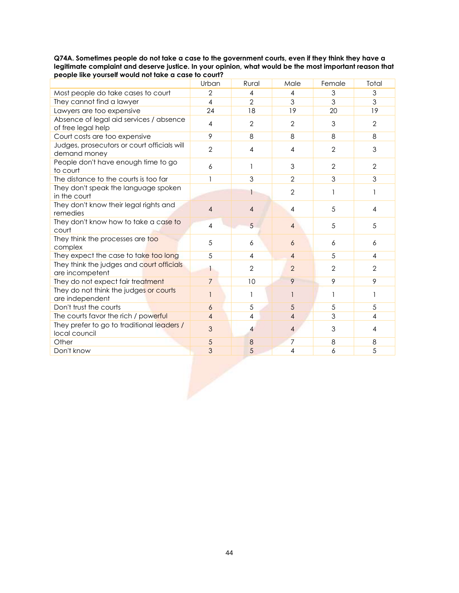### **Q74A. Sometimes people do not take a case to the government courts, even if they think they have a legitimate complaint and deserve justice. In your opinion, what would be the most important reason that people like yourself would not take a case to court?**

|                                                               | Urban          | Rural                   | Male                     | Female         | Total          |
|---------------------------------------------------------------|----------------|-------------------------|--------------------------|----------------|----------------|
| Most people do take cases to court                            | $\mathbf{2}$   | 4                       | 4                        | 3              | $\mathfrak{Z}$ |
| They cannot find a lawyer                                     | $\overline{4}$ | $\overline{2}$          | 3                        | $\overline{3}$ | $\mathfrak{Z}$ |
| Lawyers are too expensive                                     | 24             | 18                      | 19                       | 20             | 19             |
| Absence of legal aid services / absence<br>of free legal help | $\overline{4}$ | $\mathbf{2}$            | $\overline{2}$           | 3              | $\overline{2}$ |
| Court costs are too expensive                                 | 9              | 8                       | 8                        | 8              | 8              |
| Judges, prosecutors or court officials will<br>demand money   | $\overline{2}$ | $\overline{4}$          | $\overline{4}$           | $\overline{2}$ | 3              |
| People don't have enough time to go<br>to court               | 6              | 1                       | 3                        | $\overline{2}$ | $\mathbf{2}$   |
| The distance to the courts is too far                         | 1              | 3                       | $\overline{2}$           | $\overline{3}$ | 3              |
| They don't speak the language spoken<br>in the court          |                | 1                       | $\overline{2}$           | $\mathbf{1}$   | $\mathbf{1}$   |
| They don't know their legal rights and<br>remedies            | $\overline{4}$ | $\overline{4}$          | $\overline{4}$           | 5              | $\overline{4}$ |
| They don't know how to take a case to<br>court                | $\overline{4}$ | 5                       | $\overline{4}$           | 5              | 5              |
| They think the processes are too<br>complex                   | 5              | 6                       | 6                        | 6              | 6              |
| They expect the case to take too long                         | 5              | $\overline{4}$          | $\overline{4}$           | 5              | $\overline{4}$ |
| They think the judges and court officials<br>are incompetent  | 1              | $\overline{2}$          | $\overline{2}$           | $\overline{2}$ | $\mathbf{2}$   |
| They do not expect fair treatment                             | $\overline{7}$ | 10                      | 9                        | 9              | 9              |
| They do not think the judges or courts<br>are independent     | 1              | 1                       | 1                        | 1              | $\mathbf{1}$   |
| Don't trust the courts                                        | 6              | 5                       | 5                        | 5              | 5              |
| The courts favor the rich / powerful                          | $\overline{4}$ | $\overline{\mathbf{4}}$ | $\overline{\mathcal{A}}$ | $\overline{3}$ | 4              |
| They prefer to go to traditional leaders /<br>local council   | 3              | $\overline{4}$          | 4                        | 3              | $\overline{4}$ |
| Other                                                         | 5              | 8                       | $\overline{7}$           | 8              | 8              |
| Don't know                                                    | $\overline{3}$ | 5                       | 4                        | 6              | 5              |
|                                                               |                |                         |                          |                |                |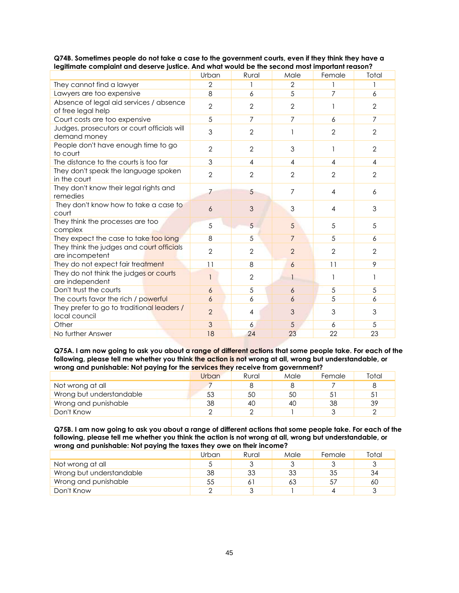|                                                               | Urban          | Rural          | Male           | Female         | Total          |
|---------------------------------------------------------------|----------------|----------------|----------------|----------------|----------------|
| They cannot find a lawyer                                     | $\overline{2}$ |                | $\overline{2}$ |                | 1              |
| Lawyers are too expensive                                     | 8              | 6              | 5              | 7              | 6              |
| Absence of legal aid services / absence<br>of free legal help | $\overline{2}$ | $\overline{2}$ | $\mathbf{2}$   |                | $\overline{2}$ |
| Court costs are too expensive                                 | 5              | $\overline{7}$ | 7              | 6              | $\overline{7}$ |
| Judges, prosecutors or court officials will<br>demand money   | 3              | $\overline{2}$ | 1              | $\overline{2}$ | $\overline{2}$ |
| People don't have enough time to go<br>to court               | $\overline{2}$ | $\overline{2}$ | 3              |                | $\overline{2}$ |
| The distance to the courts is too far                         | 3              | $\overline{4}$ | 4              | 4              | 4              |
| They don't speak the language spoken<br>in the court          | $\overline{2}$ | $\overline{2}$ | $\overline{2}$ | $\overline{2}$ | $\overline{2}$ |
| They don't know their legal rights and<br>remedies            | 7              | 5              | 7              | 4              | 6              |
| They don't know how to take a case to<br>court                | 6              | 3              | 3              | 4              | 3              |
| They think the processes are too<br>complex                   | 5              | $\overline{5}$ | 5              | 5              | 5              |
| They expect the case to take too long                         | 8              | 5              | $\overline{7}$ | 5              | 6              |
| They think the judges and court officials<br>are incompetent  | $\overline{2}$ | $\overline{2}$ | $\overline{2}$ | $\overline{2}$ | $\mathbf{2}$   |
| They do not expect fair treatment                             | 11             | 8              | 6              | 11             | 9              |
| They do not think the judges or courts<br>are independent     |                | $\overline{2}$ | 1              |                |                |
| Don't trust the courts                                        | 6              | 5              | 6              | 5              | 5              |
| The courts favor the rich / powerful                          | 6              | 6              | 6              | 5              | 6              |
| They prefer to go to traditional leaders /<br>local council   | $\overline{2}$ | 4              | 3              | 3              | 3              |
| Other                                                         | 3              | 6              | 5              | 6              | 5              |
| No further Answer                                             | 18             | 24             | 23             | 22             | 23             |

## **Q74B. Sometimes people do not take a case to the government courts, even if they think they have a legitimate complaint and deserve justice. And what would be the second most important reason?**

**Q75A. I am now going to ask you about a range of different actions that some people take. For each of the following, please tell me whether you think the action is not wrong at all, wrong but understandable, or wrong and punishable: Not paying for the services they receive from government?**

| . .<br>__                |       |       |      |        |       |
|--------------------------|-------|-------|------|--------|-------|
|                          | Urban | Rural | Male | Female | Total |
| Not wrong at all         |       |       |      |        |       |
| Wrong but understandable | 53    | 50    | 50   |        | 5     |
| Wrong and punishable     | 38    | 40    | 40   | 38     | 39    |
| Don't Know               |       |       |      |        |       |

**Q75B. I am now going to ask you about a range of different actions that some people take. For each of the following, please tell me whether you think the action is not wrong at all, wrong but understandable, or wrong and punishable: Not paying the taxes they owe on their income?**

|                          | Urban | Rural | Male | Female | Total |
|--------------------------|-------|-------|------|--------|-------|
| Not wrong at all         |       |       |      |        |       |
| Wrong but understandable | 38    | 33    | 33   | 35     | 34    |
| Wrong and punishable     | 55    |       | 63   |        | 60    |
| Don't Know               |       |       |      |        |       |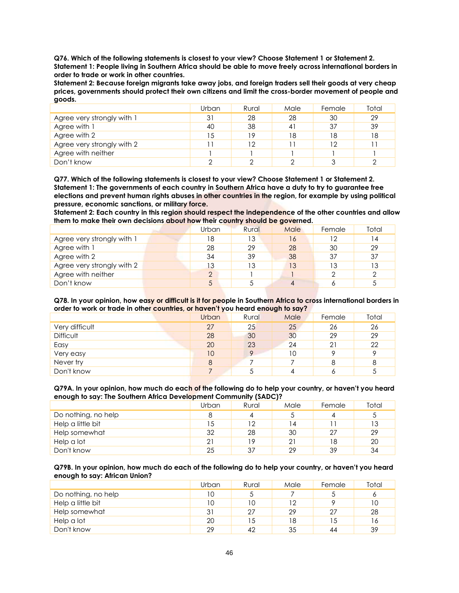**Q76. Which of the following statements is closest to your view? Choose Statement 1 or Statement 2. Statement 1: People living in Southern Africa should be able to move freely across international borders in order to trade or work in other countries.**

**Statement 2: Because foreign migrants take away jobs, and foreign traders sell their goods at very cheap prices, governments should protect their own citizens and limit the cross-border movement of people and goods.**

|                            | Urban | Rural | Male | Female | Total |
|----------------------------|-------|-------|------|--------|-------|
| Agree very strongly with 1 | 31    | 28    | 28   | 30     | 29    |
| Agree with 1               | 40    | 38    | 41   | 37     | 39    |
| Agree with 2               | 15    | 19    | 18   | 18     | 18    |
| Agree very strongly with 2 | ۱۱    | 12    |      | 12     |       |
| Agree with neither         |       |       |      |        |       |
| Don't know                 |       |       |      |        |       |

**Q77. Which of the following statements is closest to your view? Choose Statement 1 or Statement 2. Statement 1: The governments of each country in Southern Africa have a duty to try to guarantee free elections and prevent human rights abuses in other countries in the region, for example by using political pressure, economic sanctions, or military force.**

**Statement 2: Each country in this region should respect the independence of the other countries and allow them to make their own decisions about how their country should be governed.**

|                            | Urban | Rural | Male | Female | Total |
|----------------------------|-------|-------|------|--------|-------|
| Agree very strongly with 1 | 18    | 13    | 16   | 12     | 14    |
| Agree with 1               | 28    | 29    | 28   | 30     | 29    |
| Agree with 2               | 34    | 39    | 38   | 37     | 37    |
| Agree very strongly with 2 | 13    | 13    | 13   | 13     | 13    |
| Agree with neither         | ↷     |       |      |        |       |
| Don't know                 | 5     |       |      |        |       |

**Q78. In your opinion, how easy or difficult is it for people in Southern Africa to cross international borders in order to work or trade in other countries, or haven't you heard enough to say?**

|                | Urban | Rural | Male | Female | Total |
|----------------|-------|-------|------|--------|-------|
| Very difficult | 27    | 25    | 25   | 26     | 26    |
| Difficult      | 28    | 30    | 30   | 29     | 29    |
| Easy           | 20    | 23    | 24   | 21     | 22    |
| Very easy      | 10    |       | 10   |        |       |
| Never try      | 8     |       |      | 8      | 8     |
| Don't know     |       |       |      |        |       |

**Q79A. In your opinion, how much do each of the following do to help your country, or haven't you heard enough to say: The Southern Africa Development Community (SADC)?**

|                     | Urban | Rural | Male | Female | Total |
|---------------------|-------|-------|------|--------|-------|
| Do nothing, no help | 8     |       |      |        | 5     |
| Help a little bit   | 15    | 12    | 14   |        | 13    |
| Help somewhat       | 32    | 28    | 30   | 27     | 29    |
| Help a lot          | 21    | 19    | 21   | 18     | 20    |
| Don't know          | 25    | 37    | 29   | 39     | 34    |

**Q79B. In your opinion, how much do each of the following do to help your country, or haven't you heard enough to say: African Union?**

|                     | Urban | Rural | Male | Female | Total |
|---------------------|-------|-------|------|--------|-------|
| Do nothing, no help |       |       |      |        |       |
| Help a little bit   | 10    |       | 12   |        | 10    |
| Help somewhat       | 31    | 27    | 29   | 27     | 28    |
| Help a lot          | 20    | 15    | 18   | 15     | ۱6    |
| Don't know          | 29    | 42    | 35   | 44     | 39    |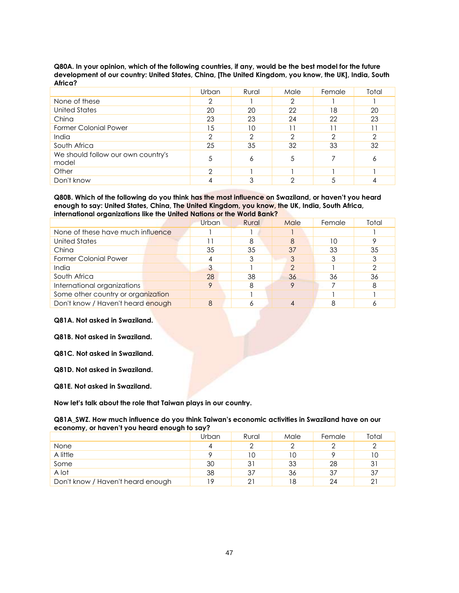| Africa?                                     |       |       |      |        |       |
|---------------------------------------------|-------|-------|------|--------|-------|
|                                             | Urban | Rural | Male | Female | Total |
| None of these                               | 2     |       | 2    |        |       |
| <b>United States</b>                        | 20    | 20    | 22   | 18     | 20    |
| China                                       | 23    | 23    | 24   | 22     | 23    |
| <b>Former Colonial Power</b>                | 15    | 10    | 11   |        | 11    |
| India                                       | 2     |       | っ    |        | っ     |
| South Africa                                | 25    | 35    | 32   | 33     | 32    |
| We should follow our own country's<br>model | 5     | 6     | 5    |        | 6     |
| Other                                       | っ     |       |      |        |       |
| Don't know                                  |       |       |      |        |       |

**Q80A. In your opinion, which of the following countries, if any, would be the best model for the future development of our country: United States, China, [The United Kingdom, you know, the UK], India, South Africa?**

**Q80B. Which of the following do you think has the most influence on Swaziland, or haven't you heard enough to say: United States, China, The United Kingdom, you know, the UK, India, South Africa, international organizations like the United Nations or the World Bank?**

|                                    | Urban | Rural | Male | Female | Total |
|------------------------------------|-------|-------|------|--------|-------|
| None of these have much influence  |       |       |      |        |       |
| <b>United States</b>               |       | 8     | 8    | 10     |       |
| China                              | 35    | 35    | 37   | 33     | 35    |
| <b>Former Colonial Power</b>       | 4     |       | 3    |        |       |
| India                              | 3     |       | っ    |        |       |
| South Africa                       | 28    | 38    | 36   | 36     | 36    |
| International organizations        | 9     | 8     |      |        |       |
| Some other country or organization |       |       |      |        |       |
| Don't know / Haven't heard enough  | 8     |       |      |        |       |

### **Q81A. Not asked in Swaziland.**

**Q81B. Not asked in Swaziland.**

**Q81C. Not asked in Swaziland.**

**Q81D. Not asked in Swaziland.**

**Q81E. Not asked in Swaziland.**

**Now let's talk about the role that Taiwan plays in our country.**

#### **Q81A\_SWZ. How much influence do you think Taiwan's economic activities in Swaziland have on our economy, or haven't you heard enough to say?**

|                                   | Urban | Rural | Male | Female | Total |
|-----------------------------------|-------|-------|------|--------|-------|
| None                              | 4     |       |      |        |       |
| A little                          |       |       | 1 C  |        | 10    |
| Some                              | 30    | 31    | 33   | 28     | 31    |
| A lot                             | 38    | 37    | 36   | 37     | 37    |
| Don't know / Haven't heard enough | 10    | 21    | 18   | 24     | 21    |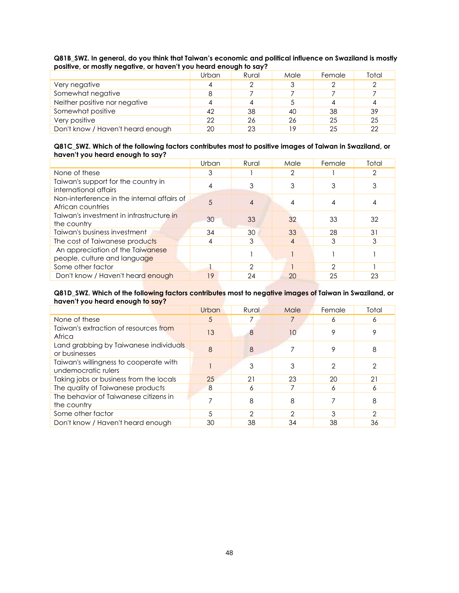|                                   | Urban | Rural | Male | Female | Total |
|-----------------------------------|-------|-------|------|--------|-------|
| Very negative                     |       |       |      |        |       |
| Somewhat negative                 | 8     |       |      |        |       |
| Neither positive nor negative     |       |       |      |        |       |
| Somewhat positive                 | 42    | 38    | 40   | 38     | 39    |
| Very positive                     | 22    | 26    | 26   | 25     | 25    |
| Don't know / Haven't heard enough | 20    | 23    | 19   | 25     | 22    |

**Q81B\_SWZ. In general, do you think that Taiwan's economic and political influence on Swaziland is mostly positive, or mostly negative, or haven't you heard enough to say?**

#### **Q81C\_SWZ. Which of the following factors contributes most to positive images of Taiwan in Swaziland, or haven't you heard enough to say?**

|                                                                  | Urban | Rural | Male           | Female | Total |
|------------------------------------------------------------------|-------|-------|----------------|--------|-------|
| None of these                                                    | 3     |       | 2              |        | 2     |
| Taiwan's support for the country in<br>international affairs     |       |       | 3              |        |       |
| Non-interference in the internal affairs of<br>African countries | 5     |       |                |        |       |
| Taiwan's investment in infrastructure in<br>the country          | 30    | 33    | 32             | 33     | 32    |
| Taiwan's business investment                                     | 34    | 30    | 33             | 28     | 31    |
| The cost of Taiwanese products                                   | 4     | 3     | $\overline{4}$ | 3      | 3     |
| An appreciation of the Taiwanese<br>people, culture and language |       |       |                |        |       |
| Some other factor                                                |       | 2     |                | っ      |       |
| Don't know / Haven't heard enough                                | 19    | 24    | 20             | 25     | 23    |

### **Q81D\_SWZ. Which of the following factors contributes most to negative images of Taiwan in Swaziland, or haven't you heard enough to say?**

|                                                               | Urban | Rural | Male | Female | Total |
|---------------------------------------------------------------|-------|-------|------|--------|-------|
| None of these                                                 | 5     |       |      | Ô      | 6     |
| Taiwan's extraction of resources from<br>Africa               | 13    |       | 10   |        |       |
| Land grabbing by Taiwanese individuals<br>or businesses       | 8     | 8     |      |        | 8     |
| Taiwan's willingness to cooperate with<br>undemocratic rulers |       |       |      |        | ↷     |
| Taking jobs or business from the locals                       | 25    | 21    | 23   | 20     | 21    |
| The quality of Taiwanese products                             | 8     | Α     |      | δ      | 6     |
| The behavior of Taiwanese citizens in<br>the country          |       | 8     | 8    |        | 8     |
| Some other factor                                             | 5     | っ     | 2    | 3      | 2     |
| Don't know / Haven't heard enough                             | 30    | 38    | 34   | 38     | 36    |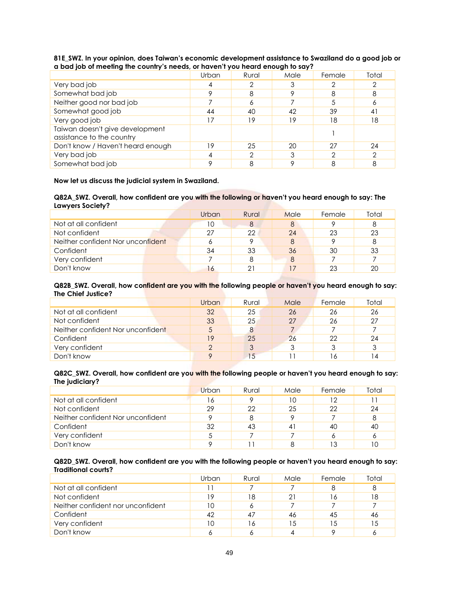|                                                              | Urban | Rural | Male | Female | Total |  |  |
|--------------------------------------------------------------|-------|-------|------|--------|-------|--|--|
| Very bad job                                                 |       |       |      |        |       |  |  |
| Somewhat bad job                                             |       |       |      |        | 8     |  |  |
| Neither good nor bad job                                     |       |       |      |        | n     |  |  |
| Somewhat good job                                            | 44    | 40    | 42   | 39     | 41    |  |  |
| Very good job                                                |       | 19    | 19   | 18     | 18    |  |  |
| Taiwan doesn't give development<br>assistance to the country |       |       |      |        |       |  |  |
| Don't know / Haven't heard enough                            | 19    | 25    | 20   | 27     | 24    |  |  |
| Very bad job                                                 |       |       |      |        |       |  |  |
| Somewhat bad job                                             |       |       |      |        |       |  |  |

#### **81E\_SWZ. In your opinion, does Taiwan's economic development assistance to Swaziland do a good job or a bad job of meeting the country's needs, or haven't you heard enough to say?**

## **Now let us discuss the judicial system in Swaziland.**

#### **Q82A\_SWZ. Overall, how confident are you with the following or haven't you heard enough to say: The Lawyers Society?**

|                                   | Urban | Rural | Male | Female | Total |
|-----------------------------------|-------|-------|------|--------|-------|
| Not at all confident              | 10    |       | 8    |        | 8     |
| Not confident                     | 27    | 22    | 24   | 23     | 23    |
| Neither confident Nor unconfident | 6     |       | 8    |        | 8     |
| Confident                         | 34    | 33    | 36   | 30     | 33    |
| Very confident                    |       |       | 8    |        |       |
| Don't know                        | 16    | 21    |      | 23     | 20    |

#### **Q82B\_SWZ. Overall, how confident are you with the following people or haven't you heard enough to say: The Chief Justice?**

|                                   | Urban | Rural           | Male | Female | Total |
|-----------------------------------|-------|-----------------|------|--------|-------|
| Not at all confident              | 32    | 25              | 26   | 26     | 26    |
| Not confident                     | 33    | 25              | 27   | 26     | 27    |
| Neither confident Nor unconfident | 5     |                 |      |        |       |
| Confident                         | 19    | 25              | 26   | 22     | 24    |
| Very confident                    |       |                 |      |        | 3     |
| Don't know                        |       | $\overline{15}$ |      |        |       |

### **Q82C\_SWZ. Overall, how confident are you with the following people or haven't you heard enough to say: The judiciary?**

|                                   | <b>Urban</b> | Rural | Male | Female | Total |
|-----------------------------------|--------------|-------|------|--------|-------|
| Not at all confident              | 16           |       | 10   |        |       |
| Not confident                     | 29           | 22    | 25   | 22     | 24    |
| Neither confident Nor unconfident |              |       |      |        | 8     |
| Confident                         | 32           | 43    | 41   | 40     | 40    |
| Very confident                    |              |       |      |        |       |
| Don't know                        |              |       |      |        | 10    |

### **Q82D\_SWZ. Overall, how confident are you with the following people or haven't you heard enough to say: Traditional courts?**

|                                   | Urban | Rural | Male | Female | Total |
|-----------------------------------|-------|-------|------|--------|-------|
| Not at all confident              |       |       |      |        | 8     |
| Not confident                     | 19    | 18    | 21   | 16     | 18    |
| Neither confident nor unconfident | 10    |       |      |        |       |
| Confident                         | 42    |       | 46   | 45     | 46    |
| Very confident                    | 10    | 16    | 15   | 15     | 15    |
| Don't know                        |       |       |      |        |       |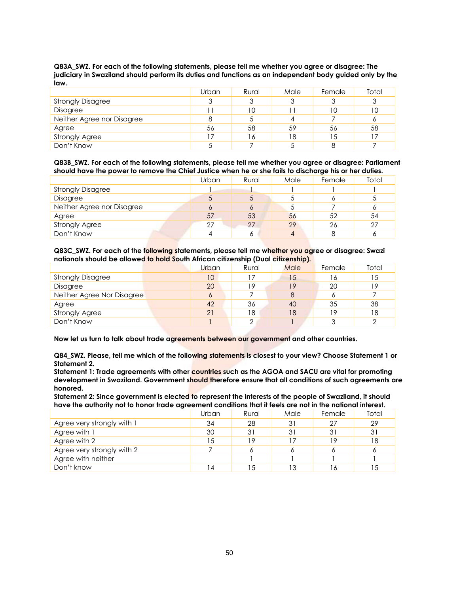| Q83A_SWZ. For each of the following statements, please tell me whether you agree or disagree: The        |
|----------------------------------------------------------------------------------------------------------|
| judiciary in Swaziland should perform its duties and functions as an independent body guided only by the |
| law.                                                                                                     |

|                            | Urban | Rural | Male | Female | Total |
|----------------------------|-------|-------|------|--------|-------|
| <b>Strongly Disagree</b>   | 3     | J     | J    |        | 3     |
| Disagree                   |       | 10    |      |        | 10    |
| Neither Agree nor Disagree | 8     |       |      |        | 6     |
| Agree                      | 56    | 58    | 59   | 56     | 58    |
| <b>Strongly Agree</b>      | 17    | 16    | 18   | 15     |       |
| Don't Know                 |       |       |      |        |       |

**Q83B\_SWZ. For each of the following statements, please tell me whether you agree or disagree: Parliament should have the power to remove the Chief Justice when he or she fails to discharge his or her duties.**

|                            | Urban | Rural | Male | Female | Total |
|----------------------------|-------|-------|------|--------|-------|
| <b>Strongly Disagree</b>   |       |       |      |        |       |
| Disagree                   | C     |       |      |        |       |
| Neither Agree nor Disagree | Ô     |       | J    |        | 6     |
| Agree                      | 57    | 53    | 56   | 52     | 54    |
| <b>Strongly Agree</b>      | 27    | 27    | 29   | 26     | 27    |
| Don't Know                 |       |       |      |        |       |

**Q83C\_SWZ. For each of the following statements, please tell me whether you agree or disagree: Swazi nationals should be allowed to hold South African citizenship (Dual citizenship).**

|                            | Urban | Rural  | Male | Female | Total |
|----------------------------|-------|--------|------|--------|-------|
| <b>Strongly Disagree</b>   | 10    |        | 15   | 6      | 15    |
| Disagree                   | 20    | 19     | 9    | 20     | 19    |
| Neither Agree Nor Disagree | 6     |        | 8    |        |       |
| Agree                      | 42    | 36     | 40   | 35     | 38    |
| <b>Strongly Agree</b>      | 21    | 18     | 18   | 19     | 18    |
| Don't Know                 |       | $\cap$ |      |        | ⌒     |

**Now let us turn to talk about trade agreements between our government and other countries.**

**Q84\_SWZ. Please, tell me which of the following statements is closest to your view? Choose Statement 1 or Statement 2.**

**Statement 1: Trade agreements with other countries such as the AGOA and SACU are vital for promoting development in Swaziland. Government should therefore ensure that all conditions of such agreements are honored.** 

**Statement 2: Since government is elected to represent the interests of the people of Swaziland, it should have the authority not to honor trade agreement conditions that it feels are not in the national interest.** 

|                            | Urban | Rural | Male | Female | Total |
|----------------------------|-------|-------|------|--------|-------|
| Agree very strongly with 1 | 34    | 28    | 31   | 27     | 29    |
| Agree with 1               | 30    | 31    | 31   | 31     | 31    |
| Agree with 2               | 15    | 19    | 17   | 1 Q    | 18    |
| Agree very strongly with 2 |       |       | Ô    |        | 6     |
| Agree with neither         |       |       |      |        |       |
| Don't know                 | 14    |       | 13   |        | -5    |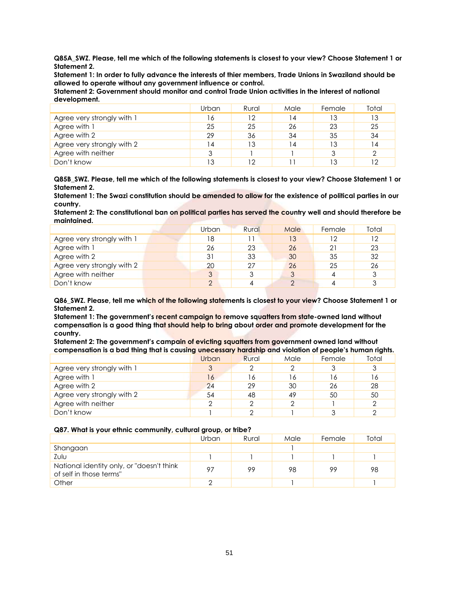**Q85A\_SWZ. Please, tell me which of the following statements is closest to your view? Choose Statement 1 or Statement 2.**

**Statement 1: In order to fully advance the interests of thier members, Trade Unions in Swaziland should be allowed to operate without any government influence or control.**

**Statement 2: Government should monitor and control Trade Union activities in the interest of national development.** 

|                            | Urban | Rural | Male | Female | Total |
|----------------------------|-------|-------|------|--------|-------|
| Agree very strongly with 1 | 16    | 12    | 14   | IЗ     | 13    |
| Agree with 1               | 25    | 25    | 26   | 23     | 25    |
| Agree with 2               | 29    | 36    | 34   | 35     | 34    |
| Agree very strongly with 2 | 14    | 13    | 14   | IЗ     | 14    |
| Agree with neither         | 3     |       |      |        | 2     |
| Don't know                 | 13    | 12    |      |        | 12    |

**Q85B\_SWZ. Please, tell me which of the following statements is closest to your view? Choose Statement 1 or Statement 2.**

**Statement 1: The Swazi constitution should be amended to allow for the existence of political parties in our country.**

**Statement 2: The constitutional ban on political parties has served the country well and should therefore be maintained.** 

|                            | Urban | Rural | Male | Female | Total |
|----------------------------|-------|-------|------|--------|-------|
| Agree very strongly with 1 | 18    |       | 13   | 12     | 12    |
| Agree with 1               | 26    | 23    | 26   |        | 23    |
| Agree with 2               | 31    | 33    | 30   | 35     | 32    |
| Agree very strongly with 2 | 20    | 27    | 26   | 25     | 26    |
| Agree with neither         | 3     |       |      |        |       |
| Don't know                 | ◠     |       |      |        |       |

**Q86\_SWZ. Please, tell me which of the following statements is closest to your view? Choose Statement 1 or Statement 2.** 

**Statement 1: The government's recent campaign to remove squatters from state-owned land without compensation is a good thing that should help to bring about order and promote development for the country.** 

**Statement 2: The government's campain of evicting squatters from government owned land without compensation is a bad thing that is causing unecessary hardship and violation of people's human rights.** 

|                            | Urban | Rural | Male | Female | Total |
|----------------------------|-------|-------|------|--------|-------|
| Agree very strongly with 1 | 3     |       | っ    |        | 3     |
| Agree with 1               | 16    | '6    | 16   | ۱6     | 16    |
| Agree with 2               | 24    | 29    | 30   | 26     | 28    |
| Agree very strongly with 2 | 54    | 48    | 49   | 50     | 50    |
| Agree with neither         | ◠     |       | ⌒    |        | っ     |
| Don't know                 |       |       |      |        |       |

#### **Q87. What is your ethnic community, cultural group, or tribe?**

|                                                                      | Urban | Rural | Male | Female | Total |
|----------------------------------------------------------------------|-------|-------|------|--------|-------|
| Shangaan                                                             |       |       |      |        |       |
| Zulu                                                                 |       |       |      |        |       |
| National identity only, or "doesn't think<br>of self in those terms" | -97   | 99    | 98   | 99     | 98    |
| Other                                                                |       |       |      |        |       |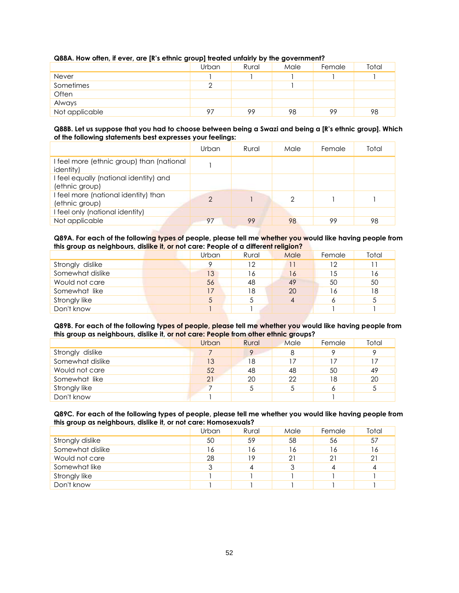| . .            | .<br>Urban | .<br>Rural | . .<br>Male | Female | Total |
|----------------|------------|------------|-------------|--------|-------|
| Never          |            |            |             |        |       |
| Sometimes      |            |            |             |        |       |
| Often          |            |            |             |        |       |
| Always         |            |            |             |        |       |
| Not applicable | 97         | 99         | 98          | 99     | 98    |

## **Q88A. How often, if ever, are [R's ethnic group] treated unfairly by the government?**

#### **Q88B. Let us suppose that you had to choose between being a Swazi and being a [R's ethnic group]. Which of the following statements best expresses your feelings:**

|                                                                | Urban | Rural | Male | Female | Total |
|----------------------------------------------------------------|-------|-------|------|--------|-------|
| I feel more (ethnic group) than (national<br><i>identity</i> ) |       |       |      |        |       |
| I feel equally (national identity) and<br>(ethnic group)       |       |       |      |        |       |
| I feel more (national identity) than<br>(ethnic group)         | 2     |       | 2    |        |       |
| I feel only (national identity)                                |       |       |      |        |       |
| Not applicable                                                 | 97    | 99    | 98   | 99     | 98    |

#### **Q89A. For each of the following types of people, please tell me whether you would like having people from this group as neighbours, dislike it, or not care: People of a different religion?**

|                  | Urban | Rural | Male | Female | Total |
|------------------|-------|-------|------|--------|-------|
| Strongly dislike |       | 12    |      | 12     |       |
| Somewhat dislike | 13    | 16    | 16   | 15     | 16    |
| Would not care   | 56    | 48    | 49   | 50     | 50    |
| Somewhat like    | 17    | 18    | 20   | 6      | 18    |
| Strongly like    | 5     |       | 4    |        | 5     |
| Don't know       |       |       |      |        |       |

#### **Q89B. For each of the following types of people, please tell me whether you would like having people from this group as neighbours, dislike it, or not care: People from other ethnic groups?**

| . .<br>          |       |       | . .  |        |       |
|------------------|-------|-------|------|--------|-------|
|                  | Urban | Rural | Male | Female | Total |
| Strongly dislike |       |       | 8    |        |       |
| Somewhat dislike | 13    | 18    | 17   |        |       |
| Would not care   | 52    | 48    | 48   | 50     | 49    |
| Somewhat like    | 21    | 20    | 22   | 18     | 20    |
| Strongly like    |       |       |      |        |       |
| Don't know       |       |       |      |        |       |

#### **Q89C. For each of the following types of people, please tell me whether you would like having people from this group as neighbours, dislike it, or not care: Homosexuals?**

|                  | Urban | Rural | Male | Female | Total |
|------------------|-------|-------|------|--------|-------|
| Strongly dislike | 50    | 59    | 58   | 56     | 57    |
| Somewhat dislike | 16    | 16    | 16   | 16     | 16    |
| Would not care   | 28    | 19    | 21   | 21     | 21    |
| Somewhat like    | 3     |       |      |        | 4     |
| Strongly like    |       |       |      |        |       |
| Don't know       |       |       |      |        |       |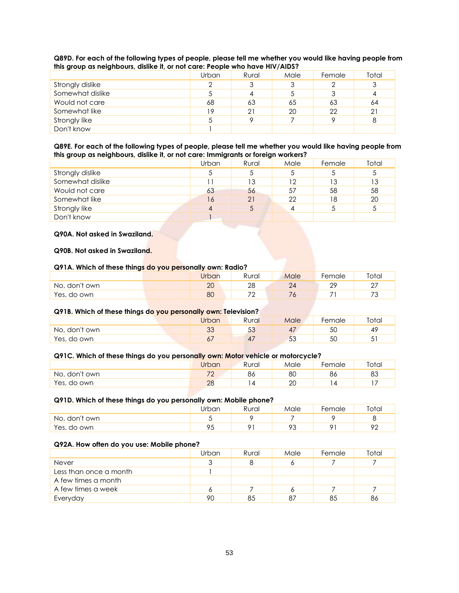| $\sim$ 200 group as neighbours, alsince it, or not care. I copic who have inv/Albert |       |       |      |        |       |  |  |  |
|--------------------------------------------------------------------------------------|-------|-------|------|--------|-------|--|--|--|
|                                                                                      | Urban | Rural | Male | Female | Total |  |  |  |
| Strongly dislike                                                                     |       |       | 3    |        |       |  |  |  |
| Somewhat dislike                                                                     |       |       |      |        |       |  |  |  |
| Would not care                                                                       | 68    | 63    | 65   | 63     | 64    |  |  |  |
| Somewhat like                                                                        | 19    | 21    | 20   | 22     | 21    |  |  |  |
| Strongly like                                                                        |       |       |      |        | 8     |  |  |  |
| Don't know                                                                           |       |       |      |        |       |  |  |  |

**Q89D. For each of the following types of people, please tell me whether you would like having people from this group as neighbours, dislike it, or not care: People who have HIV/AIDS?**

#### **Q89E. For each of the following types of people, please tell me whether you would like having people from this group as neighbours, dislike it, or not care: Immigrants or foreign workers?**

|                  | Urban | Rural | Male | Female | Total |
|------------------|-------|-------|------|--------|-------|
| Strongly dislike | ა     |       |      |        | 5     |
| Somewhat dislike |       | 13    | 12   | 13     | 13    |
| Would not care   | 63    | 56    | 57   | 58     | 58    |
| Somewhat like    | 16    | 21    | 22   | 18     | 20    |
| Strongly like    | 4     |       |      |        | 5     |
| Don't know       |       |       |      |        |       |

## **Q90A. Not asked in Swaziland.**

#### **Q90B. Not asked in Swaziland.**

#### **Q91A. Which of these things do you personally own: Radio?**

|                  | <b>Jrban</b> | Rural                    | Male | Female         | Total          |
|------------------|--------------|--------------------------|------|----------------|----------------|
| don't own<br>No, | 20           | ററ<br>∠⊂                 | 24   | ററ<br><u>_</u> | ^7<br><u>_</u> |
| Yes, do own      | 80           | $\overline{\phantom{a}}$ |      |                | 70<br>ັ        |

## **Q91B. Which of these things do you personally own: Television?**

|               | <b>Jrban</b> | Rural        | Male                 | Female | Total           |
|---------------|--------------|--------------|----------------------|--------|-----------------|
| No, don't own | $\sim$<br>◡◡ | $\sim$<br>◡◡ | 47                   | ას     | $4^\circ$       |
| Yes, do own   | $\circ$      |              | 5 <sup>o</sup><br>JJ | 5C     | $\sqrt{2}$<br>ັ |

#### **Q91C. Which of these things do you personally own: Motor vehicle or motorcycle?**

|                  | Urban                    | Rural | Male | Female | Total |
|------------------|--------------------------|-------|------|--------|-------|
| don't own<br>NO, | 7 <sup>o</sup><br>$\sim$ | ŏс    | 8С   | oo     | 83    |
| Yes, do<br>∙own  | $\Omega$<br>ZU           |       | 20   |        | - י   |

#### **Q91D. Which of these things do you personally own: Mobile phone?**

|               | Jrban     | Rural | Male | Female | Total   |
|---------------|-----------|-------|------|--------|---------|
| No, don't own |           |       |      |        |         |
| Yes, do own   | ΟF<br>, J |       | 93   |        | ററ<br>∸ |

#### **Q92A. How often do you use: Mobile phone?**

|                        | Urban | Rural | Male | Female | Total |
|------------------------|-------|-------|------|--------|-------|
| Never                  |       |       |      |        |       |
| Less than once a month |       |       |      |        |       |
| A few times a month    |       |       |      |        |       |
| A few times a week     |       |       |      |        |       |
| Everyday               | 90    | 85    | 87   | 85     | 86    |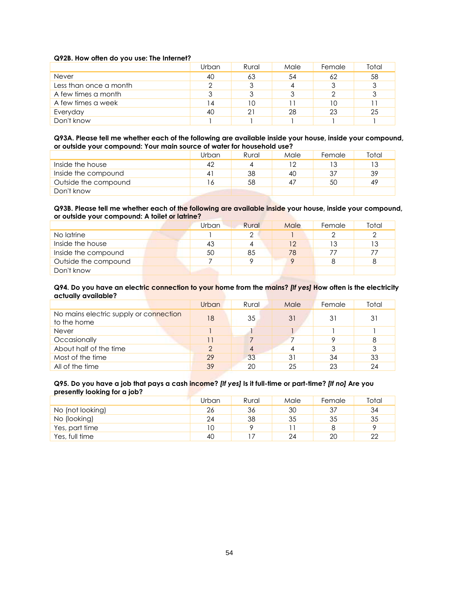#### **Q92B. How often do you use: The Internet?**

|                        | Urban | Rural | Male | Female | Total |
|------------------------|-------|-------|------|--------|-------|
| <b>Never</b>           | 40    | 63    | 54   | 62     | 58    |
| Less than once a month |       |       |      |        | 3     |
| A few times a month    | w     |       |      |        |       |
| A few times a week     | 14    | 10    |      | 10     |       |
| Everyday               | 40    | 21    | 28   | 23     | 25    |
| Don't know             |       |       |      |        |       |

**Q93A. Please tell me whether each of the following are available inside your house, inside your compound, or outside your compound: Your main source of water for household use?**

|                      | Urban | Rural | Male | Female | <b>Total</b> |
|----------------------|-------|-------|------|--------|--------------|
| Inside the house     | 42    |       | 12   |        | 13           |
| Inside the compound  |       | 38    | 40   |        | 39           |
| Outside the compound |       | 58    | 47   | 50     | 49           |
| Don't know           |       |       |      |        |              |

#### **Q93B. Please tell me whether each of the following are available inside your house, inside your compound, or outside your compound: A toilet or latrine?**

|                      | Urban | Rural | Male     | Female | Total |
|----------------------|-------|-------|----------|--------|-------|
| No latrine           |       |       |          |        |       |
| Inside the house     | 43    |       | 12       |        | 13    |
| Inside the compound  | 50    | 85    | 78       |        | 77    |
| Outside the compound |       |       | $\Omega$ |        |       |
| Don't know           |       |       |          |        |       |

#### **Q94. Do you have an electric connection to your home from the mains?** *[If yes]* **How often is the electricity actually available?**

|                                                       | <b>Urban</b> | Rural | Male | Female | Total |
|-------------------------------------------------------|--------------|-------|------|--------|-------|
| No mains electric supply or connection<br>to the home | 18           | 35    | 31   | 31     | 31    |
| Never                                                 |              |       |      |        |       |
| Occasionally                                          | 11           |       |      |        | 8     |
| About half of the time                                | C            |       |      |        | 3     |
| Most of the time                                      | 29           | 33    | 31   | 34     | 33    |
| All of the time                                       | 39           | 20    | 25   | 23     | 24    |

#### **Q95. Do you have a job that pays a cash income?** *[If yes]* **Is it full-time or part-time?** *[If no]* **Are you presently looking for a job?**

|                  | Urban | Rural | Male | Female | Total |
|------------------|-------|-------|------|--------|-------|
| No (not looking) | 26    | 36    | 30   |        | 34    |
| No (looking)     | 24    | 38    | 35   | 35     | 35    |
| Yes, part time   |       |       |      |        |       |
| Yes, full time   | 40    |       | 24   | 20     | 22    |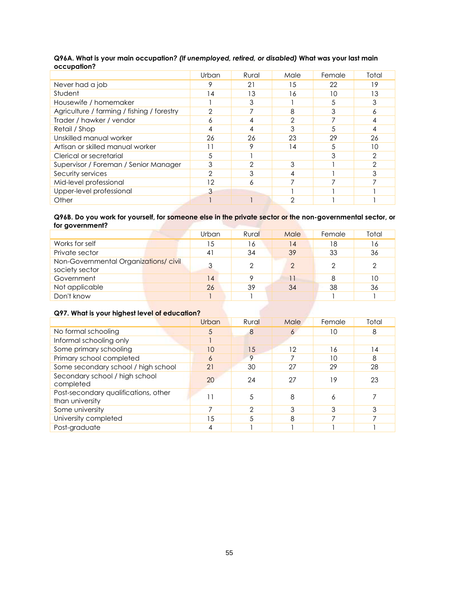|                                            | Urban | Rural | Male | Female | Total |
|--------------------------------------------|-------|-------|------|--------|-------|
| Never had a job                            | 9     | 21    | 15   | 22     | 19    |
| Student                                    | 14    | 13    | 16   | 10     | 13    |
| Housewife / homemaker                      |       | 3     |      |        | 3     |
| Agriculture / farming / fishing / forestry | っ     |       | 8    |        |       |
| Trader / hawker / vendor                   | δ     |       | 2    |        |       |
| Retail / Shop                              | 4     |       | 3    |        |       |
| Unskilled manual worker                    | 26    | 26    | 23   | 29     | 26    |
| Artisan or skilled manual worker           |       | Ω     | 14   |        | 10    |
| Clerical or secretarial                    | 5     |       |      |        |       |
| Supervisor / Foreman / Senior Manager      | 3     | ∩     | 3    |        |       |
| Security services                          | 2     |       |      |        |       |
| Mid-level professional                     | 12    | Ô     |      |        |       |
| Upper-level professional                   | 3     |       |      |        |       |
| Other                                      |       |       | ∩    |        |       |

## **Q96A. What is your main occupation***? (If unemployed, retired, or disabled)* **What was your last main occupation?**

### **Q96B. Do you work for yourself, for someone else in the private sector or the non-governmental sector, or for government?**

|                                                        | Urban | Rural | Male | Female | Total |
|--------------------------------------------------------|-------|-------|------|--------|-------|
| Works for self                                         | 15    | 16    | 14   | 18     | 16    |
| Private sector                                         | 41    | 34    | 39   | 33     | 36    |
| Non-Governmental Organizations/civil<br>society sector | 3     |       | っ    |        | 2     |
| Government                                             | 14    |       | 11   | 8      | 10    |
| Not applicable                                         | 26    | 39    | 34   | 38     | 36    |
| Don't know                                             |       |       |      |        |       |

## **Q97. What is your highest level of education?**

|                                                         | Urban | Rural   | Male | Female | Total |
|---------------------------------------------------------|-------|---------|------|--------|-------|
| No formal schooling                                     | 5     | 8       | O    | 10     | 8     |
| Informal schooling only                                 |       |         |      |        |       |
| Some primary schooling                                  | 10    | 15      | 12   | 16     | 14    |
| Primary school completed                                | 6     | $\circ$ |      | 10     | 8     |
| Some secondary school / high school                     | 21    | 30      | 27   | 29     | 28    |
| Secondary school / high school<br>completed             | 20    | 24      | 27   | 19     | 23    |
| Post-secondary qualifications, other<br>than university |       | 5       | 8    | n      |       |
| Some university                                         |       | ∩       | 3    | 3      | 3     |
| University completed                                    | 15    |         | 8    |        |       |
| Post-graduate                                           |       |         |      |        |       |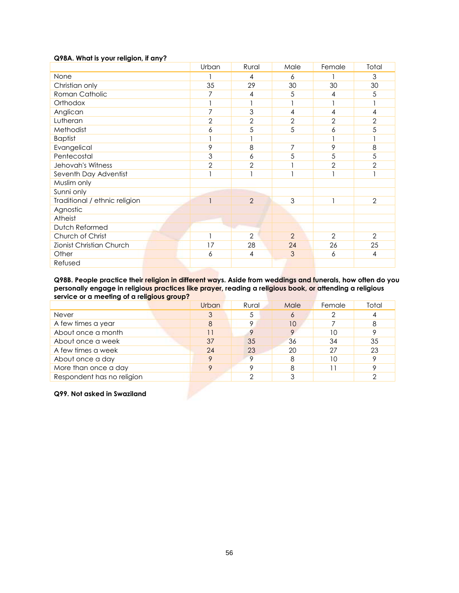### **Q98A. What is your religion, if any?**

|                               | Urban          | Rural          | Male           | Female         | Total          |
|-------------------------------|----------------|----------------|----------------|----------------|----------------|
| None                          |                | 4              | 6              |                | 3              |
| Christian only                | 35             | 29             | 30             | 30             | 30             |
| Roman Catholic                | 7              | 4              | 5              | 4              | 5              |
| Orthodox                      | 1              |                |                |                |                |
| Anglican                      | 7              | 3              | $\overline{4}$ | 4              | 4              |
| Lutheran                      | $\overline{2}$ | $\overline{2}$ | $\sqrt{2}$     | 2              | $\sqrt{2}$     |
| Methodist                     | 6              | 5              | 5              | 6              | 5              |
| <b>Baptist</b>                |                |                |                |                |                |
| Evangelical                   | 9              | 8              | 7              | 9              | 8              |
| Pentecostal                   | $\mathfrak{S}$ | 6              | 5              | 5              | 5              |
| Jehovah's Witness             | $\mathbf{2}$   | $\overline{2}$ |                | $\overline{2}$ | $\overline{2}$ |
| Seventh Day Adventist         | h              |                |                |                | $\mathbf{I}$   |
| Muslim only                   |                |                |                |                |                |
| Sunni only                    |                |                |                |                |                |
| Traditional / ethnic religion | $\overline{1}$ | $\overline{2}$ | 3              |                | $\overline{2}$ |
| Agnostic                      |                |                |                |                |                |
| Atheist                       |                |                |                |                |                |
| Dutch Reformed                |                |                |                |                |                |
| Church of Christ              | $\mathbf{1}$   | $\overline{2}$ | $\overline{2}$ | $\overline{2}$ | $\overline{2}$ |
| Zionist Christian Church      | 17             | 28             | 24             | 26             | 25             |
| Other                         | 6              | 4              | 3              | 6              | $\overline{4}$ |
| Refused                       |                |                |                |                |                |

**Q98B. People practice their religion in different ways. Aside from weddings and funerals, how often do you personally engage in religious practices like prayer, reading a religious book, or attending a religious service or a meeting of a religious group?**

|                            | <b>Urban</b> | Rural | Male    | Female | Total |
|----------------------------|--------------|-------|---------|--------|-------|
| <b>Never</b>               | 3            |       | $\circ$ |        |       |
| A few times a year         | 8            |       | 10      |        | 8     |
| About once a month         |              |       |         | 10     |       |
| About once a week          | 37           | 35    | 36      | 34     | 35    |
| A few times a week         | 24           | 23    | 20      | 27     | 23    |
| About once a day           | о            |       |         | 10     |       |
| More than once a day       |              |       |         |        |       |
| Respondent has no religion |              |       |         |        |       |

**Q99. Not asked in Swaziland**